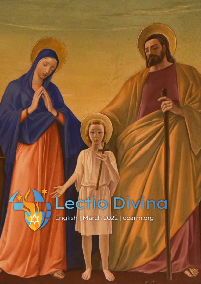

ocari da barriera e a contra a contra a contra a contra a contra a contra a contra a contra a contra a contra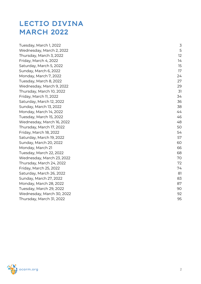# LECTIO DIVINA **MARCH 2022**

| Tuesday, March 1, 2022    | 3  |
|---------------------------|----|
| Wednesday, March 2, 2022  | 5  |
| Thursday, March 3, 2022   | 12 |
| Friday, March 4, 2022     | 14 |
| Saturday, March 5, 2022   | 15 |
| Sunday, March 6, 2022     | 17 |
| Monday, March 7, 2022     | 24 |
| Tuesday, March 8, 2022    | 27 |
| Wednesday, March 9, 2022  | 29 |
| Thursday, March 10, 2022  | 31 |
| Friday, March 11, 2022    | 34 |
| Saturday, March 12, 2022  | 36 |
| Sunday, March 13, 2022    | 38 |
| Monday, March 14, 2022    | 44 |
| Tuesday, March 15, 2022   | 46 |
| Wednesday, March 16, 2022 | 48 |
| Thursday, March 17, 2022  | 50 |
| Friday, March 18, 2022    | 54 |
| Saturday, March 19, 2022  | 57 |
| Sunday, March 20, 2022    | 60 |
| Monday, March 21          | 66 |
| Tuesday, March 22, 2022   | 68 |
| Wednesday, March 23, 2022 | 70 |
| Thursday, March 24, 2022  | 72 |
| Friday, March 25, 2022    | 74 |
| Saturday, March 26, 2022  | 81 |
| Sunday, March 27, 2022    | 83 |
| Monday, March 28, 2022    | 87 |
| Tuesday, March 29, 2022   | 90 |
| Wednesday, March 30, 2022 | 92 |
| Thursday, March 31, 2022  | 95 |

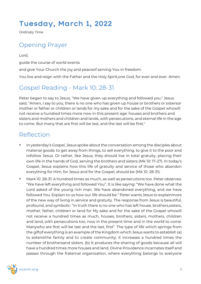# <span id="page-2-0"></span>Tuesday, March 1, 2022

*Ordinary Time*

# Opening Prayer

Lord,

guide the course of world events

and give Your Church the joy and peaceof serving You in freedom.

You live and reign with the Father and the Holy Spirit,one God, for ever and ever. Amen.

# Gospel Reading - Mark 10: 28-31

Peter began to say to Jesus, "We have given up everything and followed you." Jesus said, "Amen, I say to you, there is no one who has given up house or brothers or sistersor mother or father or children or lands for my sake and for the sake of the Gospel whowill not receive a hundred times more now in this present age: houses and brothers and sisters and mothers and children and lands, with persecutions, and eternal life in the age to come. But many that are first will be last, and the last will be first."

### Reflection

- In yesterday's Gospel, Jesus spoke about the conversation among the disciples about material goods: to get away from things, to sell everything, to give it to the poor and tofollow Jesus. Or rather, like Jesus, they should live in total gratuity, placing their own life in the hands of God, serving the brothers and sisters (Mk 10: 17-27). In today's Gospel, Jesus explains how this life of gratuity and service of those who abandon everything for Him, for Jesus and for the Gospel, should be (Mk 10: 28-31).
- Mark 10: 28-31: A hundred times as much, as well as persecutions too. Peter observes: "We have left everything and followed You". It is like saying: "We have done what the Lord asked of the young rich man. We have abandoned everything, and we have followed You. Explain to us how our life should be." Peter wants Jesus to explainmore of the new way of living in service and gratuity. The response from Jesus is beautiful, profound, and symbolic: "In truth there is no one who has left house, brothers,sisters, mother, father, children or land for My sake and for the sake of the Gospel whowill not receive a hundred times as much, houses, brothers, sisters, mothers, children and land, with persecutions too, now in the present time and in the world to come. Manywho are first will be last and the last, first". The type of life which springs from the giftof everything is an example of the Kingdom which Jesus wants to establish (a) to extendthe family and to create community; it increases a hundred times the number of brothersand sisters. (b) It produces the sharing of goods because all will have a hundred times more houses and land. Divine Providence incarnates itself and passes through the fraternal organization, where everything belongs to everyone

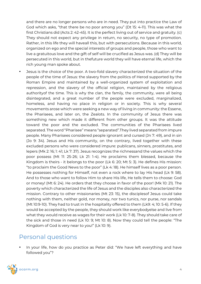and there are no longer persons who are in need. They put into practice the Law of God which asks, "that there be no poor among you" (Dt 15: 4-11). This was what the first Christians did (Acts 2: 42-45). It is the perfect living out of service and gratuity. (c) They should not expect any privilege in return, no security, no type of promotion. Rather, in this life they will haveall this, but with persecutions. Because in this world, organized on ego and the special interests of groups and people, those who want to live a gratuitous love and the gift of self will be crucified as Jesus was. (d) They will be persecuted in this world, but in thefuture world they will have eternal life, which the rich young man spoke about.

• Jesus is the choice of the poor. A two-fold slavery characterized the situation of the people of the time of Jesus: the slavery from the politics of Herod supported by the Roman Empire and maintained by a well-organized system of exploitation and repression, and the slavery of the official religion, maintained by the religious authorityof the time. This is why the clan, the family, the community, were all being disintegrated, and a great number of the people were excluded, marginalized, homeless, and having no place in religion or in society. This is why several movements arose which were seeking a new way of living in community: the Essene, the Pharisees, and later on, the Zealots. In the community of Jesus there was something new which made it different from other groups. It was the attitude toward the poor and the excluded. The communities of the Pharisees lived separated. The word "Pharisee" means "separated".They lived separated from impure people. Many Pharisees considered people ignorant and cursed (Jn 7: 49), and in sin (Jo 9: 34). Jesus and His community, on the contrary, lived together with these excluded persons who were considered impure: publicans, sinners, prostitutes, and lepers (Mk 2: 16; 1: 41; Lk 7: 37). Jesus recognizes the richnessand the values which the poor possess (Mt 11: 25-26; Lk 21: 1-4). He proclaims them blessed, because the Kingdom is theirs - it belongs to the poor (Lk 6: 20; Mt 5: 3). He defines His mission: "to proclaim the Good News to the poor" (Lk 4: 18). He himself lives as a poor person. He possesses nothing for Himself, not even a rock where to lay His head (Lk 9: 58). And to those who want to follow Him to share His life, He tells them to choose: God or money! (Mt 6: 24). He orders that they choose in favor of the poor! (Mk 10: 21). The poverty which characterized the life of Jesus and the disciples also characterized the mission. Contrary to other missionaries (Mt 23: 15), the disciplesof Jesus could take nothing with them, neither gold, nor money, nor two tunics, nor purse, nor sandals (Mt 10:9-10). They had to trust in the hospitality offered to them (Lk9: 4; 10: 5-6). If they would be accepted by the people, they should work like everybodyelse and live from what they would receive as wages for their work (Lk 10: 7-8). They should take care of the sick and those in need (Lk 10: 9; Mt 10: 8). Now they could tell the people: "The Kingdom of God is very near to you!" (Lk 10: 9).

### Personal questions

In your life, how do you practice as Peter did: "We have left everything and have followed you"?

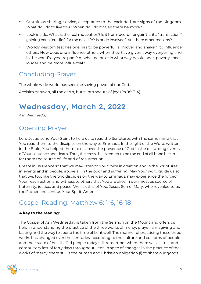- Gratuitous sharing, service, acceptance to the excluded, are signs of the Kingdom. What do I do to live this? When do I do it? Can there be more?
- Look inside. What is the real motivation? Is it from love, or for gain? Is it a "transaction," gaining extra "credits" for the next life? Is pride involved? Are there other reasons?
- Worldy wisdom teaches one has to be powerful, a "mover and shaker", to influence others. How does one influence others when they have given away everything and in the world's eyes are poor? At what point, or in what way, would one's poverty speak louder and be more influential?

# Concluding Prayer

The whole wide world has seenthe saving power of our God.

<span id="page-4-0"></span>Acclaim Yahweh, all the earth, burst into shouts of joy! (Ps 98: 3-4)

# Wednesday, March 2, 2022

*Ash Wednesday*

# Opening Prayer

Lord Jesus, send Your Spirit to help us to read the Scriptures with the same mind that You read them to the disciples on the way to Emmaus. In the light of the Word, written in the Bible, You helped them to discover the presence of God in the disturbing events of Your sentence and death. Thus, the cross that seemed to be the end of all hope became for them the source of life and of resurrection.

Create in us silence so that we may listen to Your voice in creation and in the Scriptures, in events and in people, above all in the poor and suffering. May Your word guide us so that we, too, like the two disciples on the way to Emmaus, may experience the forceof Your resurrection and witness to others that You are alive in our midst as source of fraternity, justice, and peace. We ask this of You, Jesus, Son of Mary, who revealed to us the Father and sent us Your Spirit. Amen.

## Gospel Reading: Matthew 6: 1-6, 16-18

#### **A key to the reading:**

The Gospel of Ash Wednesday is taken from the Sermon on the Mount and offers us help in understanding the practice of the three works of mercy: prayer, almsgiving and fasting and the way to spend the time of Lent well. The manner of practicing these three works has changed over the centuries, according to the culture and customs of people and their state of health. Old people today still remember when there was a strict and compulsory fast of forty days throughout Lent. In spite of changes in the practice of the works of mercy, there still is the human and Christian obligation (i) to share our goods

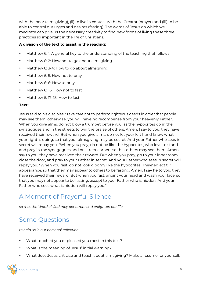with the poor (almsgiving), (ii) to live in contact with the Creator (prayer) and (iii) to be able to control our urges and desires (fasting). The words of Jesus on which we meditate can give us the necessary creativity to find new forms of living these three practices so important in the life of Christians.

#### **A division of the text to assist in the reading:**

- Matthew 6: 1: A general key to the understanding of the teaching that follows
- Matthew 6: 2: How not to go about almsgiving
- Matthew 6: 3-4: How to go about almsgiving
- Matthew 6: 5: How not to pray
- Matthew 6: 6: How to pray
- Matthew 6: 16: How not to fast
- Matthew 6: 17-18: How to fast

#### **Text:**

Jesus said to his disciples: "Take care not to perform righteous deeds in order that people may see them; otherwise, you will have no recompense from your heavenly Father. When you give alms, do not blow a trumpet before you, as the hypocrites do in the synagogues and in the streets to win the praise of others. Amen, I say to you, they have received their reward. But when you give alms, do not let your left hand know what your right is doing, so that your almsgiving may be secret. And your Father who sees in secret will repay you. "When you pray, do not be like the hypocrites, who love to stand and pray in the synagogues and on street corners so that others may see them. Amen, I say to you, they have received their reward. But when you pray, go to your inner room, close the door, and pray to your Father in secret. And your Father who sees in secret will repay you. "When you fast, do not look gloomy like the hypocrites. Theyneglect t ir appearance, so that they may appear to others to be fasting. Amen, I say he to you, they have received their reward. But when you fast, anoint your head and wash your face, so that you may not appear to be fasting, except to your Father who is hidden. And your Father who sees what is hidden will repay you."

# A Moment of Prayerful Silence

*so that the Word of God may penetrate and enlighten our life.*

## Some Questions

*to help us in our personal reflection.*

- What touched you or pleased you most in this text?
- What is the meaning of Jesus' initial warning?
- What does Jesus criticize and teach about almsgiving? Make a resume for yourself.

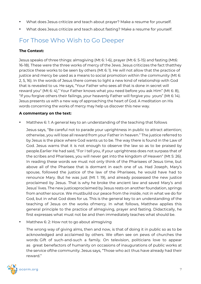- What does Jesus criticize and teach about prayer? Make a resume for yourself.
- What does Jesus criticize and teach about fasting? Make a resume for yourself.

# For Those Who Wish to Go Deeper

#### **The Context:**

Jesus speaks of three things: almsgiving (Mt 6: 1-6), prayer (Mt 6: 5-15) and fasting (Mt6: 16-18). These were the three works of mercy of the Jews. Jesus criticizes the fact thatthey practice these works to be seen by others (Mt 6: 1). He will not allow that the practice of justice and mercy be used as a means to social promotion within the community (Mt 6: 2, 5, 16). In the words of Jesus there comes to light a new kind of relationship with God that is revealed to us. He says, "Your Father who sees all that is done in secret will reward you" (Mt 6: 4)," Your Father knows what you need before you ask Him" (Mt 6: 8), "If you forgive others their failings, your heavenly Father will forgive you yours" (Mt 6: 14). Jesus presents us with a new way of approaching the heart of God. A meditation on His words concerning the works of mercy may help us discover this new way.

#### **A commentary on the text:**

• Matthew 6: 1: A general key to an understanding of the teaching that follows

Jesus says, "Be careful not to parade your uprightness in public to attract attention; otherwise, you will lose all reward from your Father in heaven." The justice referred to by Jesus is the place where God wants us to be. The way there is found in the Law of God. Jesus warns that it is not enough to observe the law so as to be praised by people.Earlier He had said, "For I tell you, if your uprightness does not surpass that of the scribes and Pharisees, you will never get into the kingdom of Heaven" (Mt 5: 26). In reading these words we must not only think of the Pharisees of Jesus time, but above all of the Pharisee that is dormant in each one of us. Had Joseph, Mary's spouse, followed the justice of the law of the Pharisees, he would have had to renounce Mary. But he was just (Mt 1: 19), and already possessed the new justice proclaimed by Jesus. That is why he broke the ancient law and saved Mary's and Jesus' lives. The new justiceproclaimed by Jesus rests on another foundation, springs from another source. We mustbuild our peace from the inside, not in what we do for God, but in what God does for us. This is the general key to an understanding of the teaching of Jesus on the works ofmercy. In what follows, Matthew applies this general principle to the practice of almsgiving, prayer and fasting. Didactically, he first expresses what must not be and then immediately teaches what should be.

• Matthew 6: 2: How not to go about almsgiving

The wrong way of giving alms, then and now, is that of doing it in public so as to be acknowledged and acclaimed by others. We often see on pews of churches the words: Gift of such-and-such a family. On television, politicians love to appear as great benefactors of humanity on occasions of inaugurations of public works at the service ofthe community. Jesus says, "Those who act thus have already had their reward."

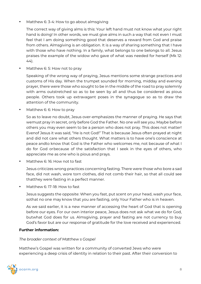Matthew 6: 3-4: How to go about almsgiving

The correct way of giving alms is this: Your left hand must not know what your right hand is doing! In other words, we must give alms in such a way that not even I must feel that I am doing something good that deserves a reward from God and praise from others. Almsgiving is an obligation. It is a way of sharing something that I have with those who have nothing. In a family, what belongs to one belongs to all. Jesus praises the example of the widow who gave of what was needed for herself (Mk 12: 44).

Matthew 6: 5: How not to pray

Speaking of the wrong way of praying, Jesus mentions some strange practices and customs of His day. When the trumpet sounded for morning, midday and evening prayer, there were those who sought to be in the middle of the road to pray solemnly with arms outstretched so as to be seen by all and thus be considered as pious people. Others took up extravagant poses in the synagogue so as to draw the attention of the community.

• Matthew 6: 6: How to pray

So as to leave no doubt, Jesus over-emphasizes the manner of praying. He says that wemust pray in secret, only before God the Father. No one will see you. Maybe before others you may even seem to be a person who does not pray. This does not matter! Evenof Jesus it was said, "He is not God!" That is because Jesus often prayed at night and did not care what others thought. What matters is to have one's conscience at peace andto know that God is the Father who welcomes me, not because of what I do for God orbecause of the satisfaction that I seek in the eyes of others, who appreciate me as one who is pious and prays.

• Matthew 6: 16: How not to fast

Jesus criticizes wrong practices concerning fasting. There were those who bore a sad face, did not wash, wore torn clothes, did not comb their hair, so that all could see thatthey were fasting in a perfect manner.

• Matthew 6: 17-18: How to fast

Jesus suggests the opposite: When you fast, put scent on your head, wash your face, sothat no one may know that you are fasting, only Your Father who is in heaven.

As we said earlier, it is a new manner of accessing the heart of God that is opening before our eyes. For our own interior peace, Jesus does not ask what we do for God, butwhat God does for us. Almsgiving, prayer and fasting are not currency to buy God's favor but are our response of gratitude for the love received and experienced.

#### **Further information:**

#### *The broader context of Matthew s Gospel*

Matthew's Gospel was written for a community of converted Jews who were experiencing a deep crisis of identity in relation to their past. After their conversion to

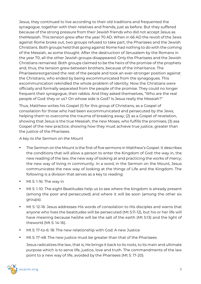Jesus, they continued to live according to their old traditions and frequented the synagogue, together with their relatives and friends, just as before. But they suffered because of the strong pressure from their Jewish friends who did not accept Jesus as theMessiah. This tension grew after the year 70 AD. When in 66 AD the revolt of the Jews against Rome broke out, two groups refused to take part, the Pharisees and the Jewish Christians. Both groups held that going against Rome had nothing to do with the coming of the Messiah, as some thought. After the destruction of Jerusalem by the Romans in the year 70, all the other Jewish groups disappeared. Only the Pharisees and the Jewish Christians remained. Both groups claimed to be the heirs of the promise of the prophets and, thus, the tension grew between brothers, because of the inheritance. The Phariseesreorganized the rest of the people and took an ever-stronger position against the Christians, who ended by being excommunicated from the synagogues. This excommunication rekindled the whole problem of identity. Now the Christians were officially and formally separated from the people of the promise. They could no longer frequent their synagogue, their rabbis. And they asked themselves, "Who are the real people of God: they or us? On whose side is God? Is Jesus really the Messiah?"

Thus, Matthew writes his Gospel (1) for this group of Christians, as a Gospel of consolation for those who had been excommunicated and persecuted by the Jews, helping them to overcome the trauma of breaking away; (2) as a Gospel of revelation, showing that Jesus is the true Messiah, the new Moses, who fulfills the promises; (3) asa Gospel of the new practice, showing how they must achieve true justice, greater than the justice of the Pharisees.

#### *A key to the Sermon on the Mount*

- The Sermon on the Mount is the first of five sermons in Matthew's Gospel. It describes the conditions that will allow a person to enter the Kingdom of God: the way in, the new reading of the law, the new way of looking at and practicing the works of mercy; the new way of living in community. In a word, in the Sermon on the Mount, Jesus communicates the new way of looking at the things of Life and the Kingdom. The following is a division that serves as a key to reading:
- Mt 5: 1-16: The way in
- Mt 5: 1-10: The eight Beatitudes help us to see where the kingdom is already present (among the poor and persecuted) and where it will be soon (among the other six groups).
- Mt 5: 12-16: Jesus addresses His words of consolation to His disciples and warns that anyone who lives the beatitudes will be persecuted (Mt 5:11-12), but his or her life will have meaning because he/she will be the salt of the earth (Mt 5:13) and the light of theworld (Mt 5: 14-16).
- Mt 5: 17-to-6: 18: The new relationship with God: A new Justice
- Mt 5: 17-48: The new justice must be greater than that of the Pharisees

Jesus radicalizes the law, that is, He brings it back to its roots, to its main and ultimate purpose which is to serve life, justice, love and truth. The commandments of the law point to a new way of life, avoided by the Pharisees (Mt 5: 17-20).

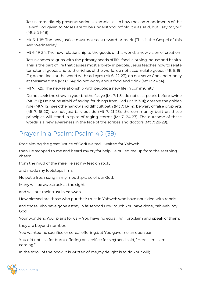Jesus immediately presents various examples as to how the commandments of the Lawof God given to Moses are to be understood: "of old it was said, but I say to you" (Mt 5: 21-48)

- Mt 6: 1-18: The new justice must not seek reward or merit (This is the Gospel of this Ash Wednesday).
- Mt 6: 19-34: The new relationship to the goods of this world: a new vision of creation

Jesus comes to grips with the primary needs of life: food, clothing, house and health. This is the part of life that causes most anxiety in people. Jesus teaches how to relate tomaterial goods and to the riches of the world: do not accumulate goods (Mt 6: 19- 21); do not look at the world with sad eyes (Mt 6: 22-23); do not serve God and money at thesame time (Mt 6: 24); do not worry about food and drink (Mt 6: 23-34).

• Mt 7: 1-29: The new relationship with people: a new life in community

Do not seek the straw in your brother's eye (Mt 7: 1-5); do not cast pearls before swine (Mt 7: 6); Do not be afraid of asking for things from God (Mt 7: 7-11); observe the golden rule (Mt 7: 12); seek the narrow and difficult path (Mt 7: 13-14); be wary of false prophets (Mt 7: 15-20); do not just talk but do (Mt 7: 21-23); the community built on these principles will stand in spite of raging storms (Mt 7: 24-27). The outcome of these words is a new awareness in the face of the scribes and doctors (Mt 7: 28-29).

# Prayer in a Psalm: Psalm 40 (39)

Proclaiming the great justice of GodI waited, I waited for Yahweh,

then He stooped to me and heard my cry for help.He pulled me up from the seething chasm,

from the mud of the mire.He set my feet on rock,

and made my footsteps firm.

He put a fresh song in my mouth,praise of our God.

Many will be awestruck at the sight,

and will put their trust in Yahweh.

How blessed are those who put their trust in Yahweh,who have not sided with rebels

and those who have gone astray in falsehood.How much You have done, Yahweh, my God

Your wonders, Your plans for us -- You have no equal.I will proclaim and speak of them; they are beyond number.

You wanted no sacrifice or cereal offering,but You gave me an open ear,

You did not ask for burnt offering or sacrifice for sin;then I said, "Here I am, I am coming."

In the scroll of the book, it is written of me,my delight is to do Your will;

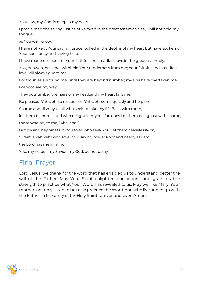Your law, my God, is deep in my heart.

I proclaimed the saving justice of Yahweh in the great assembly.See, I will not hold my tongue,

as You well know.

I have not kept Your saving justice locked in the depths of my heart but have spoken of Your constancy and saving help.

I have made no secret of Your faithful and steadfast love,in the great assembly.

You, Yahweh, have not withheld Your tenderness from me; Your faithful and steadfast love will always guard me.

For troubles surround me, until they are beyond number; my sins have overtaken me;

I cannot see my way.

They outnumber the hairs of my head,and my heart fails me.

Be pleased, Yahweh, to rescue me, Yahweh, come quickly and help me!

Shame and dismay to all who seek to take my life.Back with them,

let them be humiliated who delight in my misfortunes.Let them be aghast with shame,

those who say to me, "Aha, aha!"

But joy and happiness in You to all who seek You!Let them ceaselessly cry,

"Great is Yahweh" who love Your saving power.Poor and needy as I am,

the Lord has me in mind.

You, my helper, my Savior, my God, do not delay.

### Final Prayer

<span id="page-10-0"></span>Lord Jesus, we thank for the word that has enabled us to understand better the will of the Father. May Your Spirit enlighten our actions and grant us the strength to practice what Your Word has revealed to us. May we, like Mary, Your mother, not only listen to but also practice the Word. You who live and reign with the Father in the unity of theHoly Spirit forever and ever. Amen.

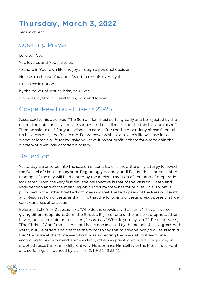# Thursday, March 3, 2022

*Season of Lent*

# Opening Prayer

Lord our God, You love us and You invite us to share in Your own life and joy,through a personal decision. Help us to choose You and lifeand to remain ever loyal to this basic option by the power of Jesus Christ, Your Son, who was loyal to You and to us, now and forever.

# Gospel Reading - Luke 9: 22-25

Jesus said to his disciples: "The Son of Man must suffer greatly and be rejected by the elders, the chief priests, and the scribes, and be killed and on the third day be raised." Then he said to all, "If anyone wishes to come after me, he must deny himself and take up his cross daily and follow me. For whoever wishes to save his life will lose it, but whoever loses his life for my sake will save it. What profit is there for one to gain the whole world yet lose or forfeit himself?"

### Reflection

Yesterday we entered into the season of Lent. Up until now the daily Liturgy followed the Gospel of Mark, step by step. Beginning yesterday until Easter, the sequence of the readings of the day will be dictated by the ancient tradition of Lent and of preparation for Easter. From the very first day, the perspective is that of the Passion, Death and Resurrection and of the meaning which this mystery has for our life. This is what is proposed in the rather brief text of today's Gospel. The text speaks of the Passion, Death and Resurrection of Jesus and affirms that the following of Jesus presupposes that we carry our cross after Jesus.

Before, in Luke 9: 18-21, Jesus asks, "Who do the crowds say that I am?" They answered giving different opinions: John the Baptist, Elijah or one of the ancient prophets. After having heard the opinions of others, Jesus asks, "Who do you say I am?" Peter answers, "The Christ of God!" that is, the Lord is the one awaited by the people! Jesus agrees with Peter, but He orders and charges them not to say this to anyone. Why did Jesus forbid this? Because at that time everybody was expecting the Messiah, but each one according to his own mind: some as king, others as priest, doctor, warrior, judge, or prophet! Jesus thinks in a different way. He identifies Himself with the Messiah, servant and suffering, announced by Isaiah (42: 1-9; 52: 13-53: 12)

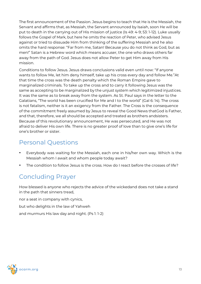The first announcement of the Passion. Jesus begins to teach that He is the Messiah, the Servant and affirms that, as Messiah, the Servant announced by Isaiah, soon He will be put to death in the carrying out of His mission of justice (Is 49: 4-9; 53: 1-12). Luke usually follows the Gospel of Mark, but here he omits the reaction of Peter, who advised Jesus against or tried to dissuade Him from thinking of the suffering Messiah and he also omits the hard response: "Far from me, Satan! Because you do not think as God, but as men!" Satan is a Hebrew word which means accuser, the one who draws others far away from the path of God. Jesus does not allow Peter to get Him away from His mission.

Conditions to follow Jesus. Jesus draws conclusions valid even until now: "If anyone wants to follow Me, let him deny himself, take up his cross every day and follow Me."At that time the cross was the death penalty which the Roman Empire gave to marginalized criminals. To take up the cross and to carry it following Jesus was the same as accepting to be marginalized by the unjust system which legitimized injustices. It was the same as to break away from the system. As St. Paul says in the letter to the Galatians, "The world has been crucified for Me and I to the world" (Gal 6: 14). The cross is not fatalism, neither is it an exigency from the Father. The Cross is the consequence of the commitment freely assumed by Jesus to reveal the Good News thatGod is Father, and that, therefore, we all should be accepted and treated as brothers andsisters. Because of this revolutionary announcement, He was persecuted, and He was not afraid to deliver His own life. There is no greater proof of love than to give one's life for one's brother or sister.

### Personal Questions

- Everybody was waiting for the Messiah, each one in his/her own way. Which is the Messiah whom I await and whom people today await?
- The condition to follow Jesus is the cross. How do I react before the crosses of life?

## Concluding Prayer

How blessed is anyone who rejects the advice of the wickedand does not take a stand in the path that sinners tread,

nor a seat in company with cynics,

but who delights in the law of Yahweh

<span id="page-12-0"></span>and murmurs His law day and night. (Ps 1: 1-2)

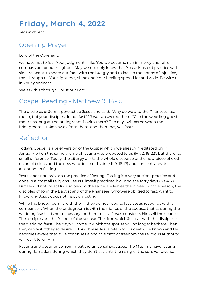# Friday, March 4, 2022

*Season of Lent*

# Opening Prayer

Lord of the Covenant,

we have not to fear Your judgment if like You we become rich in mercy and full of compassion for our neighbor. May we not only know that You ask us but practice with sincere hearts to share our food with the hungry and to loosen the bonds of injustice, that through us Your light may shine and Your healing spread far and wide. Be with us in Your goodness.

We ask this through Christ our Lord.

### Gospel Reading - Matthew 9: 14-15

The disciples of John approached Jesus and said, "Why do we and the Pharisees fast much, but your disciples do not fast?" Jesus answered them, "Can the wedding guests mourn as long as the bridegroom is with them? The days will come when the bridegroom is taken away from them, and then they will fast."

### Reflection

Today's Gospel is a brief version of the Gospel which we already meditated on in January, when the same theme of fasting was proposed to us (Mk 2: 18-22), but there isa small difference. Today, the Liturgy omits the whole discourse of the new piece of cloth on an old cloak and the new wine in an old skin (Mt 9: 16-17) and concentrates its attention on fasting.

Jesus does not insist on the practice of fasting. Fasting is a very ancient practice and done in almost all religions. Jesus Himself practiced it during the forty days (Mt 4: 2). But He did not insist His disciples do the same. He leaves them free. For this reason, the disciples of John the Baptist and of the Pharisees, who were obliged to fast, want to know why Jesus does not insist on fasting.

While the bridegroom is with them, they do not need to fast. Jesus responds with a comparison. When the bridegroom is with the friends of the spouse, that is, during the wedding feast, it is not necessary for them to fast. Jesus considers Himself the spouse. The disciples are the friends of the spouse. The time which Jesus is with the disciples is the wedding feast. The day will come in which the spouse will no longer be there. Then, they can fast if they so desire. In this phrase Jesus refers to His death. He knows and He becomes aware that if He continues along this path of freedom the religious authority will want to kill Him.

Fasting and abstinence from meat are universal practices. The Muslims have fasting during Ramadan, during which they don't eat until the rising of the sun. For diverse

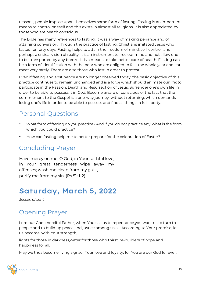reasons, people impose upon themselves some form of fasting. Fasting is an important means to control oneself and this exists in almost all religions. It is also appreciated by those who are health conscious.

The Bible has many references to fasting. It was a way of making penance and of attaining conversion. Through the practice of fasting, Christians imitated Jesus who fasted for forty days. Fasting helps to attain the freedom of mind, self-control, and perhaps a critical vision of reality. It is an instrument to free our mind and not allow one to be transported by any breeze. It is a means to take better care of health. Fasting can be a form of identification with the poor who are obliged to fast the whole year and eat meat very rarely. There are also those who fast in order to protest.

Even if fasting and abstinence are no longer observed today, the basic objective of this practice continues to remain unchanged and is a force which should animate our life: to participate in the Passion, Death and Resurrection of Jesus. Surrender one's own life in order to be able to possess it in God. Become aware or conscious of the fact that the commitment to the Gospel is a one-way journey, without returning, which demands losing one's life in order to be able to possess and find all things in full liberty.

## Personal Questions

- What form of fasting do you practice? And if you do not practice any, what is the form which you could practice?
- How can fasting help me to better prepare for the celebration of Easter?

### Concluding Prayer

Have mercy on me, O God, in Your faithful love, in Your great tenderness wipe away my offenses; wash me clean from my guilt, purify me from my sin. (Ps 51: 1-2)

# <span id="page-14-0"></span>Saturday, March 5, 2022

*Season of Lent*

## Opening Prayer

Lord our God, merciful Father, when You call us to repentance,you want us to turn to people and to build up peace and justice among us all. According to Your promise, let us become, with Your strength,

lights for those in darkness,water for those who thirst, re-builders of hope and happiness for all.

May we thus become living signsof Your love and loyalty, for You are our God for ever.

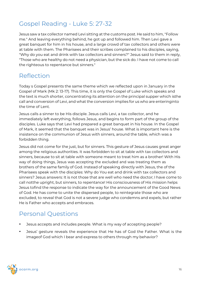# Gospel Reading - Luke 5: 27-32

Jesus saw a tax collector named Levi sitting at the customs post. He said to him, "Follow me." And leaving everything behind, he got up and followed him. Then Levi gave a great banquet for him in his house, and a large crowd of tax collectors and others were at table with them. The Pharisees and their scribes complained to his disciples, saying, "Why do you eat and drink with tax collectors and sinners?" Jesus said to them in reply, "Those who are healthy do not need a physician, but the sick do. I have not come to call the righteous to repentance but sinners."

### Reflection

Today s Gospel presents the same theme which we reflected upon in January in the Gospel of Mark (Mk 2: 13-17). This time, it is only the Gospel of Luke which speaks and the text is much shorter, concentrating its attention on the principal supper which isthe call and conversion of Levi, and what the conversion implies for us who are enteringinto the time of Lent.

Jesus calls a sinner to be His disciple. Jesus calls Levi, a tax collector, and he immediately left everything, follows Jesus, and begins to form part of the group of the disciples. Luke says that Levi had prepared a great banquet in his house. In the Gospel of Mark, it seemed that the banquet was in Jesus' house. What is important here is the insistence on the communion of Jesus with sinners, around the table, which was a forbidden thing.

Jesus did not come for the just, but for sinners. This gesture of Jesus causes great anger among the religious authorities. It was forbidden to sit at table with tax collectors and sinners, because to sit at table with someone meant to treat him as a brother! With His way of doing things, Jesus was accepting the excluded and was treating them as brothers of the same family of God. Instead of speaking directly with Jesus, the of the Pharisees speak with the disciples: Why do You eat and drink with tax collectors and sinners? Jesus answers: It is not those that are well who need the doctor; I have come to call notthe upright, but sinners, to repentance! His consciousness of His mission helps Jesus tofind the response to indicate the way for the announcement of the Good News of God. He has come to unite the dispersed people, to reintegrate those who are excluded, to reveal that God is not a severe judge who condemns and expels, but rather He is Father who accepts and embraces.

### Personal Questions

- Jesus accepts and includes people. What is my way of accepting people?
- Jesus' gesture reveals the experience that He has of God the Father. What is the imageof God which I bear and express to others through my behavior?

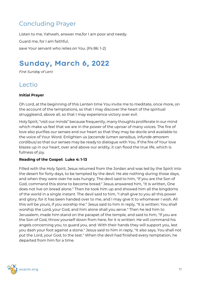# Concluding Prayer

Listen to me, Yahweh, answer me,for I am poor and needy.

Guard me, for I am faithful,

<span id="page-16-0"></span>save Your servant who relies on You. (Ps 86: 1-2)

# Sunday, March 6, 2022

*First Sunday of Lent*

### Lectio

#### **Initial Prayer**

Oh Lord, at the beginning of this Lenten time You invite me to meditate, once more, on the account of the temptations, so that I may discover the heart of the spiritual struggleand, above all, so that I may experience victory over evil.

Holy Spirit, "visit our minds" because frequently, many thoughts proliferate in our mind which make us feel that we are in the power of the uproar of many voices. The fire of love also purifies our senses and our heart so that they may be docile and available to the voice of Your Word. Enlighten us (*accende lumen sensibus, infunde amorem cordibus)* so that our senses may be ready to dialogue with You. If the fire of Your love blazes up in our heart, over and above our aridity, it can flood the true life, which is fullness of joy.

#### **Reading of the Gospel: Luke 4: 1-13**

Filled with the Holy Spirit, Jesus returned from the Jordan and was led by the Spirit into the desert for forty days, to be tempted by the devil. He ate nothing during those days, and when they were over he was hungry. The devil said to him, "If you are the Son of God, command this stone to become bread." Jesus answered him, "It is written, One does not live on bread alone." Then he took him up and showed him all the kingdoms of the world in a single instant. The devil said to him, "I shall give to you all this power and glory; for it has been handed over to me, and I may give it to whomever I wish. All this will be yours, if you worship me." Jesus said to him in reply, "It is written: You shall worship the Lord, your God, and him alone shall you serve." Then he led him to Jerusalem, made him stand on the parapet of the temple, and said to him, "If you are the Son of God, throw yourself down from here, for it is written: He will command his angels concerning you, to guard you, and: With their hands they will support you, lest you dash your foot against a stone." Jesus said to him in reply, "It also says, You shall not put the Lord, your God, to the test." When the devil had finished every temptation, he departed from him for a time.

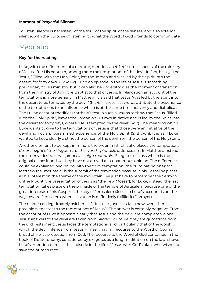#### **Moment of Prayerful Silence:**

To listen, silence is necessary: of the soul, of the spirit, of the senses, and also exterior silence, with the purpose of listening to what the Word of God intends to communicate.

### Meditatio

#### **Key for the reading:**

Luke, with the refinement of a narrator, mentions in 4: 1-44 some aspects of the ministry of Jesus after His baptism, among them the temptations of the devil. In fact, he says that Jesus, "Filled with the Holy Spirit, left the Jordan and was led by the Spirit into the desert, for forty days" (Lk 4: 1-2). Such an episode in the life of Jesus is something preliminary to His ministry, but it can also be understood as the moment of transition from the ministry of John the Baptist to that of Jesus. In Mark such an account of the temptations is more generic. In Matthew, it is said that Jesus "was led by the Spirit into the desert to be tempted by the devil" (Mt 4: 1), these last words attribute the experience of the temptations to an influence which is at the same time heavenly and diabolical. The Lukan account modifies Matthew's text in such a way as to show that Jesus, "filled with the Holy Spirit", leaves the Jordan on His own initiative and is led by the Spirit into the desert for forty days, where "He is tempted by the devil" (4: 2). The meaning which Luke wants to give to the temptations of Jesus is that those were an initiative of the devil and not a programmed experience of the Holy Spirit (S. Brown). It is as if Luke wanted to keep clearly distinct the person of the devil from the person of the HolySpirit.

Another element to be kept in mind is the order in which Luke places the temptations: *desert – sight of the kingdoms of the world – pinnacle of Jerusalem.* In Matthew, instead, the order varies: *desert – pinnacle – high mountain.* Exegetes discuss which is the original disposition, but they have not arrived at a unanimous opinion. The difference could be explained beginning with the third temptation (the culminating one): for Matthew the "mountain" is the summit of the temptation because in his Gospel he places all his interest on the theme of the mountain (we just have to remember the Sermon onthe Mount, the presentation of Jesus as "the new Moses"); for Luke, instead, the last temptation takes place on the pinnacle of the temple of Jerusalem because one of the great interests of his Gospel is the city of Jerusalem (Jesus in Luke's account is on the way toward Jerusalem where salvation is definitively fulfilled) (Fitzmyer).

The reader can legitimately ask himself, "In Luke, just as in Matthew, were there possible witnesses to the temptations of Jesus?" The answer is certainly negative. From the account of Luke it appears clearly that Jesus and the devil are completely alone. Jesus' answers to the devil are taken from Sacred Scripture; they are quotations from the Old Testament. Jesus faces the temptations, and particularly that of the worship which the devil intends from Jesus Himself, having recourse to the Word of God as bread of life, as protection from God. The recourse to the Word of God contained in the book of Deuteronomy, considered by exegetes as a long meditation on the law, shows Luke's intention to recall this episode in the life of Jesus with God's plan, who wishesto save the human race.

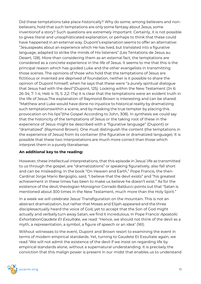Did these temptations take place historically? Why do some, among believers and nonbelievers, hold that such temptations are only some fantasy about Jesus, some inventionof a story? Such questions are extremely important. Certainly, it is not possible to givea literal and unsophisticated explanation, or perhaps to think that these could have happened in an external way. Dupont's explanation seems to offer an alternative: "Jesusspeaks about an experience which He has lived, but translated into a figurative language, adapted to strike the minds of His listeners" (Les Tentations de Jesus au Desert, 128). More than considering them as an external fact, the temptations are considered as a concrete experience in the life of Jesus. It seems to me that this is the principal reason which has guided Luke and the other evangelists in transmitting those scenes. The opinions of those who hold that the temptations of Jesus are fictitious or invented are deprived of foundation, neither is it possible to share the opinion of Dupont himself, when he says that these were "a purely spiritual dialogue that Jesus had with the devil"(Dupont, 125). Looking within the New Testament (Jn 6: 26-34; 7: 1-4; Heb 4: 15; 5: 2;2: 17a) it is clear that the temptations were an evident truth in the life of Jesus.The explanation of Raymond Brown is interesting and can be shared: "Matthew and Luke would have done no injustice to historical reality by dramatizing such temptationswithin a scene, and by masking the true tempter by placing this provocation on his lips"(the Gospel According to John, 308). In synthesis we could say that the historicity of the temptations of Jesus or the taking root of these in the experience of Jesus might be described with a "figurative language" (Dupont) or "dramatized" (Raymond Brown). One must distinguish the content (the temptations in the experience of Jesus) from its container (the figurative or dramatized language). It is possible that these two interpretations are much more correct than those which interpret them in a purely literalsense.

#### **An additional key to the reading:**

However, these intellectual interpretations, that this episode in Jesus' life as transmitted to us through the gospel, are "dramatizations" or speaking figuratively, also fall short and can be misleading. In the book "On Heaven and Earth," Pope Francis, the then-Cardinal Jorge Mario Bergoglio, said, "I believe that the devil exists" and "his greatest achievement in these times has been to make us believe he doesn't exist." As for the existence of the devil, theologian Monsignor Corrado Balducci points out that "Satan is mentioned about 300 times in the New Testament, much more than the Holy Spirit."

In a week we will celebrate Jesus' Transfiguration on the mountain. This is not an abstract dramatization, but rather that Moses and Elijah appeared and the three disciplesactually heard the voice of God, yet to accept that the Son of God might actually and verbally turn away Satan, we find it incredulous. In Pope Francis' *Apostolic ExhortationGaudete Et Exsultate*, we read: "Hence, we should not think of the devil as a myth, a representation, a symbol, a figure of speech or an idea" (161).

Without witnesses to the event, Dupont and Brown resort to examining the event in terms of modern empirical standards. Yet, turning to Gaudete Et Exsultate again, we read "We will not admit the existence of the devil if we insist on regarding life by empirical standards alone, without a supernatural understanding. It is precisely the conviction that this malign power is present in our midst that enables us to understand

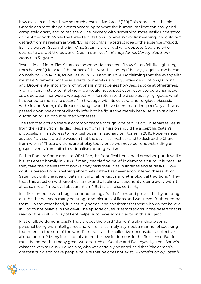how evil can at times have so much destructive force." (160) This represents the old Gnostic desire to shape events according to what the human intellect can easily and completely grasp, and to replace divine mystery with something more easily understood or identified with. While the three temptations do have symbolic meaning, it should not detract from its realism as well. "Evil is not only an abstract idea or the absence of good. Evil is a person, Satan: the Evil One. Satan is the angel who opposes God and who desires to disrupt the power of God in our lives." - *Bishop James Conley, Southern Nebraska Register*.

Jesus himself identifies Satan as someone He has seen: "I saw Satan fall like lightning from heaven" (Lk 10: 18). "The prince of this world is coming," he says, "against me hecan do nothing" (Jn 14: 30), as well as in Jn 16: 11 and Jn 12: 31. By claiming that the evangelist must be "dramatizing" these events, or merely using figurative descriptions,Dupont and Brown enter into a form of rationalism that denies how Jesus spoke at othertimes. From a literary style point of view, we would not expect every event to be transmitted as a quotation, nor would we expect Him to return to the disciples saying "guess what happened to me in the desert..." In that age, with its cultural and religious obsession with sin and Satan, this direct exchange would have been treated respectfully as it was passed down. We cannot directly infer it to be figurative merely because it isn'ta direct quotation or is without human witnesses.

The temptations do share a common theme though, one of division. To separate Jesus from the Father, from His disciples, and from His mission should He accept his (Satan's) proposals. In his address to new bishops in missionary territories in 2016, Pope Francis advised: "Divisions are the weapon that the devil has most at hand to destroy the Church from within." These divisions are at play today once we move our understanding of gospel events from faith to rationalism or pragmatism.

Father Raniero Cantalamessa, OFM Cap, the Pontifical Household preacher, puts it wellin his 1st Lenten homily in 2008: If many people find belief in demons absurd, it is because they take their beliefs from books, they pass their lives in libraries and at desks... How could a person know anything about Satan if he has never encountered thereality of Satan, but only the idea of Satan in cultural, religious and ethnological traditions? They treat this question with great certainty and a feeling of superiority, doing away with it all as so much "medieval obscurantism." But it is a false certainty.

It is like someone who brags about not being afraid of lions and proves this by pointing out that he has seen many paintings and pictures of lions and was never frightened by them. On the other hand, it is entirely normal and consistent for those who do not believe in God to not believe in the devil. The episode of Jesus' temptations in the desert that is read on the First Sunday of Lent helps us to have some clarity on this subject.

First of all, do demons exist? That is, does the word "demon" truly indicate some personal being with intelligence and will, or is it simply a symbol, a manner of speaking that refers to the sum of the world's moral evil, the collective unconscious, collective alienation, etc.? Many intellectuals do not believe in demons in the first sense. But it must be noted that many great writers, such as Goethe and Dostoyevsky, took Satan's existence very seriously. Baudelaire, who was certainly no angel, said that "the demon's greatest trick is to make people believe that he does not exist." - *Translation by Joseph* 

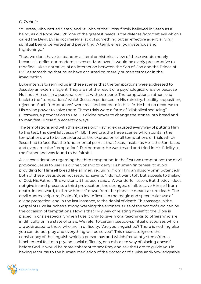#### *G. Trabbic* .

St Teresa, who battled Satan, and St John of the Cross, firmly believed in Satan as a being, as did Pope Paul VI: "one of the greatest needs is the defense from that evil whichis called the Devil. Evil is not merely a lack of something but an effective agent, a living spiritual being, perverted and perverting. A terrible reality, mysterious and frightening..."

Thus, we don't have to abandon a literal or historical view of these events merely because it defies our modernist senses. Moreover, it would be overly presumptive to redefine Luke's narrative, of an interaction between the Son of God and the Prince of Evil, as something that must have occurred on merely human terms or in the imagination.

Luke intends to remind us in these scenes that the temptations were addressed to Jesusby an external agent. They are not the result of a psychological crisis or because He finds Himself in a personal conflict with someone. The temptations, rather, lead back to the "temptations" which Jesus experienced in His ministry: hostility, opposition, rejection. Such "temptations" were real and concrete in His life. He had no recourse to His divine power to solve them. These trials were a form of "diabolical seducing" (Fitzmyer), a provocation to use His divine power to change the stones into bread and to manifest Himself in eccentric ways.

The temptations end with this expression: "Having exhausted every way of putting Him to the test, the devil left Jesus (4: 13). Therefore, the three scenes which contain the temptations are to be considered as the expression of all temptations or trials which Jesus had to face. But the fundamental point is that Jesus, insofar as He is the Son, faced and overcame the "temptation". Furthermore, He was tested and tried in His fidelity to the Father and was found to be faithful.

A last consideration regarding the third temptation. In the first two temptations the devil provoked Jesus to use His divine Sonship to deny His human finiteness, to avoid providing for Himself bread like all men, requiring from Him an illusory omnipotence.In both of these, Jesus does not respond, saying, "I do not want to!", but appeals to thelaw of God, His Father: "It is written… it has been said…" A wonderful lesson. But thedevil does not give in and presents a third provocation, the strongest of all: to save Himself from death. In one word, to throw Himself down from the pinnacle meant a sure death. The devil quotes scripture, Psalm 91, to invite Jesus to the magic and spectacular use of divine protection, and in the last instance, to the denial of death. Thispassage in the Gospel of Luke launches a strong warning: the erroneous use of the Wordof God can be the occasion of temptations. How is that? My way of relating myself to the Bible is placed in crisis especially when I use it only to give moral teachings to others who are in difficulty or in a state of crisis. We refer to certain pseudo-spiritual discourses which are addressed to those who are in difficulty: "Are you anguished? There is nothing else you can do but pray and everything will be solved". This means to ignore the consistency of the anguish which a person has and which frequently stemsfrom a biochemical fact or a psycho-social difficulty, or a mistaken way of placing oneself before God. It would be more coherent to say: Pray and ask the Lord to guide you in having recourse to the human mediation of the doctor or of a wise andknowledgeable

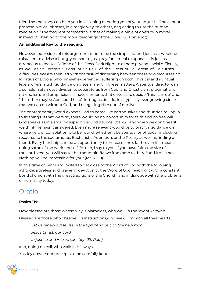friend so that they can help you in lessening or curing you of your anguish. One cannot propose biblical phrases, in a magic way, to others, neglecting to use the human mediation. "The frequent temptation is that of making a bible of one's own moral, instead of listening to the moral teachings of the Bible." (X. Thévenot).

#### **An additional key to the reading:**

However, both sides of this argument tend to be too simplistic, and just as it would be mistaken to advise a hungry person to just pray for a meal to appear, it is just as erroneous to reduce St John of the Cross' Dark Night to a mere psycho-social difficulty, as well as St Terese's visions, or St Paul of the Cross or St Teresa of Calcutta's difficulties. We are then left with the task of discerning between these two recourses. St Ignatius of Loyola, who himself experienced suffering on both physical and spiritual levels, offers much guidance on discernment in these matters. A spiritual director can also help. Satan uses division to separate us from God, and Gnosticism, pragmatism, rationalism, and empiricism all have elements that drive us to decide "this I can do" and "this other maybe God could help", letting us decide, in a typically ever growing circle, that we can do without God, and relegating Him out of our lives.

The contemporary world expects God to come like earthquakes and thunder, rolling in to fix things. If that were so, there would be no opportunity for faith and no free will. God speaks as in a small whispering sound (1 Kings 19: 11-12), and when we don't hearit, we think He hasn't answered. Even more relevant would be to pray for guidance on where help or consolation is to be found, whether it be spiritual or physical, including recourse to the sacraments, Eucharistic Adoration, or the Rosary as well as finding a friend. Every hardship can be an opportunity to increase one's faith, even if it means doing some of the work oneself. "Amen, I say to you, if you have faith the size of a mustard seed, you will say to this mountain, 'Move from here to there,' and it will move. Nothing will be impossible for you" (Mt 17: 20).

In this time of Lent I am invited to get close to the Word of God with the following attitude: a tireless and prayerful devotion to the Word of God, reading it with a constant bond of union with the great traditions of the Church, and in dialogue with the problems of humanity today.

### Oratio

#### **Psalm 119:**

How blessed are those whose way is blameless, who walk in the law of Yahweh! Blessed are those who observe His instructions,who seek Him with all their hearts,

*Let us renew ourselves in the SpiritAnd put on the new man*

*Jesus Christ, our Lord,*

*in justice and in true sanctity. (St. Paul).*

and, doing no evil, who walk in His ways.

You lay down Your precepts to be carefully kept.

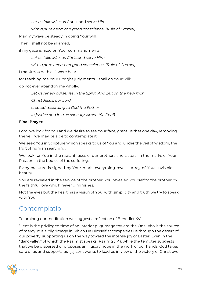*Let us follow Jesus* Christ and *serve Him*

*with apure heart and good conscience. (Rule of Carmel)*

May my ways be steady in doing Your will.

Then I shall not be shamed,

if my gaze is fixed on Your commandments.

*Let us follow Jesus Christand serve Him*

*with apure heart and good conscience. (Rule of Carmel)*

I thank You with a sincere heart

for teaching me Your upright judgments. I shall do Your will;

do not ever abandon me wholly.

*Let us renew ourselves in the Spirit And put on the new man*

*Christ Jesus, our Lord,*

*created according to God the Father*

*in justice and in true sanctity. Amen (St. Paul).*

#### **Final Prayer:**

Lord, we look for You and we desire to see Your face, grant us that one day, removing the veil, we may be able to contemplate it.

We seek You in Scripture which speaks to us of You and under the veil of wisdom, the fruit of human searching.

We look for You in the radiant faces of our brothers and sisters, in the marks of Your Passion in the bodies of the suffering.

Every creature is signed by Your mark, everything reveals a ray of Your invisible beauty.

You are revealed in the service of the brother, You revealed Yourself to the brother by the faithful love which never diminishes.

Not the eyes but the heart has a vision of You, with simplicity and truth we try to speak with You.

# Contemplatio

To prolong our meditation we suggest a reflection of Benedict XVI:

"Lent is the privileged time of an interior pilgrimage toward the One who is the source of mercy. It is a pilgrimage in which He Himself accompanies us through the desert of our poverty, supporting us on the way toward the intense joy of Easter. Even in the "dark valley" of which the Psalmist speaks (Psalm 23: 4), while the tempter suggests that we be dispersed or proposes an illusory hope in the work of our hands, God takes care of us and supports us. […] Lent wants to lead us in view of the victory of Christ over

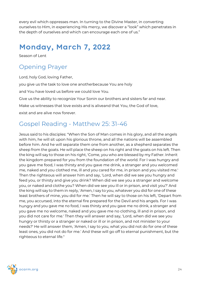every evil which oppresses man. In turning to the Divine Master, in converting ourselves to Him, in experiencing His mercy, we discover a "look" which penetrates in the depth of ourselves and which can encourage each one of us."

# <span id="page-23-0"></span>Monday, March 7, 2022

Season of Lent

### Opening Prayer

Lord, holy God, loving Father,

you give us the task to love one anotherbecause You are holy

and You have loved us before we could love You.

Give us the ability to recognize Your Sonin our brothers and sisters far and near.

Make us witnesses that love exists and is aliveand that You, the God of love,

exist and are alive now forever.

### Gospel Reading - Matthew 25: 31-46

Jesus said to his disciples: "When the Son of Man comes in his glory, and all the angels with him, he will sit upon his glorious throne, and all the nations will be assembled before him. And he will separate them one from another, as a shepherd separates the sheep from the goats. He will place the sheep on his right and the goats on his left. Then the king will say to those on his right, 'Come, you who are blessed by my Father. Inherit the kingdom prepared for you from the foundation of the world. For I was hungry and you gave me food, I was thirsty and you gave me drink, a stranger and you welcomed me, naked and you clothed me, ill and you cared for me, in prison and you visited me.' Then the righteous will answer him and say, 'Lord, when did we see you hungry and feed you, or thirsty and give you drink? When did we see you a stranger and welcome you, or naked and clothe you? When did we see you ill or in prison, and visit you?' And the king will say to them in reply, 'Amen, I say to you, whatever you did for one of these least brothers of mine, you did for me.' Then he will say to those on his left, 'Depart from me, you accursed, into the eternal fire prepared for the Devil and his angels. For I was hungry and you gave me no food, I was thirsty and you gave me no drink, a stranger and you gave me no welcome, naked and you gave me no clothing, ill and in prison, and you did not care for me.' Then they will answer and say, 'Lord, when did we see you hungry or thirsty or a stranger or naked or ill or in prison, and not minister to your needs?' He will answer them, 'Amen, I say to you, what you did not do for one of these least ones, you did not do for me.' And these will go off to eternal punishment, but the righteous to eternal life."

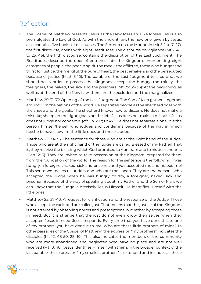# Reflection

- The Gospel of Matthew presents Jesus as the New Messiah. Like Moses, Jesus also promulgates the Law of God. As with the ancient law, the new one, given by Jesus, also contains five books or discourses. The Sermon on the Mountain (Mt 5: 1 to 7: 27), the first discourse, opens with eight Beatitudes. The discourse on vigilance (Mt 2: 4, 1 to 25, 46), the fifth discourse, contains the description of the Last Judgment. The Beatitudes describe the door of entrance into the Kingdom, enumerating eight categories of people: the poor in spirit, the meek, the afflicted, those who hunger and thirst for justice, the merciful, the pure of heart, the peacemakers and the persecuted because of justice (Mt 5: 3-10). The parable of the Last Judgment tells us what we should do in order to possess the Kingdom: accept the hungry, the thirsty, the foreigners, the naked, the sick and the prisoners (Mt 25: 35-36): At the beginning, as well as at the end of the New Law, there are the excluded and the marginalized.
- Matthew 25: 31-33: Opening of the Last Judgment. The Son of Man gathers together around Him the nations of the world. He separates people as the shepherd does with the sheep and the goats. The shepherd knows how to discern. He does not make a mistake; sheep on the right, goats on the left. Jesus does not make a mistake. Jesus does not judge nor condemn. (cfr. Jn 3: 17; 12: 47). He does not separate alone. It is the person himself/herself who judges and condemns because of the way in which he/she behaves toward the little ones and the excluded.
- Matthew 25: 34-36: The sentence for those who are at the right hand of the Judge. Those who are at the right hand of the judge are called Blessed of my Father! That is, they receive the blessing which God promised to Abraham and to his descendants (Gen 12: 3). They are invited to take possession of the Kingdom, prepared for them from the foundation of the world. The reason for the sentence is the following: I was hungry, a foreigner, naked, sick and prisoner, and you accepted me and helped me! This sentence makes us understand who are the sheep. They are the persons who accepted the Judge when he was hungry, thirsty, a foreigner, naked, sick and prisoner. Because of the way of speaking about my Father and the Son of Man, we can know that the Judge is precisely Jesus Himself. He identifies Himself with the little ones!
- Matthew 25: 37-40: A request for clarification and the response of the Judge: Those who accept the excluded are called just. That means that the justice of the Kingdom is not attained by observing norms and prescriptions, but rather by accepting those in need. But it is strange that the just do not even know themselves when they accepted Jesus in need. Jesus responds: Every time that you have done this to one of my brothers, you have done it to me. Who are these little brothers of mine? In other passages of the Gospel of Matthew, the expression "my brothers" indicates the disciples (Mt 12: 48-50; 28: 10). This also indicates the members of the community who are more abandoned and neglected who have no place and are not well received (Mt 10: 40). Jesus identifies Himself with them. In the broader context of the last parable, the expression "my smallest brothers" is extended and includes all those

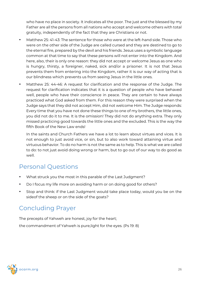who have no place in society. It indicates all the poor. The just and the blessed by my Father are all the persons from all nations who accept and welcome others with total gratuity, independently of the fact that they are Christians or not.

- Matthew 25: 41-43: The sentence for those who were at the left-hand side. Those who were on the other side of the Judge are called cursed and they are destined to go to the eternal fire, prepared by the devil and his friends. Jesus uses a symbolic language common at that time to say that these persons will not enter into the Kingdom. And here, also, their is only one reason: they did not accept or welcome Jesus as one who is hungry, thirsty, a foreigner, naked, sick and/or a prisoner. It is not that Jesus prevents them from entering into the Kingdom, rather it is our way of acting that is our blindness which prevents us from seeing Jesus in the little ones.
- Matthew 25: 44-46: A request for clarification and the response of the Judge. The request for clarification indicates that it is a question of people who have behaved well, people who have their conscience in peace. They are certain to have always practiced what God asked from them. For this reason they were surprised when the Judge says that they did not accept Him, did not welcome Him. The Judge responds: Every time that you have not done these things to one of my brothers, the little ones, you did not do it to me. It is the omission! They did not do anything extra. They only missed practicing good towards the little ones and the excluded. This is the way the fifth Book of the New Law ends!

In the saints and Church Fathers we have a lot to learn about virtues and vices. It is not enough to just avoid vice, or sin, but to also work toward attaining virtue and virtuous behavior. To do no harm is not the same as to help. This is what we are called to do: to not just avoid doing wrong or harm, but to go out of our way to do good as well.

### Personal Questions

- What struck you the most in this parable of the Last Judgment?
- Do I focus my life more on avoiding harm or on doing good for others?
- Stop and think: if the Last Judgment would take place today, would you be on the sideof the sheep or on the side of the goats?

## Concluding Prayer

The precepts of Yahweh are honest, joy for the heart;

<span id="page-25-0"></span>the commandment of Yahweh is pure,light for the eyes. (Ps 19: 8)

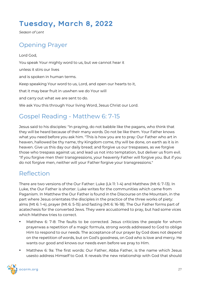# Tuesday, March 8, 2022

*Season of Lent*

# Opening Prayer

Lord God, You speak Your mighty word to us, but we cannot hear it unless it stirs our lives and is spoken in human terms. Keep speaking Your word to us, Lord, and open our hearts to it, that it may bear fruit in uswhen we do Your will and carry out what we are sent to do. We ask You this through Your living Word, Jesus Christ our Lord.

### Gospel Reading - Matthew 6: 7-15

Jesus said to his disciples: "In praying, do not babble like the pagans, who think that they will be heard because of their many words. Do not be like them. Your Father knows what you need before you ask him. "This is how you are to pray: Our Father who art in heaven, hallowed be thy name, thy Kingdom come, thy will be done, on earth as it is in heaven. Give us this day our daily bread; and forgive us our trespasses, as we forgive those who trespass against us; and lead us not into temptation, but deliver us from evil. "If you forgive men their transgressions, your heavenly Father will forgive you. But if you do not forgive men, neither will your Father forgive your transgressions."

### Reflection

There are two versions of the Our Father: Luke (Lk 11: 1-4) and Matthew (Mt 6: 7-13). In Luke, the Our Father is shorter. Luke writes for the communities which came from Paganism. In Matthew the Our Father is found in the Discourse on the Mountain, in the part where Jesus orientates the disciples in the practice of the three works of piety: alms (Mt 6: 1-4), prayer (Mt 6: 5-15) and fasting (Mt 6: 16-18). The Our Father forms part of acatechesis for the converted Jews. They were accustomed to pray, but had some vices which Matthew tries to correct.

- Matthew 6: 7-8: The faults to be corrected. Jesus criticizes the people for whom prayerwas a repetition of a magic formula, strong words addressed to God to oblige Him to respond to our needs. The acceptance of our prayer by God does not depend on the repetition of words, but on God's goodness, on God who is love and mercy. He wants our good and knows our needs even before we pray to Him.
- Matthew 6: 9a: The first words: Our Father, Abba Father, is the name which Jesus usesto address Himself to God. It reveals the new relationship with God that should

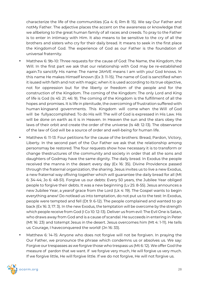characterize the life of the communities (Ga 4: 6; Rm 8: 15). We say Our Father and notMy Father. The adjective places the accent on the awareness or knowledge that we allbelong to the great human family of all races and creeds. To pray to the Father is to enter in intimacy with Him. It also means to be sensitive to the cry of all the brothers and sisters who cry for their daily bread. It means to seek in the first place the Kingdomof God. The experience of God as our Father is the foundation of universal fraternity.

- Matthew 6: 9b-10: Three requests for the cause of God: The Name, the Kingdom, the Will. In the first part we ask that our relationship with God may be re-established again.To sanctify His name: The name JAHVE means I am with you! God knows. In this name He makes Himself known (Ex 3: 11-15). The name of God is sanctified when it isused with faith and not with magic; when it is used according to its true objective, not for oppression but for the liberty or freedom of the people and for the construction of the Kingdom. The coming of the Kingdom: The only Lord and King of life is God (Is 45: 21; 46: 9). The coming of the Kingdom is the fulfillment of all the hopes and promises. It is life in plenitude, the overcoming of frustration suffered with human kingsand governments. This Kingdom will come when the Will of God will be fullyaccomplished. To do His will: The will of God is expressed in His Law. His will be done on earth as it is in Heaven. In Heaven the sun and the stars obey the laws of their orbit and create the order of the universe (Is 48: 12-13). The observance of the law of God will be a source of order and well-being for human life.
- Matthew 6: 11-13: Four petitions for the cause of the brothers: Bread, Pardon, Victory, Liberty. In the second part of the Our Father we ask that the relationship among personsmay be restored. The four requests show how necessary it is to transform or change thestructures of the community and society in order that all the sons and daughters of Godmay have the same dignity. The daily bread. In Exodus the people received the manna in the desert every day (Ex 16: 35). Divine Providence passed through the fraternal organization, the sharing. Jesus invites us to live a new Exodus, a new fraternal way ofliving together which will guarantee the daily bread for all (Mt 6: 34-44; Jo 6: 48-51). Forgive us our debts: Every 50 years, the Jubilee Year obliged people to forgive their debts. It was a new beginning (Lv 25: 8-55). Jesus announces a new Jubilee Year, a yearof grace from the Lord (Lk 4: 19). The Gospel wants to begin everything anew! Do notlead us into temptation, do not put us to the test: In Exodus, people were tempted and fell (Dt 9: 6-12). The people complained and wanted to go back (Ex 16: 3; 17: 3). In the new Exodus, the temptation will be overcome by the strength which people receive from God (I Co 10: 12-13). Deliver us from evil: The Evil One is Satan, who draws away from God and is a cause of scandal. He succeeds in entering in Peter (Mt 16: 23) and totempt Jesus in the desert. Jesus overcomes him (Mt 4: 1-11). He tells us: Courage, I haveconquered the world! (Jn 16: 33).
- Matthew 6: 14-15: Anyone who does not forgive will not be forgiven. In praying the Our Father, we pronounce the phrase which condemns us or absolves us. We say: Forgive our trespasses as we forgive those who trespass us (Mt 6: 12). We offer God the measure of pardon that we want. If we forgive very much, He will forgive us very much. If we forgive little, He will forgive little. If we do not forgive, He will not forgive us.

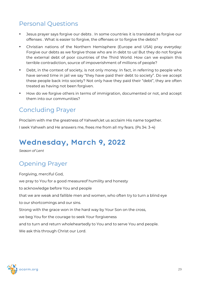# Personal Questions

- Jesus prayer says forgive our debts . In some countries it is translated as forgive our offenses . What is easier to forgive, the offenses or to forgive the debts?
- Christian nations of the Northern Hemisphere (Europe and USA) pray everyday: Forgive our debts as we forgive those who are in debt to us! But they do not forgive the external debt of poor countries of the Third World. How can we explain this terrible contradiction, source of impoverishment of millions of people?
- Debt, in the context of society, is not only money. In fact, in referring to people who have served time in jail we say "they have paid their debt to society". Do we accept these people back into society? Not only have they paid their "debt", they are often treated as having not been forgiven.
- How do we forgive others in terms of immigration, documented or not, and accept them into our communities?

### Concluding Prayer

Proclaim with me the greatness of Yahweh,let us acclaim His name together.

<span id="page-28-0"></span>I seek Yahweh and He answers me, frees me from all my fears. (Ps 34: 3-4)

# Wednesday, March 9, 2022

*Season of Lent*

# Opening Prayer

Forgiving, merciful God, we pray to You for a good measureof humility and honesty to acknowledge before You and people that we are weak and fallible men and women, who often try to turn a blind eye to our shortcomings and our sins. Strong with the grace won in the hard way by Your Son on the cross, we beg You for the courage to seek Your forgiveness and to turn and return wholeheartedly to You and to serve You and people. We ask this through Christ our Lord.

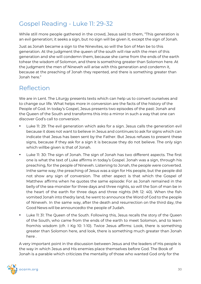# Gospel Reading - Luke 11: 29-32

While still more people gathered in the crowd, Jesus said to them, "This generation is an evil generation; it seeks a sign, but no sign will be given it, except the sign of Jonah.

Just as Jonah became a sign to the Ninevites, so will the Son of Man be to this generation. At the judgment the queen of the south will rise with the men of this generation and she will condemn them, because she came from the ends of the earth tohear the wisdom of Solomon, and there is something greater than Solomon here. At the judgment the men of Nineveh will arise with this generation and condemn it, because at the preaching of Jonah they repented, and there is something greater than Jonah here."

### Reflection

We are in Lent. The Liturgy presents texts which can help us to convert ourselves and to change our life. What helps more in conversion are the facts of the history of the People of God. In today's Gospel, Jesus presents two episodes of the past: Jonah and the Queen of the South and transforms this into a mirror in such a way that one can discover God's call to conversion.

- Luke 11: 29: The evil generation which asks for a sign. Jesus calls the generation evil because it does not want to believe in Jesus and continues to ask for signs which can indicate that Jesus has been sent by the Father. But Jesus refuses to present these signs, because if they ask for a sign it is because they do not believe. The only sign which willbe given is that of Jonah.
- Luke 11: 30: The sign of Jonah. The sign of Jonah has two different aspects. The first one is what the text of Luke affirms in today's Gospel. Jonah was a sign, through his preaching, for the people of Nineveh. Listening to Jonah, the people were converted. Inthe same way, the preaching of Jesus was a sign for His people, but the people did not show any sign of conversion. The other aspect is that which the Gospel of Matthew affirms when he quotes the same episode: For as Jonah remained in the belly of the sea-monster for three days and three nights, so will the Son of man be in the heart of the earth for three days and three nights (Mt 12: 40). When the fish vomited Jonah into thedry land, he went to announce the Word of God to the people of Nineveh. In the same way, after the death and resurrection on the third day, the Good News will be announcedto the people of Judah.
- Luke 11: 31: The Queen of the South. Following this, Jesus recalls the story of the Queen of the South, who came from the ends of the earth to meet Solomon, and to learn fromhis wisdom (cfr. I Kg 10: 1-10). Twice Jesus affirms: Look, there is something greater than Solomon here, and look, there is something much greater than Jonah here .

A very important point in the discussion between Jesus and the leaders of His people is the way in which Jesus and His enemies place themselves before God. The Book of Jonah is a parable which criticizes the mentality of those who wanted God only for the

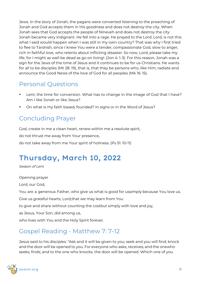Jews. In the story of Jonah, the pagans were converted listening to the preaching of Jonah and God accepts them in His goodness and does not destroy the city. When Jonah sees that God accepts the people of Nineveh and does not destroy the city Jonah became very indignant. He fell into a rage. He prayed to the Lord: Lord, is not this what I said would happen when I was still in my own country? That was why I first tried to flee to Tarshish, since I knew You were a tender, compassionate God, slow to anger, rich in faithful love, who relents about inflicting disaster. So now, Lord, please take my life, for I might as well be dead as go on living!. (Jon 4: 1-3). For this reason, Jonah was a sign for the Jews of the time of Jesus and it continues to be for us Christians. He wants for all to be disciples (Mt 28: 19), that is, that they be persons who, like Him, radiate and announce the Good News of the love of God for all peoples (Mk 16: 15).

# Personal Questions

- Lent, the time for conversion. What has to change in the image of God that I have? Am I like Jonah or like Jesus?
- On what is my faith based, founded? In signs or in the Word of Jesus?

# Concluding Prayer

God, create in me a clean heart, renew within me a resolute spirit,

do not thrust me away from Your presence,

<span id="page-30-0"></span>do not take away from me Your spirit of holiness. (Ps 51: 10-11)

# Thursday, March 10, 2022

*Season of Lent*

Opening prayer

Lord, our God,

You are a generous Father, who give us what is good for ussimply because You love us.

Give us grateful hearts, Lord,that we may learn from You

to give and share without counting the costbut simply with love and joy,

as Jesus, Your Son, did among us,

who lives with You and the Holy Spirit forever.

### Gospel Reading - Matthew 7: 7-12

Jesus said to his disciples: "Ask and it will be given to you; seek and you will find; knock and the door will be opened to you. For everyone who asks, receives; and the onewho seeks, finds; and to the one who knocks, the door will be opened. Which one of you

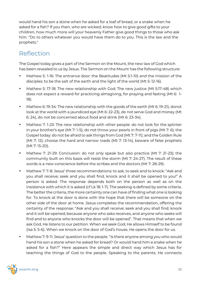would hand his son a stone when he asked for a loaf of bread, or a snake when he asked for a fish? If you then, who are wicked, know how to give good gifts to your children, how much more will your heavenly Father give good things to those who ask him. "Do to others whatever you would have them do to you. This is the law and the prophets."

# Reflection

The Gospel today gives a part of the Sermon on the Mount, the new law of God which has been revealed to us by Jesus. The Sermon on the Mount has the following structure:

- Mathew 5: 1-16: The entrance door: the Beatitudes (Mt 5:1-10) and the mission of the disciples: to be the salt of the earth and the light of the world (Mt 5: 12-16).
- Mathew 5: 17-18: The new relationship with God: The new justice (Mt 5:17-48) which does not expect a reward for practicing almsgiving, for praying and fasting (Mt 6: 1- 18).
- Mathew 6: 19-34: The new relationship with the goods of the earth (Mt 6: 19-21), donot look at the world with a jaundiced eye (Mt 6: 22-23), do not serve God and money (Mt 6: 24), do not be concerned about food and drink (Mt 6: 23-34).
- Mathew 7: 1-23: The new relationship with other people: do not look for the splinter in your brother's eye (Mt 7: 1-5); do not throw your pearls in front of pigs (Mt 7: 6); the Gospel today: do not be afraid to ask things from God (Mt 7: 7-11); and the Golden Rule (Mt 7: 12); choose the hard and narrow roads (Mt 7: 13-14), beware of false prophets (Mt 7: 15-20).
- Mathew 7: 21-29: Conclusion: do not only speak but also practice (Mt 7: 21-23); the community built on this basis will resist the storm (Mt 7: 24-27). The result of these words is a new conscience before the scribes and the doctors (Mt 7: 28-29).
- Mathew 7: 7-8: Jesus' three recommendations: to ask, to seek and to knock: "Ask and you shall receive; seek and you shall find; knock and it shall be opened to you!" A person is asked. The response depends both on the person as well as on the insistence with which it is asked (cf Lk 18: 1-7). The seeking is defined by some criteria. The better the criteria, the more certainty one can have of finding what one is looking for. To knock at the door is done with the hope that there will be someone on the other side of the door at home. Jesus completes the recommendation, offering the certainty of the response: "Ask and you shall receive; seek and you shall find; knock and it will be opened; because anyone who asks receives, and anyone who seeks will find and to anyone who knocks the door will be opened". That means that when we ask God, He listens to our petition. When we seek God, He allows Himself to be found (Isa 5: 5-6). When we knock on the door of God's house, He opens the door for us.
- Mathew 7: 9-11: Jesus' question to the people. "Is there anyone among you who would hand his son a stone when he asked for bread? Or would hand him a snake when he asked for a fish?" Here appears the simple and direct way which Jesus has for teaching the things of God to the people. Speaking to the parents, He connects

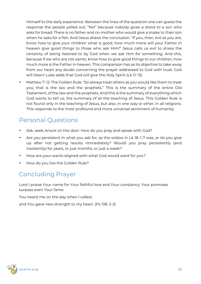Himself to the daily experience. Between the lines of the question one can guess the response the people yelled out: "No!" because nobody gives a stone to a son who asks for bread. There is no father and no mother who would give a snake to their son when he asks for a fish. And Jesus draws the conclusion: "If you, then, evil as you are, know how to give your children what is good, how much more will your Father in heaven give good things to those who ask Him!" Jesus calls us evil to stress the certainty of being listened to by God when we ask Him for something. And this, because if we who are not saints, know how to give good things to our children, how much more is the Father in heaven. This comparison has as its objective to take away from our heart any doubt concerning the prayer addressed to God with trust. God will listen! Luke adds that God will give the Holy Spirit (Lk 11:13).

• Mathew 7: 12: The Golden Rule. "So always treat others as you would like them to treat you; that is the law and the prophets." This is the summary of the entire Old Testament, of the law and the prophets. And this is the summary of everything which God wants to tell us, the summary of all the teaching of Jesus. This Golden Rule is not found only in the teaching of Jesus, but also, in one way or other, in all religions. This responds to the most profound and more universal sentiment of humanity.

# Personal Questions

- Ask, seek, knock on the door: How do you pray and speak with God?
- Are you persistent in what you ask for, as the widow in Lk 18: 1-7 was, or do you give up after not getting results immediately? Would you pray persistently (and insistently) for years, or just months, or just a week?
- How are your wants aligned with what God would want for you?
- How do you live the Golden Rule?

## Concluding Prayer

Lord I praise Your name for Your faithful love and Your constancy; Your promises surpass even Your fame.

You heard me on the day when I called,

<span id="page-32-0"></span>and You gave new strength to my heart. (Ps 138: 2-3)

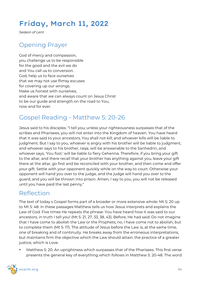# Friday, March 11, 2022

*Season of Lent*

# Opening Prayer

God of mercy and compassion, you challenge us to be responsible for the good and the evil we do and You call us to conversion. God, help us to face ourselves that we may not use flimsy excuses for covering up our wrongs. Make us honest with ourselves, and aware that we can always count on Jesus Christ to be our guide and strength on the road to You, now and for ever.

### Gospel Reading - Matthew 5: 20-26

Jesus said to his disciples: "I tell you, unless your righteousness surpasses that of the scribes and Pharisees, you will not enter into the Kingdom of heaven. You have heard that it was said to your ancestors, You shall not kill; and whoever kills will be liable to judgment. But I say to you, whoever is angry with his brother will be liable to judgment, and whoever says to his brother, raqa, will be answerable to the Sanhedrin, and whoever says, 'You fool,' will be liable to fiery Gehenna. Therefore, if you bring your gift to the altar, and there recall that your brother has anything against you, leave your gift there at the altar, go first and be reconciled with your brother, and then come and offer your gift. Settle with your opponent quickly while on the way to court. Otherwise your opponent will hand you over to the judge, and the judge will hand you over to the guard, and you will be thrown into prison. Amen, I say to you, you will not be released until you have paid the last penny."

### Reflection

The text of today s Gospel forms part of a broader or more extensive whole: Mt 5: 20 up to Mt 5: 48. In these passages Matthew tells us how Jesus interprets and explains the Law of God. Five times He repeats the phrase: You have heard how it was said to our ancestors, in truth I tell you! (Mt 5: 21, 27, 33, 38, 43). Before, He had said: Do not imagine that I have come to abolish the Law or the Prophets; no, I have come not to abolish, but to complete them (Mt 5: 17). The attitude of Jesus before the Law is, at the same time, one of breaking and of continuity. He breaks away from the erroneous interpretations, but maintains firm the objective which the Law should attain: the practice of a greater justice, which is Love.

Matthew 5: 20: An uprightness which surpasses that of the Pharisees. This first verse presents the general key of everything which follows in Matthew 5: 20-48. The word

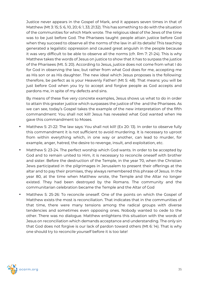Justice never appears in the Gospel of Mark, and it appears seven times in that of Matthew (Mt 3: 15; 5: 6, 10, 20; 6: 1, 33; 21:32). This has something to do with the situation of the communities for which Mark wrote. The religious ideal of the Jews of the time was to be just before God. The Pharisees taught: people attain justice before God when they succeed to observe all the norms of the law in all its details! This teaching generated a legalistic oppression and caused great anguish in the people because it was very difficult to be able to observe all the norms (cfr. Rm 7: 21-24). This is why Matthew takes the words of Jesus on justice to show that it has to surpass the justice of the Pharisees (Mt. 5: 20). According to Jesus, justice does not come from what I do for God in observing the law, but rather from what God does for me, accepting me as His son or as His daughter. The new ideal which Jesus proposes is the following: therefore, be perfect as is your Heavenly Father! (Mt 5: 48). That means: you will be just before God when you try to accept and forgive people as God accepts and pardons me, in spite of my defects and sins.

By means of these five very concrete examples, Jesus shows us what to do in order to attain this greater justice which surpasses the justice of the and the Pharisees. As we can see, today's Gospel takes the example of the new interpretation of the fifth commandment: You shall not kill! Jesus has revealed what God wanted when He gave this commandment to Moses.

- Matthew 5: 21-22: The law says: You shall not kill! (Ex 20: 13). In order to observe fully this commandment it is not sufficient to avoid murdering. It is necessary to uproot from within everything which, in one way or another, can lead to murder, for example, anger, hatred, the desire to revenge, insult, and exploitation, etc.
- Matthew 5: 23-24. The perfect worship which God wants. In order to be accepted by God and to remain united to Him, it is necessary to reconcile oneself with brother and sister. Before the destruction of the Temple, in the year 70, when the Christian Jews participated in the pilgrimages in Jerusalem to present their offerings at the altar and to pay their promises, they always remembered this phrase of Jesus. In the year 80, at the time when Matthew wrote, the Temple and the Altar no longer existed. They had been destroyed by the Romans. The community and the communitarian celebration became the Temple and the Altar of God
- Matthew 5: 25-26: To reconcile oneself. One of the points on which the Gospel of Matthew exists the most is reconciliation. That indicates that in the communities of that time, there were many tensions among the radical groups with diverse tendencies and sometimes even opposing ones. Nobody wanted to cede to the other. There was no dialogue. Matthew enlightens this situation with the words of Jesus on reconciliation which demands acceptance and understanding. The only sin that God does not forgive is our lack of pardon toward others (Mt 6: 14). That is why one should try to reconcile yourself before it is too late!

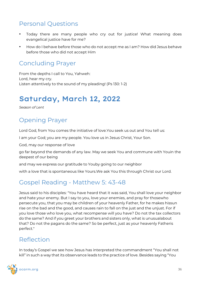# Personal Questions

- Today there are many people who cry out for justice! What meaning does evangelical justice have for me?
- How do I behave before those who do not accept me as I am? How did Jesus behave before those who did not accept Him

## Concluding Prayer

From the depths I call to You, Yahweh: Lord, hear my cry. Listen attentively to the sound of my pleading! (Ps 130: 1-2)

# <span id="page-35-0"></span>Saturday, March 12, 2022

*Season of Lent*

# Opening Prayer

Lord God, from You comes the initiative of love.You seek us out and You tell us:

I am your God; you are my people. You love us in Jesus Christ, Your Son.

God, may our response of love

go far beyond the demands of any law. May we seek You and commune with Youin the deepest of our being

and may we express our gratitude to Youby going to our neighbor

with a love that is spontaneous like Yours.We ask You this through Christ our Lord.

### Gospel Reading - Matthew 5: 43-48

Jesus said to his disciples: "You have heard that it was said, You shall love your neighbor and hate your enemy. But I say to you, love your enemies, and pray for thosewho persecute you, that you may be children of your heavenly Father, for he makes hissun rise on the bad and the good, and causes rain to fall on the just and the unjust. For if you love those who love you, what recompense will you have? Do not the tax collectors do the same? And if you greet your brothers and sisters only, what is unusualabout that? Do not the pagans do the same? So be perfect, just as your heavenly Fatheris perfect."

### Reflection

In today's Gospel we see how Jesus has interpreted the commandment "You shall not kill" in such a way that its observance leads to the practice of love. Besides saying "You

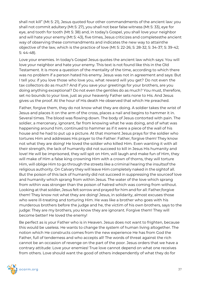shall not kill" (Mt 5: 21), Jesus quoted four other commandments of the ancient law: you shall not commit adultery (Mt 5: 27), you shall not bear false witness (Mt 5: 33), eye for eye, and tooth for tooth (Mt 5: 38) and, in today's Gospel, you shall love your neighbor and will hate your enemy (Mt 5: 43), five times, Jesus criticizes and completesthe ancient way of observing these commandments and indicates the new way to attainthe objective of the law, which is the practice of love (Mt 5: 22-26; 5: 28-32; 5: 34-37; 5: 39-42; 5: 44-48).

Love your enemies. In today's Gospel Jesus quotes the ancient law which says: You will love your neighbor and hate your enemy. This text is not found like this in the Old Testament. It is more a question of the mentality of the time, according to which there was no problem if a person hated his enemy. Jesus was not in agreement and says: But I tell you: if you love those who love you, what reward will you get? Do not even the tax collectors do as much? And if you save your greetings for your brothers, are you doing anything exceptional? Do not even the gentiles do as much? You must, therefore, set no bounds to your love, just as your heavenly Father sets none to His. And Jesus gives us the proof. At the hour of His death He observed that which He preached.

Father, forgive them, they do not know what they are doing. A soldier takes the wrist of Jesus and places it on the arm of the cross, places a nail and begins to hammer it in. Several times. The blood was flowing down. The body of Jesus contorted with pain. The soldier, a mercenary, ignorant, far from knowing what he was doing, and of what was happening around him, continued to hammer as if it were a piece of the wall of his house and he had to put up a picture. At that moment Jesus prays for the soldier who tortures Him and addresses His prayer to the Father: Father, forgive them! They know not what they are doing! He loved the soldier who killed Him. Even wanting it with all their strength, the lack of humanity did not succeed to kill in Jesus His humanity and love! He will be imprisoned, they will spit on Him, will laugh and make fun of Him, they will make of Him a false king crowning Him with a crown of thorns, they will torture Him, will oblige Him to go through the streets like a criminal hearing the insultsof the religious authority. On Calvary they will leave Him completely naked in the sightof all. But the poison of this lack of humanity did not succeed in suppressing the sourceof love and humanity which sprang from within Jesus. The water of the love which sprang from within was stronger than the poison of hatred which was coming from without. Looking at that soldier, Jesus felt sorrow and prayed for him and for all: Father,forgive them! They know not what they are doing! Jesus, in solidarity, almost excuses those who were ill-treating and torturing Him. He was like a brother who goes with his murderous brothers before the judge and he, the victim of his own brothers, says to the judge: They are my brothers, you know they are ignorant. Forgive them! They will become better! He loved the enemy!

Be perfect as is your Father who is in Heaven. Jesus does not want to frighten, because this would be useless. He wants to change the system of human living altogether. The notion which He constructs comes from the new experience He has from God the Father, full of tenderness and who accepts all! The words of threat against the rich cannot be an occasion of revenge on the part of the poor. Jesus orders that we have a contrary attitude: Love your enemies! True love cannot depend on what one receives from others. Love should want the good of others independently of what they do for

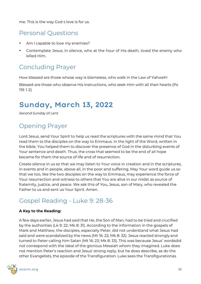me. This is the way God s love is for us.

### Personal Questions

- Am I capable to love my enemies?
- Contemplate Jesus, in silence, who at the hour of His death, loved the enemy who killed Him.

### Concluding Prayer

How blessed are those whose way is blameless, who walk in the Law of Yahweh!

Blessed are those who observe His instructions, who seek Him with all their hearts (Ps 119: 1-2)

# Sunday, March 13, 2022

*Second Sunday of Lent*

# Opening Prayer

Lord Jesus, send Your Spirit to help us read the scriptures with the same mind that You read them to the disciples on the way to Emmaus. In the light of the Word, written in the bible, You helped them to discover the presence of God in the disturbing events of Your sentence and death. Thus, the cross that seemed to be the end of all hope became for them the source of life and of resurrection.

Create silence in us so that we may listen to Your voice in creation and in the scriptures, in events and in people, above all, in the poor and suffering. May Your word guide us so that we too, like the two disciples on the way to Emmaus, may experience the force of Your resurrection and witness to others that You are alive in our midst as source of fraternity, justice, and peace. We ask this of You, Jesus, son of Mary, who revealed the Father to us and sent us Your Spirit. Amen.

## Gospel Reading - Luke 9: 28-36

#### **A Key to the Reading:**

A few days earlier, Jesus had said that He, the Son of Man, had to be tried and crucified by the authorities (Lk 9: 22; Mk 8: 31). According to the information in the gospels of Mark and Matthew, the disciples, especially Peter, did not understand what Jesus had said and were scandalized by the news (Mt 16: 22; Mk 8: 32). Jesus reacted strongly and turned to Peter calling him Satan (Mt 16: 23; Mk 8: 33). This was because Jesus' wordsdid not correspond with the ideal of the glorious Messiah whom they imagined. Luke does not mention Peter's reaction and Jesus' strong reply, but he does describe, as do the other Evangelists, the episode of the Transfiguration. Luke sees the Transfigurationas

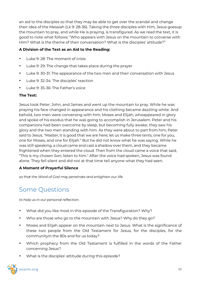an aid to the disciples so that they may be able to get over the scandal and change their idea of the Messiah (Lk 9: 28-36). Taking the three disciples with Him, Jesus goesup the mountain to pray, and while He is praying, is transfigured. As we read the text, it is good to note what follows: "Who appears with Jesus on the mountain to converse with Him? What is the theme of their conversation? What is the disciples' attitude?"

#### **A Division of the Text as an Aid to the Reading:**

- Luke 9: 28: The moment of crisis
- Luke 9: 29: The change that takes place during the prayer
- Luke 9: 30-31: The appearance of the two men and their conversation with Jesus
- Luke 9: 32-34: The disciples' reaction
- Luke 9: 35-36: The Father's voice

#### **The Text:**

Jesus took Peter, John, and James and went up the mountain to pray. While he was praying his face changed in appearance and his clothing became dazzling white. And behold, two men were conversing with him, Moses and Elijah, whoappeared in glory and spoke of his exodus that he was going to accomplish in Jerusalem. Peter and his companions had been overcome by sleep, but becoming fully awake, they saw his glory and the two men standing with him. As they were about to part from him, Peter said to Jesus, "Master, it is good that we are here; let us make three tents, one for you, one for Moses, and one for Elijah." But he did not know what he was saying. While he was still speaking, a cloud came and cast a shadow over them, and they became frightened when they entered the cloud. Then from the cloud came a voice that said, "This is my chosen Son; listen to him." After the voice had spoken, Jesus was found alone. They fell silent and did not at that time tell anyone what they had seen.

#### **A Moment of Prayerful Silence**

*so that the Word of God may penetrate and enlighten our life.*

# Some Questions

*to help us in our personal reflection.*

- What did you like most in this episode of the Transfiguration? Why?
- Who are those who go to the mountain with Jesus? Why do they go?
- Moses and Elijah appear on the mountain next to Jesus. What is the significance of these two people from the Old Testament for Jesus, for the disciples, for the communityin the 80s and for us today?
- Which prophecy from the Old Testament is fulfilled in the words of the Father concerning Jesus?
- What is the disciples' attitude during this episode?

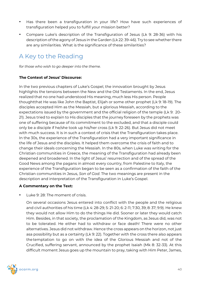- Has there been a transfiguration in your life? How have such experiences of transfiguration helped you to fulfill your mission better?
- Compare Luke's description of the Transfiguration of Jesus (Lk 9: 28-36) with his description of the agony of Jesus in the Garden (Lk 22: 39-46). Try to see whether there are any similarities. What is the significance of these similarities?

# A Key to the Reading

*for those who wish to go deeper into the theme.*

#### **The Context of Jesus' Discourse:**

In the two previous chapters of Luke's Gospel, the innovation brought by Jesus highlights the tensions between the New and the Old Testaments. In the end, Jesus realized that no one had understood His meaning, much less His person. People thoughtthat He was like John the Baptist, Elijah or some other prophet (Lk 9: 18-19). The disciples accepted Him as the Messiah, but a glorious Messiah, according to the expectations issued by the government and the official religion of the temple (Lk 9: 20- 21). Jesus tried to explain to His disciples that the journey foreseen by the prophets was one of suffering because of its commitment to the excluded, and that a disciple could only be a disciple if he/she took up his/her cross (Lk 9: 22-26). But Jesus did not meet with much success. It is in such a context of crisis that the Transfiguration takes place. In the 30s, the experience of the Transfiguration had a very important significance in the life of Jesus and the disciples. It helped them overcome the crisis of faith and to change their ideals concerning the Messiah. In the 80s, when Luke was writing for the Christian communities in Greece, the meaning of the Transfiguration had already been deepened and broadened. In the light of Jesus' resurrection and of the spread of the Good News among the pagans in almost every country, from Palestine to Italy, the experience of the Transfiguration began to be seen as a confirmation of the faith of the Christian communities in Jesus, *Son of God*. The two meanings are present in the description and interpretation of the Transfiguration in Luke's Gospel.

#### **A Commentary on the Text:**

Luke 9: 28: The moment of crisis.

On several occasions Jesus entered into conflict with the people and the religious and civil authorities of his time (Lk 4: 28-29; 5: 21-20; 6: 2-11; 7:30, 39; 8: 37; 9:9). He knew they would not allow Him to do the things He did. Sooner or later they would catch Him. Besides, in that society, the proclamation of the Kingdom, as Jesus did, was not to be tolerated. He either had to withdraw or face death! There were no other alternatives. Jesus did not withdraw. Hence the cross appears on the horizon, not just asa possibility but as a certainty (Lk 9: 22). Together with the cross there also appears thetemptation to go on with the idea of the Glorious Messiah and not of the Crucified, suffering servant, announced by the prophet Isaiah (Mk 8: 32-33). At this difficult moment Jesus goes up the mountain to pray, taking with Him Peter, James,

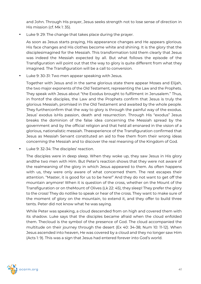and John. Through His prayer, Jesus seeks strength not to lose sense of direction in His mission (cf. Mk 1: 35).

• Luke 9: 29: The change that takes place during the prayer.

As soon as Jesus starts praying, His appearance changes and He appears glorious. His face changes and His clothes become white and shining. It is the glory that the disciplesimagined for the Messiah. This transformation told them clearly that Jesus was indeed the Messiah expected by all. But what follows the episode of the Transfiguration will point out that the way to glory is quite different from what they imagined. The Transfiguration will be a call to conversion.

• Luke 9: 30-31: Two men appear speaking with Jesus.

Together with Jesus and in the same glorious state there appear Moses and Elijah, the two major exponents of the Old Testament, representing the Law and the Prophets. They speak with Jesus about "the Exodus brought to fulfilment in Jerusalem." Thus, in frontof the disciples, the Law and the Prophets confirm that Jesus is truly the glorious Messiah, promised in the Old Testament and awaited by the whole people. They furtherconfirm that the way to glory is through the painful way of the exodus. Jesus' exodus isHis passion, death and resurrection. Through His "exodus" Jesus breaks the dominion of the false idea concerning the Messiah spread by the government and by the official religion and that held all ensnared in the vision of a glorious, nationalistic messiah. Theexperience of the Transfiguration confirmed that Jesus as Messiah Servant constituted an aid to free them from their wrong ideas concerning the Messiah and to discover the real meaning of the Kingdom of God.

• Luke 9: 32-34: The disciples' reaction.

The disciples were in deep sleep. When they woke up, they saw Jesus in His glory andthe two men with Him. But Peter's reaction shows that they were not aware of the realmeaning of the glory in which Jesus appeared to them. As often happens with us, they were only aware of what concerned them. The rest escapes their attention. "Master, it is good for us to be here!" And they do not want to get off the mountain anymore! When it is question of the cross, whether on the Mount of the Transfiguration or on theMount of Olives (Lk 22: 45), they sleep! They prefer the glory to the cross! They do notlike to speak or hear of the cross. They want to make sure of the moment of glory on the mountain, to extend it, and they offer to build three tents. Peter did not know what he was saying.

While Peter was speaking, a cloud descended from on high and covered them with its shadow. Luke says that the disciples became afraid when the cloud enfolded them. Thecloud is the symbol of the presence of God. The cloud accompanied the multitude on their journey through the desert (Ex 40: 34-38; Num 10: 11-12). When Jesus ascended into heaven, He was covered by a cloud and they no longer saw Him (Acts 1: 9). This was a sign that Jesus had entered forever into God's world.

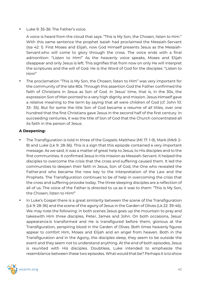• Luke 9: 35-36: The Father's voice.

A voice is heard from the cloud that says: "This is My Son, the Chosen, listen to Him." With this same sentence the prophet Isaiah had proclaimed the Messiah-Servant (Isa 42: 1). First Moses and Elijah, now God Himself presents Jesus as the Messiah-Servant who will come to glory through the cross. The voice ends with a final admonition: "Listen to Him!" As the heavenly voice speaks, Moses and Elijah disappear and only Jesus is left. This signifies that from now on only He will interpret the scriptures and the will of God. He is the Word of God for the disciples: "Listen to Him!"

• The proclamation "This is My Son, the Chosen; listen to Him" was very important for the community of the late 80s. Through this assertion God the Father confirmed the faith of Christians in Jesus as Son of God. In Jesus' time, that is, in the 30s, the expression Son of Man pointed to a very high dignity and mission. Jesus Himself gave a relative meaning to the term by saying that all were children of God (cf. John 10: 33- 35). But for some the title Son of God became a resume of all titles, over one hundred that the first Christians gave Jesus in the second half of the first century. In succeeding centuries, it was the title of Son of God that the Church concentrated all its faith in the person of Jesus.

#### **A Deepening:**

- The Transfiguration is told in three of the Gospels: Matthew (Mt 17: 1-9), Mark (Mk9: 2- 8) and Luke (Lk 9: 28-36). This is a sign that this episode contained a very important message. As we said, it was a matter of great help to Jesus, to His disciples and to the first communities. It confirmed Jesus in His mission as Messiah-Servant. It helped the disciples to overcome the crisis that the cross and suffering caused them. It led the communities to deepen their faith in Jesus, Son of God, the One who revealed the Fatherand who became the new key to the interpretation of the Law and the Prophets. The Transfiguration continues to be of help in overcoming the crisis that the cross and suffering provoke today. The three sleeping disciples are a reflection of all of us. The voice of the Father is directed to us as it was to them: "This is My Son, the Chosen; listen to Him!"
- In Luke's Gospel there is a great similarity between the scene of the Transfiguration (Lk 9: 28-36) and the scene of the agony of Jesus in the Garden of Olives (Lk 22: 39-46). We may note the following: in both scenes Jesus goes up the mountain to pray and takeswith Him three disciples, Peter, James and John. On both occasions, Jesus' appearance is transformed and He is transfigured before them; glorious at the Transfiguration, perspiring blood in the Garden of Olives. Both times heavenly figures appear to comfort Him, Moses and Elijah and an angel from heaven. Both in the Transfiguration and in the Agony, the disciples sleep, they seem to be outside the event and they seem not to understand anything. At the end of both episodes, Jesus is reunited with His disciples. Doubtless, Luke intended to emphasize the resemblance between these two episodes. What would that be? Perhaps it is to show

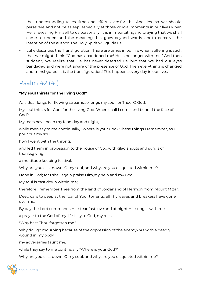that understanding takes time and effort, even for the Apostles, so we should persevere and not be asleep, especially at those crucial moments in our lives when He is revealing Himself to us personally. It is in meditatingand praying that we shall come to understand the meaning that goes beyond words, andto perceive the intention of the author. The Holy Spirit will guide us.

• Luke describes the Transfiguration. There are times in our life when suffering is such that we might think: "God has abandoned me! He is no longer with me!" And then suddenly we realize that He has never deserted us, but that we had our eyes bandaged and were not aware of the presence of God. Then everything is changed and transfigured. It is the transfiguration! This happens every day in our lives.

# Psalm 42 (41)

#### **"My soul thirsts for the living God!"**

As a dear longs for flowing streams,so longs my soul for Thee, O God.

My soul thirsts for God, for the living God. When shall I come and behold the face of God?

My tears have been my food day and night,

while men say to me continually, "Where is your God?"These things I remember, as I pour out my soul:

how I went with the throng,

and led them in procession to the house of God,with glad shouts and songs of thanksgiving,

a multitude keeping festival.

Why are you cast down, O my soul, and why are you disquieted within me?

Hope in God; for I shall again praise Him,my help and my God.

My soul is cast down within me;

therefore I remember Thee from the land of Jordanand of Hermon, from Mount Mizar.

Deep calls to deep at the roar of Your torrents; all Thy waves and breakers have gone over me.

By day the Lord commands His steadfast love;and at night His song is with me,

a prayer to the God of my life.I say to God, my rock:

"Why hast Thou forgotten me?

Why do I go mourning because of the oppression of the enemy?"As with a deadly wound in my body,

my adversaries taunt me,

while they say to me continually,"Where is your God?"

Why are you cast down, O my soul, and why are you disquieted within me?

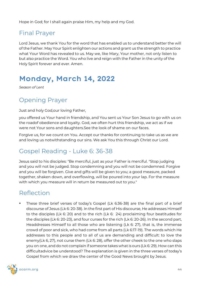Hope in God; for I shall again praise Him, my help and my God.

### Final Prayer

Lord Jesus, we thank You for the word that has enabled us to understand better the will of the Father. May Your Spirit enlighten our actions and grant us the strength to practice what Your Word has revealed to us. May we, like Mary, Your mother, not only listen to but also practice the Word. You who live and reign with the Father in the unity of the Holy Spirit forever and ever. Amen.

# Monday, March 14, 2022

*Season of Lent*

### Opening Prayer

Just and holy God,our loving Father,

you offered us Your hand in friendship, and You sent us Your Son Jesus to go with us on the roadof obedience and loyalty. God, we often hurt this friendship, we act as if we were not Your sons and daughters.See the look of shame on our faces.

Forgive us, for we count on You. Accept our thanks for continuing to take us as we are and loving us notwithstanding our sins. We ask You this through Christ our Lord.

# Gospel Reading - Luke 6: 36-38

Jesus said to his disciples: "Be merciful, just as your Father is merciful. "Stop judging and you will not be judged. Stop condemning and you will not be condemned. Forgive and you will be forgiven. Give and gifts will be given to you; a good measure, packed together, shaken down, and overflowing, will be poured into your lap. For the measure with which you measure will in return be measured out to you."

### Reflection

• These three brief verses of today's Gospel (Lk 6:36-38) are the final part of a brief discourse of Jesus (Lk 6: 20-38). In the first part of His discourse, He addresses Himself to the disciples (Lk 6: 20) and to the rich (Lk 6: 24) proclaiming four beatitudes for the disciples (Lk 6: 20-23), and four curses for the rich (Lk 6: 20-26). In the second part, Headdresses Himself to all those who are listening (Lk 6: 27), that is, the immense crowd of poor and sick, who had come from all parts (Lk 6:17-19). The words which He addresses to this people and to all of us are demanding and difficult: to love the enemy(Lk 6, 27), not curse them (Lk 6: 28), offer the other cheek to the one who slaps you on one, and do not complain if someone takes what is ours (Lk 6: 29). How can this difficultadvice be understood? The explanation is given in the three verses of today's Gospel from which we draw the center of the Good News brought by Jesus.

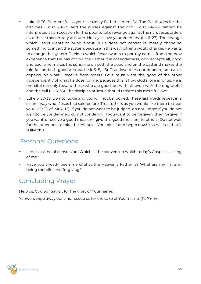- Luke 6: 36: Be merciful as your Heavenly Father is merciful. The Beatitudes for the disciples (Lk 6: 20-23) and the curses against the rich (Lk 6: 24-26) cannot be interpreted as an occasion for the poor to take revenge against the rich. Jesus orders us to have thecontrary attitude. He says: Love your enemies! (Lk 6: 27). The change which Jesus wants to bring about in us does not consist in merely changing something to invert the system, because in this way nothing would change. He wants to change the system. Theidea which Jesus wants to portray comes from the new experience that He has of God the Father, full of tenderness, who accepts all, good and bad, who makes the sunshine on both the good and on the bad and makes the rain fall on both good and bad (Mt 5: 5, 45). True love does not depend, nor can it depend, on what I receive from others. Love must want the good of the other independently of what he does for me. Because this is how God's love is for us. He is merciful not only toward those who are good, butwith all, even with the ungrateful and the evil (Lk 6: 35). The disciples of Jesus should radiate this merciful love.
- Luke 6: 37-38: Do not judge and you will not be judged. These last words repeat in a clearer way what Jesus had said before: Treat others as you would like them to treat you(Lk 6: 31; cf. Mt 7: 12). If you do not want to be judged, do not judge! If you do not wantto be condemned, do not condemn. If you want to be forgiven, then forgive! If you wantto receive a good measure, give this good measure to others! Do not wait for the other one to take the initiative. You take it and begin now! You will see that it is like this.

### Personal Questions

- Lent is a time of conversion. Which is the conversion which today's Gospel is asking of me?
- Have you already been merciful as the Heavenly Father is? What are my limits in being merciful and forgiving?

### Concluding Prayer

Help us, God our Savior, for the glory of Your name;

Yahweh, wipe away our sins, rescue us for the sake of Your name. (Ps 79: 9)

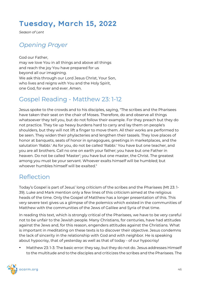# Tuesday, March 15, 2022

*Season of Lent*

# *Opening Prayer*

God our Father, may we love You in all things and above all things and reach the joy You have prepared for us beyond all our imagining. We ask this through our Lord Jesus Christ, Your Son, who lives and reigns with You and the Holy Spirit, one God, for ever and ever. Amen.

### Gospel Reading - Matthew 23: 1-12

Jesus spoke to the crowds and to his disciples, saying, "The scribes and the Pharisees have taken their seat on the chair of Moses. Therefore, do and observe all things whatsoever they tell you, but do not follow their example. For they preach but they do not practice. They tie up heavy burdens hard to carry and lay them on people's shoulders, but they will not lift a finger to move them. All their works are performed to be seen. They widen their phylacteries and lengthen their tassels. They love places of honor at banquets, seats of honor in synagogues, greetings in marketplaces, and the salutation 'Rabbi.' As for you, do not be called 'Rabbi.' You have but one teacher, and you are all brothers. Call no one on earth your father; you have but one Father in heaven. Do not be called 'Master'; you have but one master, the Christ. The greatest among you must be your servant. Whoever exalts himself will be humbled; but whoever humbles himself will be exalted."

### Reflection

Today's Gospel is part of Jesus' long criticism of the scribes and the Pharisees (Mt 23: 1- 39). Luke and Mark mention only a few lines of this criticism aimed at the religious heads of the time. Only the Gospel of Matthew has a longer presentation of this. This very severe text gives us a glimpse of the polemics which existed in the communities of Matthew with the communities of the Jews of Galilee and Syria of that time.

In reading this text, which is strongly critical of the Pharisees, we have to be very careful not to be unfair to the Jewish people. Many Christians, for centuries, have had attitudes against the Jews and, for this reason, engenders attitudes against the Christians. What is important in meditating on these texts is to discover their objective. Jesus condemns the lack of sincerity in the relationship with God and with neighbor. He is speaking about hypocrisy, that of yesterday as well as that of today - of our hypocrisy!

• Matthew 23: 1-3: The basic error: they say, but they do not do. Jesus addresses Himself to the multitude and to the disciples and criticizes the scribes and the Pharisees. The

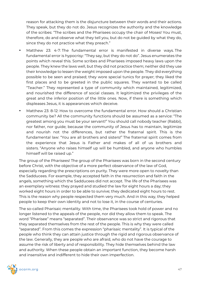reason for attacking them is the disjuncture between their words and their actions. They speak, but they do not do. Jesus recognizes the authority and the knowledge of the scribes: "The scribes and the Pharisees occupy the chair of Moses! You must, therefore, do and observe what they tell you, but do not be guided by what they do, since they do not practice what they preach."

- Matthew 23: 4-7: The fundamental error is manifested in diverse ways. The fundamental error is hypocrisy: "They say, but they do not do". Jesus enumerates the points which reveal this. Some scribes and Pharisees imposed heavy laws upon the people. They knew the laws well, but they did not practice them; neither did they use their knowledge to lessen the weight imposed upon the people. They did everything possible to be seen and praised; they wore special tunics for prayer; they liked the first places and to be greeted in the public squares. They wanted to be called "Teacher." They represented a type of community which maintained, legitimized, and nourished the difference of social classes. It legitimized the privileges of the great and the inferior position of the little ones. Now, if there is something which displeases Jesus, it is appearances which deceive.
- Matthew 23: 8-12: How to overcome the fundamental error. How should a Christian community be? All the community functions should be assumed as a service: "The greatest among you must be your servant!" You should call nobody teacher (Rabbi), nor father, nor guide; because the community of Jesus has to maintain, legitimize and nourish not the differences, but rather the fraternal spirit. This is the fundamental law: "You are all brothers and sisters!" The fraternal spirit comes from the experience that Jesus is Father and makes of all of us brothers and sisters. "Anyone who raises himself up will be humbled, and anyone who humbles himself will be raised up."

The group of the Pharisees! The group of the Pharisees was born in the second century before Christ, with the objective of a more perfect observance of the law of God, especially regarding the prescriptions on purity. They were more open to novelty than the Sadducees. For example, they accepted faith in the resurrection and faith in the angels, something which the Sadducees did not accept. The life of the Pharisees was an exemplary witness: they prayed and studied the law for eight hours a day; they worked eight hours in order to be able to survive; they dedicated eight hours to rest. This is the reason why people respected them very much. And in this way, they helped people to keep their own identity and not to lose it, in the course of centuries.

The so-called Pharisaic mentality. With time, the Pharisees took hold of power and no longer listened to the appeals of the people, nor did they allow them to speak. The word "Pharisee" means "separated". Their observance was so strict and rigorous that they separated themselves from the rest of the people. This is why they were called "separated". From this comes the expression "pharisaic mentality". It is typical of the people who think they can attain justice through the rigid and rigorous observance of the law. Generally, they are people who are afraid, who do not have the courage to assume the risk of liberty and of responsibility. They hide themselves behind the law and authority. When these people obtain an important function, they become harsh and insensitive and indifferent to hide their own imperfection.

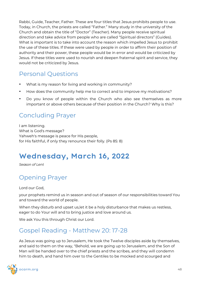Rabbi, Guide, Teacher, Father. These are four titles that Jesus prohibits people to use. Today, in Church, the priests are called "Father." Many study in the university of the Church and obtain the title of "Doctor" (Teacher). Many people receive spiritual direction and take advice from people who are called "Spiritual directors" (Guides). What is important is to take into account the reason which impelled Jesus to prohibit the use of these titles. If these were used by people in order to affirm their position of authority and their power, these people would be in error and would be criticized by Jesus. If these titles were used to nourish and deepen fraternal spirit and service, they would not be criticized by Jesus.

### Personal Questions

- What is my reason for living and working in community?
- How does the community help me to correct and to improve my motivations?
- Do you know of people within the Church who also see themselves as more important or above others because of their position in the Church? Why is this?

## Concluding Prayer

I am listening. What is God's message? Yahweh's message is peace for His people, for His faithful, if only they renounce their folly. (Ps 85: 8)

# Wednesday, March 16, 2022

*Season of Lent*

# Opening Prayer

Lord our God,

your prophets remind us in season and out of season of our responsibilities toward You and toward the world of people.

When they disturb and upset us,let it be a holy disturbance that makes us restless, eager to do Your will and to bring justice and love around us.

We ask You this through Christ our Lord.

### Gospel Reading - Matthew 20: 17-28

As Jesus was going up to Jerusalem, He took the Twelve disciples aside by themselves, and said to them on the way, "Behold, we are going up to Jerusalem, and the Son of Man will be handed over to the chief priests and the scribes, and they will condemn him to death, and hand him over to the Gentiles to be mocked and scourged and

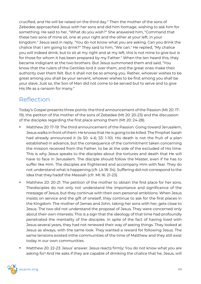crucified, and He will be raised on the third day." Then the mother of the sons of Zebedee approached Jesus with her sons and did him homage, wishing to ask him for something. He said to her, "What do you wish?" She answered him, "Command that these two sons of mine sit, one at your right and the other at your left, in your kingdom." Jesus said in reply, "You do not know what you are asking. Can you drink the chalice that I am going to drink?" They said to him, "We can." He replied, "My chalice you will indeed drink, but to sit at my right and at my left, this is not mine to give but is for those for whom it has been prepared by my Father." When the ten heard this, they became indignant at the two brothers. But Jesus summoned them and said, "You know that the rulers of the Gentiles lord it over them, and the great ones make their authority over them felt. But it shall not be so among you. Rather, whoever wishes to be great among you shall be your servant; whoever wishes to be first among you shall be your slave. Just so, the Son of Man did not come to be served but to serve and to give His life as a ransom for many."

### Reflection

Today's Gospel presents three points: the third announcement of the Passion (Mt 20: 17- 19), the petition of the mother of the sons of Zebedee (Mt 20: 20-23) and the discussion of the disciples regarding the first place among them (Mt 20: 24-28).

- Matthew 20: 17-19: The third announcement of the Passion. Going toward Jerusalem, Jesus walks infront of them. He knows that He is going to be killed. The Prophet Isaiah had already announced it (Is 50: 4-6; 53: 1-10). His death is not the fruit of a plan established in advance, but the consequence of the commitment taken concerning the mission received from the Father, to be at the side of the excluded of His time. This is why Jesus speaks to the disciples about the tortures and death that He will have to face in Jerusalem. The disciple should follow the Master, even if he has to suffer like Him. The disciples are frightened and accompany Him with fear. They do not understand what is happening (cfr. Lk 18: 34). Suffering did not correspond to the idea that they hadof the Messiah (cfr. Mt 16: 21-23).
- Matthew 20: 20-21: The petition of the mother to obtain the first place for her sons. Thedisciples do not only not understand the importance and significance of the message of Jesus, but they continue with their own personal ambitions. When Jesus insists on service and the gift of oneself, they continue to ask for the first places in the Kingdom. The mother of James and John, taking her sons with her, gets close to Jesus. The two did not understand the proposal of Jesus. They were concerned only about their own interests. This is a sign that the ideology of that time had profoundly penetrated the mentality of the disciples. In spite of the fact of having lived with Jesus several years, they had not renewed their way of seeing things. They looked at Jesus as always, with the same look. They wanted a reward for following Jesus. The same tensions existed inthe communities of the time of Matthew and they still exist today in our own communities.
- Matthew 20: 22-23: Jesus' answer. Jesus reacts firmly: You do not know what you are asking for! And He asks if they are capable of drinking the chalice that he, Jesus, will

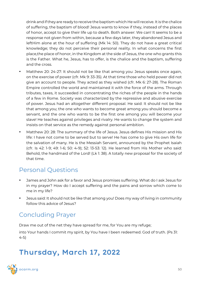drink and if they are ready to receive the baptism which He will receive. It is the chalice of suffering, the baptism of blood! Jesus wants to know if they, instead of the places of honor, accept to give their life up to death. Both answer: We can! It seems to be a response not given from within, because a few days later, they abandoned Jesus and leftHim alone at the hour of suffering (Mk 14: 50). They do not have a great critical knowledge; they do not perceive their personal reality. In what concerns the first place,the place of honor, in the Kingdom at the side of Jesus, the one who grants this is the Father. What he, Jesus, has to offer, is the chalice and the baptism, suffering and the cross.

- Matthew 20: 24-27: It should not be like that among you: Jesus speaks once again, on the exercise of power (cfr. Mk 9: 33-35). At that time those who held power did not give an account to people. They acted as they wished (cfr. Mk 6: 27-28). The Roman Empire controlled the world and maintained it with the force of the arms. Through tributes, taxes, it succeeded in concentrating the riches of the people in the hands of a few in Rome. Society was characterized by the repressive and abusive exercise of power. Jesus had an altogether different proposal. He said: It should not be like that among you; the one who wants to become great among you should become a servant, and the one who wants to be the first one among you will become your slave! He teaches against privileges and rivalry. He wants to change the system and insists on that service as the remedy against personal ambition.
- Matthew 20: 28: The summary of the life of Jesus. Jesus defines His mission and His life: I have not come to be served but to serve! He has come to give His own life for the salvation of many. He is the Messiah Servant, announced by the Prophet Isaiah (cfr. Is 42: 1-9; 49: 1-6; 50: 4-9); 52: 13-53: 12). He learned from His Mother who said: Behold, the handmaid of the Lord! (Lk 1: 38). A totally new proposal for the society of that time.

### Personal Questions

- James and John ask for a favor and Jesus promises suffering. What do I ask Jesus for in my prayer? How do I accept suffering and the pains and sorrow which come to me in my life?
- Jesus said: It should not be like that among you! Does my way of living in community follow this advice of Jesus?

# Concluding Prayer

Draw me out of the net they have spread for me, for You are my refuge;

into Your hands I commit my spirit, by You have I been redeemed. God of truth. (Ps 31: 4-5)

# Thursday, March 17, 2022

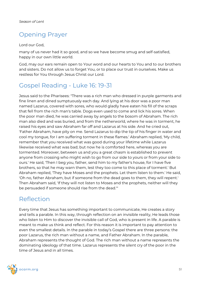# Opening Prayer

Lord our God,

many of us never had it so good, and so we have become smug and self-satisfied, happy in our own little world.

God, may our ears remain open to Your word and our hearts to You and to our brothers and sisters. Do not allow us to forget You, or to place our trust in ourselves. Make us restless for You through Jesus Christ our Lord.

## Gospel Reading - Luke 16: 19-31

Jesus said to the Pharisees: "There was a rich man who dressed in purple garments and fine linen and dined sumptuously each day. And lying at his door was a poor man named Lazarus, covered with sores, who would gladly have eaten his fill of the scraps that fell from the rich man's table. Dogs even used to come and lick his sores. When the poor man died, he was carried away by angels to the bosom of Abraham. The rich man also died and was buried, and from the netherworld, where he was in torment, he raised his eyes and saw Abraham far off and Lazarus at his side. And he cried out, 'Father Abraham, have pity on me. Send Lazarus to dip the tip of his finger in water and cool my tongue, for I am suffering torment in these flames.' Abraham replied, 'My child, remember that you received what was good during your lifetime while Lazarus likewise received what was bad; but now he is comforted here, whereas you are tormented. Moreover, between us and you a great chasm is established to prevent anyone from crossing who might wish to go from our side to yours or from your side to ours.' He said, 'Then I beg you, father, send him to my father's house, for I have five brothers, so that he may warn them, lest they too come to this place of torment.' But Abraham replied, 'They have Moses and the prophets. Let them listen to them.' He said, 'Oh no, father Abraham, but if someone from the dead goes to them, they will repent.' Then Abraham said, 'If they will not listen to Moses and the prophets, neither will they be persuaded if someone should rise from the dead.'"

### Reflection

Every time that Jesus has something important to communicate, He creates a story and tells a parable. In this way, through reflection on an invisible reality, He leads those who listen to Him to discover the invisible call of God, who is present in life. A parable is meant to make us think and reflect. For this reason it is important to pay attention to even the smallest details. In the parable in today's Gospel there are three persons: the poor Lazarus, the rich man without a name, and Father Abraham. In the parable, Abraham represents the thought of God. The rich man without a name represents the dominating ideology of that time. Lazarus represents the silent cry of the poor in the time of Jesus and in all times.

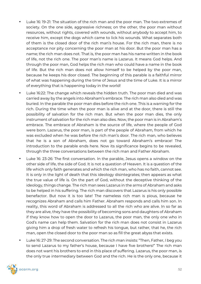- Luke 16: 19-21: The situation of the rich man and the poor man. The two extremes of society. On the one side, aggressive richness; on the other, the poor man without resources, without rights, covered with wounds, without anybody to accept him, to receive him, except the dogs which came to lick his wounds. What separates both of them is the closed door of the rich man's house. For the rich man, there is no acceptance nor pity concerning the poor man at his door. But the poor man has a name; the rich man does not. That is, the poor man has his name written in the book of life, not the rich one. The poor man's name is Lazarus. It means God helps. And through the poor man, God helps the rich man who could have a name in the book of life. But the rich man does not allow himself to be helped by the poor man, because he keeps his door closed. The beginning of this parable is a faithful mirror of what was happening during the time of Jesus and the time of Luke. It is a mirror of everything that is happening today in the world!
- Luke 16:22: The change which reveals the hidden truth. The poor man died and was carried away by the angels into Abraham's embrace. The rich man also died and was buried. In the parable the poor man dies before the rich one. This is a warning for the rich. During the time when the poor man is alive and at the door, there is still the possibility of salvation for the rich man. But when the poor man dies, the only instrument of salvation for the rich man also dies. Now, the poor man is in Abraham's embrace. The embrace of Abraham is the source of life, where the people of God were born. Lazarus, the poor man, is part of the people of Abraham, from which he was excluded when he was before the rich man's door. The rich man, who believes that he is a son of Abraham, does not go toward Abraham's embrace! The introduction to the parable ends here. Now its significance begins to be revealed, through the three conversations between the rich man and Father Abraham.
- Luke 16: 23-26: The first conversation. In the parable, Jesus opens a window on the other side of life, the side of God. It is not a question of Heaven. It is a question of the life which only faith generates and which the rich man, who has no faith, cannot see. It is only in the light of death that this ideology disintegrates; then appears as what the true value of life is. On the part of God, without the deceptive thinking of the ideology, things change. The rich man sees Lazarus in the arms of Abraham and asks to be helped in his suffering. The rich man discovers that Lazarus is his only possible benefactor. But now it is too late! The nameless rich man is pious, because he recognizes Abraham and calls him Father. Abraham responds and calls him son. In reality, this word of Abraham is addressed to all the rich who are alive. In so far as they are alive, they have the possibility of becoming sons and daughters of Abraham if they know how to open the door to Lazarus, the poor man, the only one who in God's name can help them. Salvation for the rich man does not consist in Lazarus giving him a drop of fresh water to refresh his tongue, but rather, that he, the rich man, open the closed door to the poor man so as fill the great abyss that exists.
- Luke 16: 27-29: The second conversation. The rich man insists: "Then, Father, I beg you to send Lazarus to my father's house, because I have five brothers!" The rich man does not want his brothers to end in this place of suffering. Lazarus, the poor man, is the only true intermediary between God and the rich. He is the only one, because it

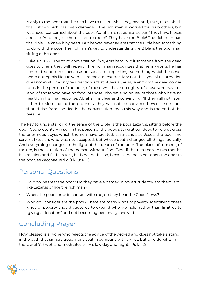is only to the poor that the rich have to return what they had and, thus, re-establish the justice which has been damaged! The rich man is worried for his brothers, but was never concerned about the poor! Abraham's response is clear: "They have Moses and the Prophets; let them listen to them!" They have the Bible! The rich man had the Bible. He knew it by heart. But he was never aware that the Bible had something to do with the poor. The rich man's key to understanding the Bible is the poor man sitting at his door!

• Luke 16: 30-31: The third conversation. "No, Abraham, but if someone from the dead goes to them, they will repent!" The rich man recognizes that he is wrong, he has committed an error, because he speaks of repenting, something which he never heard during his life. He wants a miracle, a resurrection! But this type of resurrection does not exist. The only resurrection is that of Jesus. Jesus, risen from the dead comes to us in the person of the poor, of those who have no rights, of those who have no land, of those who have no food, of those who have no house, of those who have no health. In his final response, Abraham is clear and convincing: "If they will not listen either to Moses or to the prophets, they will not be convinced even if someone should rise from the dead!" The conversation ends this way and is the end of the parable!

The key to understanding the sense of the Bible is the poor Lazarus, sitting before the door! God presents Himself in the person of the poor, sitting at our door, to help us cross the enormous abyss which the rich have created. Lazarus is also Jesus, the poor and servant Messiah, who was not accepted, but whose death changed all things radically. And everything changes in the light of the death of the poor. The place of torment, of torture, is the situation of the person without God. Even if the rich man thinks that he has religion and faith, in fact, he is not with God, because he does not open the door to the poor, as Zacchaeus did (Lk 19: 1-10).

### Personal Questions

- How do we treat the poor? Do they have a name? In my attitude toward them, am I like Lazarus or like the rich man?
- When the poor come in contact with me, do they hear the Good News?
- Who do I consider are the poor? There are many kinds of poverty. Identifying these kinds of poverty should cause us to expand who we help, rather than limit us to "giving a donation" and not becoming personally involved.

# Concluding Prayer

How blessed is anyone who rejects the advice of the wicked and does not take a stand in the path that sinners tread, nor a seat in company with cynics, but who delights in the law of Yahweh and meditates on His law day and night. (Ps 1: 1-2)

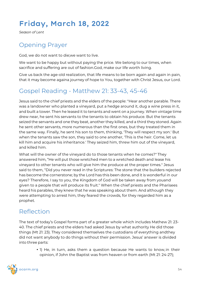# Friday, March 18, 2022

*Season of Lent*

# Opening Prayer

God, we do not want to die;we want to live.

We want to be happy but without paying the price. We belong to our times, when sacrifice and suffering are out of fashion.God, make our life worth living.

Give us back the age-old realization, that life means to be born again and again in pain, that it may become againa journey of hope to You, together with Christ Jesus, our Lord.

## Gospel Reading - Matthew 21: 33-43, 45-46

Jesus said to the chief priests and the elders of the people: "Hear another parable. There was a landowner who planted a vineyard, put a hedge around it, dug a wine press in it, and built a tower. Then he leased it to tenants and went on a journey. When vintage time drew near, he sent his servants to the tenants to obtain his produce. But the tenants seized the servants and one they beat, another they killed, and a third they stoned. Again he sent other servants, more numerous than the first ones, but they treated them in the same way. Finally, he sent his son to them, thinking, 'They will respect my son.' But when the tenants saw the son, they said to one another, 'This is the heir. Come, let us kill him and acquire his inheritance.' They seized him, threw him out of the vineyard, and killed him.

What will the owner of the vineyard do to those tenants when he comes?" They answered him, "He will put those wretched men to a wretched death and lease his vineyard to other tenants who will give him the produce at the proper times." Jesus said to them, "Did you never read in the Scriptures: The stone that the builders rejected has become the cornerstone; by the Lord has this been done, and it is wonderful in our eyes? Therefore, I say to you, the Kingdom of God will be taken away from youand given to a people that will produce its fruit." When the chief priests and the Pharisees heard his parables, they knew that he was speaking about them. And although they were attempting to arrest him, they feared the crowds, for they regarded him as a prophet.

### Reflection

The text of today's Gospel forms part of a greater whole which includes Mathew 21: 23- 40. The chief priests and the elders had asked Jesus by what authority He did those things (Mt 21: 23). They considered themselves the custodians of everything andthey did not want anybody to do things without their permission. Jesus' answer is divided into three parts:

> • 1) He, in turn, asks them a question because He wants to know, in their opinion, if John the Baptist was from heaven or from earth (Mt 21: 24-27);

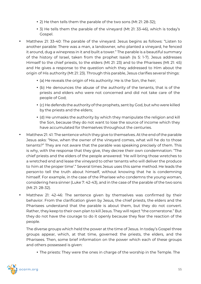- 2) He then tells them the parable of the two sons (Mt 21: 28-32);
- 3) He tells them the parable of the vineyard (Mt 21: 33-46), which is today's Gospel.
- Matthew 21: 33-40: The parable of the vineyard. Jesus begins as follows: "Listen to another parable: There was a man, a landowner, who planted a vineyard, he fenced it around, dug a winepress in it and built a tower." The parable is a beautiful summary of the history of Israel, taken from the prophet Isaiah (Is 5: 1-7). Jesus addresses Himself to the chief priests, to the elders (Mt 21: 23) and to the Pharisees (Mt 21: 45) and He gives a response to the question which they addressed to Him about the origin of His authority (Mt 21: 23). Through this parable, Jesus clarifies several things:
	- (a) He reveals the origin of His authority: He is the Son, the heir;
	- (b) He denounces the abuse of the authority of the tenants, that is of the priests and elders who were not concerned and did not take care of the people of God;
	- (c) He defends the authority of the prophets, sent by God, but who were killed by the priests and the elders;
	- (d) He unmasks the authority by which they manipulate the religion and kill the Son, because they do not want to lose the source of income which they have accumulated for themselves throughout the centuries.
- Matthew 21: 41: The sentence which they give to themselves. At the end of the parable Jesus asks: "Now, when the owner of the vineyard comes, what will he do to those tenants?" They are not aware that the parable was speaking precisely of them. This is why, with the response that they give, they decree their own condemnation: "The chief priests and the elders of the people answered: 'He will bring those wretches to a wretched end and lease the vineyard to other tenants who will deliver the produce to him at the proper time'." Several times Jesus uses this same method. He leads the personto tell the truth about himself, without knowing that he is condemning himself. For example, in the case of the Pharisee who condemns the young woman, considering hera sinner (Luke 7: 42-43), and in the case of the parable of the two sons (Mt 21: 28-32).
- Matthew 21: 42-46: The sentence given by themselves was confirmed by their behavior. From the clarification given by Jesus, the chief priests, the elders and the Pharisees understand that the parable is about them, but they do not convert. Rather, they keep to their own plan to kill Jesus. They will reject "the cornerstone." But they do not have the courage to do it openly because they fear the reaction of the people.

The diverse groups which held the power at the time of Jesus. In today's Gospel three groups appear, which, at that time, governed: the priests, the elders, and the Pharisees. Then, some brief information on the power which each of these groups and others possessed is given:

• The priests: They were the ones in charge of the worship in the Temple. The

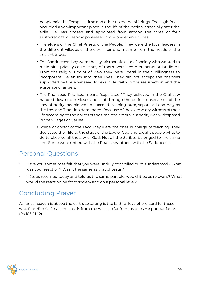peoplepaid the Temple a tithe and other taxes and offerings. The High Priest occupied a veryimportant place in the life of the nation, especially after the exile. He was chosen and appointed from among the three or four aristocratic families who possessed more power and riches.

- The elders or the Chief Priests of the People: They were the local leaders in the different villages of the city. Their origin came from the heads of the ancient tribes.
- The Sadducees: they were the lay aristocratic elite of society who wanted to maintaina priestly caste. Many of them were rich merchants or landlords. From the religious point of view they were liberal in their willingness to incorporate Hellenism into their lives. They did not accept the changes supported by the Pharisees, for example, faith in the resurrection and the existence of angels.
- The Pharisees: Pharisee means "separated." They believed in the Oral Law handed down from Moses and that through the perfect observance of the Law of purity, people would succeed in being pure, separated and holy as the Law and Tradition demanded! Because of the exemplary witness of their life according to the norms of the time, their moral authority was widespread in the villages of Galilee.
- Scribe or doctor of the Law: They were the ones in charge of teaching. They dedicated their life to the study of the Law of God and taught people what to do to observe all theLaw of God. Not all the Scribes belonged to the same line. Some were united with the Pharisees, others with the Sadducees.

### Personal Questions

- Have you sometimes felt that you were unduly controlled or misunderstood? What was your reaction? Was it the same as that of Jesus?
- If Jesus returned today and told us the same parable, would it be as relevant? What would the reaction be from society and on a personal level?

## Concluding Prayer

As far as heaven is above the earth, so strong is the faithful love of the Lord for those who fear Him.As far as the east is from the west, so far from us does He put our faults. (Ps 103: 11-12)

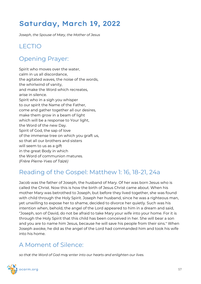# Saturday, March 19, 2022

*Joseph, the Spouse of Mary, the Mother of Jesus* 

# LECTIO

### Opening Prayer:

Spirit who moves over the water, calm in us all discordance, the agitated waves, the noise of the words, the whirlwind of vanity, and make the Word which recreates, arise in silence. Spirit who in a sigh you whisper to our spirit the Name of the Father, come and gather together all our desires, make them grow in a beam of light which will be a response to Your light, the Word of the new Day. Spirit of God, the sap of love of the immense tree on which you graft us, so that all our brothers and sisters will seem to us as a gift in the great Body in which the Word of communion matures. *(Frère Pierre-Yves of Taizé)*

### Reading of the Gospel: Matthew 1: 16, 18-21, 24a

Jacob was the father of Joseph, the husband of Mary. Of her was born Jesus who is called the Christ. Now this is how the birth of Jesus Christ came about. When his mother Mary was betrothed to Joseph, but before they lived together, she was found with child through the Holy Spirit. Joseph her husband, since he was a righteous man, yet unwilling to expose her to shame, decided to divorce her quietly. Such was his intention when, behold, the angel of the Lord appeared to him in a dream and said, "Joseph, son of David, do not be afraid to take Mary your wife into your home. For it is through the Holy Spirit that this child has been conceived in her. She will bear a son and you are to name him Jesus, because he will save his people from their sins." When Joseph awoke, he did as the angel of the Lord had commanded him and took his wife into his home.

### A Moment of Silence:

*so that the Word of God may enter into our hearts and enlighten our lives.*

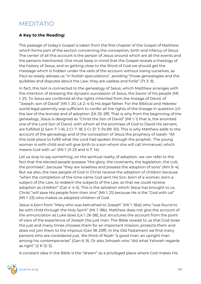# MEDITATIO

#### **A Key to the Reading:**

The passage of today's Gospel is taken from the first chapter of the Gospel of Matthew which forms part of the section concerning the conception, birth and infancy of Jesus. The center of all this account is the person of Jesus around which are all the events and the persons mentioned. One must keep in mind that the Gospel reveals a theology of the history of Jesus, and so getting close to the Word of God we should get the message which is hidden under the veils of the account without losing ourselves, as Paul so wisely advises us "in foolish speculations", avoiding "those genealogies and the quibbles and disputes about the Law, they are useless and futile" (Tt 3: 9).

In fact, this text is connected to the genealogy of Jesus, which Matthew arranges with the intention of stressing the dynastic succession of Jesus, the Savior of his people (Mt 1: 21). To Jesus are conferred all the rights inherited from the lineage of David, of "Joseph, son of David" (Mt 1: 20; Lk 2: 4-5) His legal father. For the Biblical and Hebrew world legal paternity was sufficient to confer all the rights of the lineage in question (cf.: the law of the levirate and of adoption (Dt 25: 5ff). That is why from the beginning of the genealogy, Jesus is designed as "Christ the Son of David" (Mt 1: 1) that is, the anointed one of the Lord Son of David, with whom all the promises of God to David His servant, are fulfilled (2 Sam 7: 1-16; 2 Cr 7: 18; 2 Cr 21: 7; Ps 89: 30). This is why Matthew adds to the account of the genealogy and of the conception of Jesus the prophecy of Isaiah: "All this took place to fulfill what the Lord had spoken through the prophet.: The young woman is with child and will give birth to a son whom she will call Immanuel, which means God with us" (Mt 1: 21-23 and Is 7: 14).

Let us stop to say something, on the spiritual reality of adoption, we can refer to the fact that the elected people possess "the glory, the covenants, the legislation, the cult, the promises", because "they are Israelites and possess the adoption of sons" (Rm 9: 4). But we also, the new people of God in Christ receive the adoption of children because "when the completion of the time came God sent His Son, born of a woman, born a subject of the Law, to redeem the subjects of the Law, so that we could receive adoption as children" (Gal 4: 4-5). This is the salvation which Jesus has brought to us. Christ "will save His people from their sins" (Mt 1: 21) because He is the "God with us!" (Mt 1: 23) who makes us adopted children of God.

Jesus is born from "Mary who was betrothed to Joseph" (Mt 1: 18a)) who "was found to be with child through the Holy Spirit" (Mt 1: 18b). Matthew does not give the account of the annunciation as Luke does (Lk 1: 26-38), but structures the account from the point of view of the experience of Joseph the just man. The Bible reveals to us that God loves the just and many times chooses them for an important mission, protects them and does not join them to the impious (Gen 18: 23ff). In the Old Testament we find many persons who are considered just. We think of Noah "a good man, an upright man among his contemporaries" (Gen 6: 9). Or also Johoash who "did what Yahweh regards as right" (2 K 12: 3).

A constant idea in the Bible is the "dream" as a privileged place where God makes His

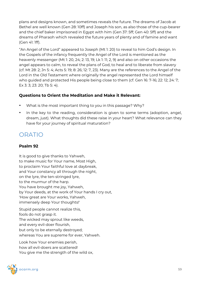plans and designs known, and sometimes reveals the future. The dreams of Jacob at Bethel are well known (Gen 28: 10ff) and Joseph his son, as also those of the cup-bearer and the chief baker imprisoned in Egypt with him (Gen 37: 5ff; Gen 40: 5ff) and the dreams of Pharaoh which revealed the future years of plenty and of famine and want (Gen 41: 1ff).

"An Angel of the Lord" appeared to Joseph (Mt 1: 20) to reveal to him God's design. In the Gospels of the infancy frequently the Angel of the Lord is mentioned as the heavenly messenger (Mt 1: 20, 24; 2: 13, 19; Lk 1: 11; 2, 9) and also on other occasions the angel appears to calm, to reveal the plans of God, to heal and to liberate from slavery (cf. Mt 28: 2; Jn 5: 4; Acts 5: 19; 8: 26; 12: 7, 23). Many are the references to the Angel of the Lord in the Old Testament where originally the angel represented the Lord himself who guided and protected His people being close to them (cf. Gen 16: 7-16; 22: 12; 24: 7; Ex 3: 3; 23: 20; Tb 5: 4).

#### **Questions to Orient the Meditation and Make it Relevant:**

- What is the most important thing to you in this passage? Why?
- In the key to the reading, consideration is given to some terms (adoption, angel, dream, just). What thoughts did these raise in your heart? What relevance can they have for your journey of spiritual maturation?

# ORATIO

#### **Psalm 92**

It is good to give thanks to Yahweh, to make music for Your name, Most High, to proclaim Your faithful love at daybreak, and Your constancy all through the night, on the lyre, the ten-stringed lyre, to the murmur of the harp. You have brought me joy, Yahweh, by Your deeds, at the work of Your hands I cry out, 'How great are Your works, Yahweh, immensely deep Your thoughts!' Stupid people cannot realize this, fools do not grasp it.

The wicked may sprout like weeds, and every evil-doer flourish,

but only to be eternally destroyed;

whereas You are supreme for ever, Yahweh.

Look how Your enemies perish, how all evil-doers are scattered! You give me the strength of the wild ox,

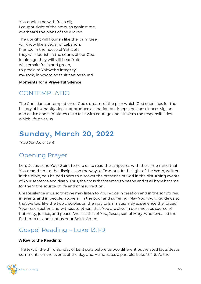You anoint me with fresh oil; I caught sight of the ambush against me, overheard the plans of the wicked.

The upright will flourish like the palm tree, will grow like a cedar of Lebanon. Planted in the house of Yahweh, they will flourish in the courts of our God. In old age they will still bear fruit, will remain fresh and green, to proclaim Yahweh's integrity; my rock, in whom no fault can be found.

#### **Moments for a Prayerful Silence**

## CONTEMPLATIO

The Christian contemplation of God's dream, of the plan which God cherishes for the history of humanity does not produce alienation but keeps the consciences vigilant and active and stimulates us to face with courage and altruism the responsibilities which life gives us.

# Sunday, March 20, 2022

*Third Sunday of Lent*

## Opening Prayer

Lord Jesus, send Your Spirit to help us to read the scriptures with the same mind that You read them to the disciples on the way to Emmaus. In the light of the Word, written in the bible, You helped them to discover the presence of God in the disturbing events of Your sentence and death. Thus, the cross that seemed to be the end of all hope became for them the source of life and of resurrection.

Create silence in us so that we may listen to Your voice in creation and in the scriptures, in events and in people, above all in the poor and suffering. May Your word guide us so that we too, like the two disciples on the way to Emmaus, may experience the forceof Your resurrection and witness to others that You are alive in our midst as source of fraternity, justice, and peace. We ask this of You, Jesus, son of Mary, who revealed the Father to us and sent us Your Spirit. Amen.

### Gospel Reading – Luke 13:1-9

#### **A Key to the Reading:**

The text of the third Sunday of Lent puts before us two different but related facts: Jesus comments on the events of the day and He narrates a parable. Luke 13: 1-5: At the

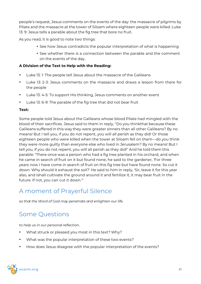people's request, Jesus comments on the events of the day: the massacre of pilgrims by Pilate and the massacre at the tower of Siloam where eighteen people were killed. Luke 13: 9: Jesus tells a parable about the fig tree that bore no fruit.

As you read, it is good to note two things:

- See how Jesus contradicts the popular interpretation of what is happening
- See whether there is a connection between the parable and the comment on the events of the day.

#### **A Division of the Text to Help with the Reading:**

- Luke 13: 1: The people tell Jesus about the massacre of the Galileans
- Luke 13: 2-3: Jesus comments on the massacre and draws a lesson from there for the people
- Luke 13: 4-5: To support His thinking, Jesus comments on another event
- Luke 13: 6-9: The parable of the fig tree that did not bear fruit

#### **Text:**

Some people told Jesus about the Galileans whose blood Pilate had mingled with the blood of their sacrifices. Jesus said to them in reply, "Do you thinkthat because these Galileans suffered in this way they were greater sinners than all other Galileans? By no means! But I tell you, if you do not repent, you will all perish as they did! Or those eighteen people who were killed when the tower at Siloam fell on them—do you think they were more guilty than everyone else who lived in Jerusalem? By no means! But I tell you, if you do not repent, you will all perish as they did!" And he told them this parable: "There once was a person who had a fig tree planted in his orchard, and when he came in search of fruit on it but found none, he said to the gardener, 'For three years now I have come in search of fruit on this fig tree but have found none. So cut it down. Why should it exhaust the soil?' He said to him in reply, 'Sir, leave it for this year also, and Ishall cultivate the ground around it and fertilize it; it may bear fruit in the future. If not, you can cut it down.'"

## A moment of Prayerful Silence

*so that the Word of God may penetrate and enlighten our life.*

# Some Questions

*to help us in our personal reflection*.

- What struck or pleased you most in this text? Why?
- What was the popular interpretation of these two events?
- How does Jesus disagree with the popular interpretation of the events?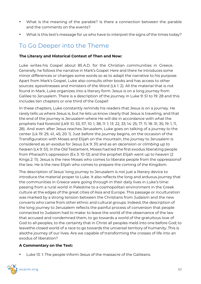- What is the meaning of the parable? Is there a connection between the parable and the comments on the events?
- What is this text's message for us who have to interpret the signs of the times today?

# To Go Deeper into the Theme

#### **The Literary and Historical Context of Then and Now:**

Luke writes his Gospel about 85 A.D. for the Christian communities in Greece. Generally, he follows the narrative in Mark's Gospel. Here and there he introduces some minor differences or changes some words so as to adapt the narrative to his purpose. Apart from Mark's Gospel, Luke also consults other books and has access to other sources: eyewitnesses and ministers of the Word (Lk 1: 2). All the material that is not found in Mark, Luke organizes into a literary form: Jesus is on a long journey from Galilee to Jerusalem. There is a description of the journey in Luke 9: 51 to 19: 28 and this includes ten chapters or one third of the Gospel!

In these chapters, Luke constantly reminds his readers that Jesus is on a journey. He rarely tells us where Jesus is, but he lets us know clearly that Jesus is traveling, and that the end of the journey is Jerusalem where He will die in accordance with what the prophets had foretold (Lk9: 51, 53, 57; 10: 1, 38; 11: 1; 13: 22, 33; 14: 25; 17: 11; 18: 31, 35; 19: 1, 11, 28). And even after Jesus reaches Jerusalem, Luke goes on talking of a journey to the center (Lk 19: 29, 41, 45; 20: 1). Just before the journey begins, on the occasion of the Transfiguration with Moses and Elijah on the mountain, the journey to Jerusalem is considered as an e*xodus* for Jesus (Lk 9: 31) and as an *ascension or climbing up to heaven* (Lk 9: 51). In the Old Testament, Moses had led the first exodus liberating people from Pharaoh's oppression (Ex 3: 10-12) and the prophet Elijah went up to heaven (2 Kings 2: 11). Jesus is the new Moses who comes to liberate people from the oppressionof the law. He is the new Elijah who comes to prepare the coming of the Kingdom.

The description of Jesus' long journey to Jerusalem is not just a literary device to introduce the material proper to Luke. It also reflects the long and arduous journey that the communities in Greece were going through in their daily lives in Luke's time: passing from a rural world in Palestine to a cosmopolitan environment in the Greek culture at the edges of the great cities of Asia and Europe. This passage or inculturation was marked by a strong tension between the Christians from Judaism and the new converts who came from other ethnic and cultural groups. Indeed, the description of the long journey to Jerusalem reflects the painful process of conversion that people connected to Judaism had to make: to leave the world of the observance of the law that accused and condemned them, to go towards a world of the gratuitous love of God to all peoples, to the certainty that in Christ all peoples meld into one before God; to leavethe closed world of a race to go towards the universal territory of humanity. This is alsothe journey of our lives. Are we capable of transforming the crosses of life into an exodus of liberation?

#### **A Commentary on the Text:**

Luke 13: 1: The people inform Jesus of the massacre of the Galileans.

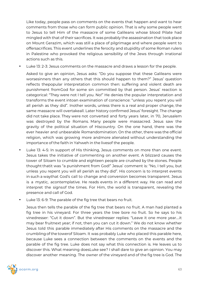Like today, people pass on comments on the events that happen and want to hear comments from those who can form public opinion. That is why some people went to Jesus to tell Him of the massacre of some Galileans whose blood Pilate had mingled with that of their sacrifices. It was probably the assassination that took place on Mount Gerazim, which was still a place of pilgrimage and where people went to offersacrifices. This event underlines the ferocity and stupidity of some Roman rulers in Palestine who provoked the religious sensibility of the Jews through irrational actions such as this.

• Luke 13: 2-3: Jesus comments on the massacre and draws a lesson for the people.

Asked to give an opinion, Jesus asks: "Do you suppose that these Galileans were worsesinners than any others that this should happen to them?" Jesus' question reflects thepopular interpretation common then: suffering and violent death are punishment fromGod for some sin committed by that person. Jesus' reaction is categorical: "They were not I tell you. No!" He denies the popular interpretation and transforms the event intoan examination of conscience: "unless you repent you will all perish as they did". Inother words, unless there is a real and proper change, the same massacre will overtakeall. Later history confirmed Jesus' foresight. The change did not take place. They were not converted and forty years later, in 70, Jerusalem was destroyed by the Romans. Many people were massacred. Jesus saw the gravity of the political situation of Hiscountry. On the one hand, there was the ever heavier and unbearable Romandomination. On the other, there was the official religion, which was growing more andmore alienated without understanding the importance of the faith in Yahweh in the livesof the people.

- Luke 13: 4-5: In support of His thinking, Jesus comments on more than one event. Jesus takes the initiative of commenting on another event. A blizzard causes the tower of Siloam to crumble and eighteen people are crushed by the stones. People thought thatit was "a punishment from God!" Jesus' comment is: "No, I tell you, but unless you repent you will all perish as they did". His concern is to interpret events in such a waythat God's call to change and conversion becomes transparent. Jesus is a mystic, acontemplative. He reads events in a different way. He can read and interpret the signsof the times. For Him, the world is transparent, revealing the presence and call of God.
- Luke 13: 6-9: The parable of the fig tree that bears no fruit.

Jesus then tells the parable of the fig tree that bears no fruit. A man had planted a fig tree in his vineyard. For three years the tree bore no fruit. So he says to his vinedresser: "Cut it down". But the vinedresser replies: "Leave it one more year….it may bear fruitnext year; if not, then you can cut it down." We do not know whether Jesus told this parable immediately after His comments on the massacre and the crumbling of the towerof Siloam. It was probably Luke who placed this parable here, because Luke sees a connection between the comments on the events and the parable of the fig tree. Luke does not say what this connection is. He leaves us to discover this. What meaning doesLuke see? I shall dare to give an opinion. You may discover another meaning. The owner of the vineyard and of the fig tree is God. The

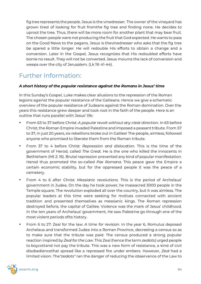figtree represents the people. Jesus is the vinedresser. The owner of the vineyard has grown tired of looking for fruit fromthe fig tree and finding none. He decides to uproot the tree. Thus, there will be more room for another plant that may bear fruit. The chosen people were not producing the fruit that God expected. He wants to pass on the Good News to the pagans. Jesus is thevinedresser who asks that the fig tree be spared a little longer. He will redouble His efforts to obtain a change and a conversion. Later in the Gospel, Jesus recognizes that His redoubled efforts have borne no result. They will not be converted. Jesus mourns the lack of conversion and weeps over the city of Jerusalem. (Lk 19: 41-44).

### Further Information:

#### *A short history of the popular resistance against the Romans in Jesus' time*

In this Sunday's Gospel, Luke makes clear allusions to the repression of the Roman legions against the popular resistance of the Galileans. Hence we give a schematic overview of the popular resistance of Judeans against the Roman domination. Over the years this resistance grew deeper and took root in the faith of the people. Here is an outline that runs parallel with Jesus' life:

- From 63 to 37 before Christ*: A popular revolt without any clear direction.* In 63 before Christ, the Roman Empire invaded Palestine and imposed a peasant tribute. From 57 to 37, in just 20 years, six rebellions broke out in Galilee! The people, aimless, followed anyone who promised to liberate them from the Roman tribute.
- From 37 to 4 before Christ*: Repression and dislocation.* This is the time of the government of Herod, called *The Great.* He is the one who killed the innocents in Bethlehem (Mt 2: 16). Brutal repression prevented any kind of popular manifestation. Herod thus promoted the so-called *Pax Romana*. This peace gave the Empire a certain economic stability, but for the oppressed people it was the peace of a cemetery.
- From 4 to 6 after Christ*: Messianic revolutions.* This is the period of Archelaus' government in Judea. On the day he took power, he massacred 3000 people in the Temple square. The revolution exploded all over the country, but it was aimless. The popular leaders at this time were seeking for motives connected with ancient tradition and presented themselves as messianic kings. The Roman repression destroyed Seforis, the capital of Galilee. Violence was the mark of Jesus' childhood. In the ten years of Archelaus' government, He saw Palestine go through one of the most violent periods ofits history.
- From 6 to 27: Zeal for the law: *A time for revision*. In the year 6, Romulus deposed Archelaus and transformed Judea into a Roman Province, decreeing a census so as to make sure that the tribute was paid. The census produced a strong popular reaction inspired by *Zeal for the Law*. This Zeal (hence the term *zealots)* urged people to boycottand not pay the tribute. This was a new form of resistance, a kind of civil disobediencethat spread like a repressed fire under embers. However, *Zeal* had a limited vision. The*"zealots"* ran the danger of reducing the observance of the Law to

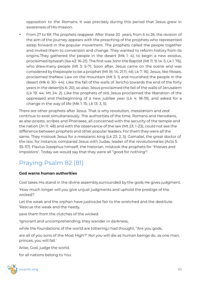opposition to the Romans. It was precisely during this period that Jesus grew in awareness of His mission.

• From 27 to 69: *The prophets reappear.* After these 20 years, from 6 to 26, the revision of the aim of the journey appears with the preaching of the prophets who represented astep forward in the popular movement. The prophets called the people together and invited them to conversion and change. They wanted to reform history from its origins.They gathered the people in the desert (Mk 1: 4), to begin a new exodus, proclaimed byIsaiah (Isa 43: 16-21). The first was John the Baptist (Mt 11: 9; 14: 5; Lk 1: 76), who drewmany people (Mt 3: 5-7). Soon after, Jesus came on the scene and was considered by thepeople to be a prophet (Mt 16: 14; 21:11, 46; Lk 7: 16). Jesus, like Moses, proclaimed theNew Law on the mountain (Mt 5: 1) and nourished the people in the desert (Mk 6: 30- 44). Like the fall of the walls of Jericho towards the end of the forty years in the desert(Is 6: 20), so also, Jesus proclaimed the fall of the walls of Jerusalem (Lk 19: 44; Mt 24: 2). Like the prophets of old, Jesus proclaimed the liberation of the oppressed and thebeginning of a new *jubilee* year (Lk 4: 18-19), and asked for a change in the way of life (Mk 1: 15; Lk 13: 3, 5).

There are other prophets after Jesus. That is why *revolution*, *messianism* and *zeal* continue to exist simultaneously. The authorities of the time, Romans and Herodians, as also priests, scribes and Pharisees, all concerned with the security of the temple and the nation (Jn 11: 48) and with the observance of the law (Mt 23: 1-23), could not see the difference between *prophets* and other popular leaders. For them they were all the same. They mistook Jesus for a messianic king (Lk 23: 2, 5). Gamaliel, the great doctor of the law, for instance, compared Jesus with Judas, leader of the *revolutionaries* (Acts 5: 35-37). Flavius Josephus himself, the historian, mistook the prophets for "thieves and impostors". Today we would say that they were all "good for nothing"!

# Praying Psalm 82 (81)

#### **God warns human authorities**

God takes His stand in the divine assembly,surrounded by the gods He gives judgment.

'How much longer will you give unjust judgments and uphold the prestige of the wicked?

Let the weak and the orphan have justice,be fair to the wretched and the destitute. 'Rescue the weak and the needy,

save them from the clutches of the wicked.

'Ignorant and uncomprehending, they wander in darkness,

while the foundations of the world are tottering.I had thought, "Are you gods,

are all of you sons of the Most High?" No! you will die as human beings do, as one man, princes, you will fall.'

Arise, God, judge the world,

for all nations belong to You.

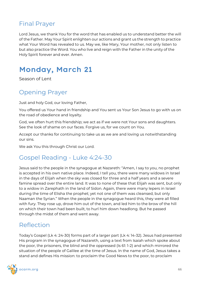# Final Prayer

Lord Jesus, we thank You for the word that has enabled us to understand better the will of the Father. May Your Spirit enlighten our actions and grant us the strength to practice what Your Word has revealed to us. May we, like Mary, Your mother, not only listen to but also practice the Word. You who live and reign with the Father in the unity of the Holy Spirit forever and ever. Amen.

# Monday, March 21

Season of Lent

# Opening Prayer

Just and holy God, our loving Father,

You offered us Your hand in friendship and You sent us Your Son Jesus to go with us on the road of obedience and loyalty.

God, we often hurt this friendship; we act as if we were not Your sons and daughters. See the look of shame on our faces. Forgive us, for we count on You.

Accept our thanks for continuing to take us as we are and loving us notwithstanding our sins.

We ask You this through Christ our Lord.

### Gospel Reading - Luke 4:24-30

Jesus said to the people in the synagogue at Nazareth: "Amen, I say to you, no prophet is accepted in his own native place. Indeed, I tell you, there were many widows in Israel in the days of Elijah when the sky was closed for three and a half years and a severe famine spread over the entire land. It was to none of these that Elijah was sent, but only to a widow in Zarephath in the land of Sidon. Again, there were many lepers in Israel during the time of Elisha the prophet; yet not one of them was cleansed, but only Naaman the Syrian." When the people in the synagogue heard this, they were all filled with fury. They rose up, drove him out of the town, and led him to the brow of the hill on which their town had been built, to hurl him down headlong. But he passed through the midst of them and went away.

### Reflection

Today's Gospel (Lk 4: 24-30) forms part of a larger part (Lk 4: 14-32). Jesus had presented His program in the synagogue of Nazareth, using a text from Isaiah which spoke about the poor, the prisoners, the blind and the oppressed (Is 61: 1-2) and which mirrored the situation of the people of Galilee at the time of Jesus. In the name of God, Jesus takes a stand and defines His mission: to proclaim the Good News to the poor, to proclaim

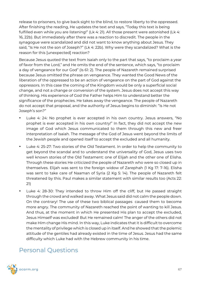release to prisoners, to give back sight to the blind, to restore liberty to the oppressed. After finishing the reading, He updates the text and says, "Today this text is being fulfilled even while you are listening!" (Lk 4: 21). All those present were astonished (Lk 4: 16, 22b). But immediately after there was a reaction to discredit. The people in the synagogue were scandalized and did not want to know anything about Jesus. They said, "Is He not the son of Joseph?" (Lk 4: 22b). Why were they scandalized? What is the reason for this [unexpected] reaction?

Because Jesus quoted the text from Isaiah only to the part that says, "to proclaim a year of favor from the Lord," and He omits the end of the sentence, which says, "to proclaim a day of vengeance for our God" (Is 61: 2). The people of Nazareth remained surprised because Jesus omitted the phrase on vengeance. They wanted the Good News of the liberation of the oppressed to be an action of vengeance on the part of God against the oppressors. In this case the coming of the Kingdom would be only a superficial social change, and not a change or conversion of the system. Jesus does not accept this way of thinking. His experience of God the Father helps Him to understand better the significance of the prophecies. He takes away the vengeance. The people of Nazareth do not accept that proposal, and the authority of Jesus begins to diminish: "Is He not Joseph's son?"

- Luke 4: 24: No prophet is ever accepted in his own country. Jesus answers, "No prophet is ever accepted in his own country!" In fact, they did not accept the new image of God which Jesus communicated to them through this new and freer interpretation of Isaiah. The message of the God of Jesus went beyond the limits of the Jewish people and opened itself to accept the excluded and all humanity.
- Luke 4: 25-27: Two stories of the Old Testament. In order to help the community to get beyond the scandal and to understand the universality of God, Jesus uses two well known stories of the Old Testament: one of Elijah and the other one of Elisha. Through these stories He criticized the people of Nazareth who were so closed up in themselves. Elijah was sent to the foreign widow of Zarephah (1 Kg 17: 7-16). Elisha was sent to take care of Naaman of Syria (2 Kg 5: 14). The people of Nazareth felt threatened by this. Paul makes a similar statement with similar results too (Acts 22: 21)
- Luke 4: 28-30: They intended to throw Him off the cliff, but He passed straight through the crowd and walked away. What Jesus said did not calm the people down. On the contrary! The use of these two biblical passages caused them to become more angry. The community of Nazareth reached the point of wanting to kill Jesus. And thus, at the moment in which He presented His plan to accept the excluded, Jesus Himself was excluded! But He remained calm! The anger of the others did not make Him change His mind. In this way, Luke indicates that it is difficult to overcome the mentality of privilege which is closed up in itself. And he showed that the polemic attitude of the gentiles had already existed in the time of Jesus. Jesus had the same difficulty which Luke had with the Hebrew community in his time.

### Personal Questions

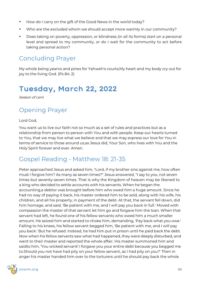- How do I carry on the gift of the Good News in the world today?
- Who are the excluded whom we should accept more warmly in our community?
- Does taking on poverty, oppression, or blindness (in all its forms) start on a personal level and spread to my community, or do I wait for the community to act before taking personal action?

### Concluding Prayer

My whole being yearns and pines for Yahweh's courts;My heart and my body cry out for joy to the living God. (Ps 84: 2)

# Tuesday, March 22, 2022

*Season of Lent*

# Opening Prayer

#### Lord God,

You want us to live our faith not so much as a set of rules and practices but as a relationship from person to person with You and with people. Keep our hearts turned to You, that we may live what we believe and that we may express our love for You in terms of service to those around us,as Jesus did, Your Son, who lives with You and the Holy Spirit forever and ever. Amen.

### Gospel Reading - Matthew 18: 21-35

Peter approached Jesus and asked him, "Lord, if my brother sins against me, how often must I forgive him? As many as seven times?" Jesus answered, "I say to you, not seven times but seventy-seven times. That is why the Kingdom of heaven may be likened to a king who decided to settle accounts with his servants. When he began the accounting,a debtor was brought before him who owed him a huge amount. Since he had no way of paying it back, his master ordered him to be sold, along with his wife, his children, and all his property, in payment of the debt. At that, the servant fell down, did him homage, and said, 'Be patient with me, and I will pay you back in full.' Moved with compassion the master of that servant let him go and forgave him the loan. When that servant had left, he found one of his fellow servants who owed him a much smaller amount. He seized him and started to choke him, demanding, 'Pay back what you owe.' Falling to his knees, his fellow servant begged him, 'Be patient with me, and I will pay you back.' But he refused. Instead, he had him put in prison until he paid back the debt. Now when his fellow servants saw what had happened, they were deeply disturbed, and went to their master and reported the whole affair. His master summoned him and saidto him, 'You wicked servant! I forgave you your entire debt because you begged me to.Should you not have had pity on your fellow servant, as I had pity on you?' Then in anger his master handed him over to the torturers until he should pay back the whole

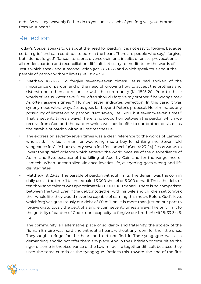debt. So will my heavenly Father do to you, unless each of you forgives your brother from your heart."

# Reflection

Today's Gospel speaks to us about the need for pardon. It is not easy to forgive, because certain grief and pain continue to burn in the heart. There are people who say,"I forgive, but I do not forget!" Rancor, tensions, diverse opinions, insults, offenses, provocations, all renders pardon and reconciliation difficult. Let us try to meditate on the words of Jesus which speak about reconciliation (Mt 18: 21-22) and which speak tous about the parable of pardon without limits (Mt 18: 23-35).

- Matthew 18:21-22: To forgive seventy-seven times! Jesus had spoken of the importance of pardon and of the need of knowing how to accept the brothers and sistersto help them to reconcile with the community (Mt 18:15-20) Prior to these words of Jesus, Peter asks, "How often should I forgive my brother if he wrongs me? As often asseven times?" Number seven indicates perfection. In this case, it was synonymous withalways. Jesus goes far beyond Peter's proposal. He eliminates any possibility of limitation to pardon: "Not seven, I tell you, but seventy-seven times!" That is, seventy times always! There is no proportion between the pardon which we receive from God and the pardon which we should offer to our brother or sister, as the parable of pardon without limit teaches us.
- The expression seventy-seven times was a clear reference to the words of Lamech who said, "I killed a man for wounding me, a boy for striking me. Seven fold vengeance forCain but seventy-seven fold for Lamech" (Gen 4: 23-24). Jesus wants to invert the spiralof violence which entered the world because of the disobedience of Adam and Eve, because of the killing of Abel by Cain and for the vengeance of Lamech. When uncontrolled violence invades life, everything goes wrong and life disintegrates.
- Matthew 18: 23-35: The parable of pardon without limits. The denarii was the coin in daily use at the time. 1 talent equaled 3,000 shekel or 6,000 denarii. Thus, the debt of ten thousand talents was approximately 60,000,000 denarii! There is no comparison between the two! Even if the debtor together with his wife and children set to work theirwhole life, they would never be capable of earning this much. Before God's love, whichforgives gratuitously our debt of 60 million, it is more than just on our part to forgive gratuitously the debt of a single coin, seventy times always! The only limit to the gratuity of pardon of God is our incapacity to forgive our brother! (Mt 18: 33-34; 6: 15)

The community, an alternative place of solidarity and fraternity: the society of the Roman Empire was hard and without a heart, without any room for the little ones. They sought refuge for the heart and did not find it. The synagogue was also demanding anddid not offer them any place. And in the Christian communities, the rigor of some in theobservance of the Law made life together difficult because they used the same criteria as the synagogue. Besides this, toward the end of the first

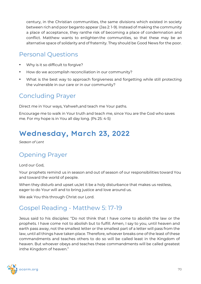century, in the Christian communities, the same divisions which existed in society between rich and poor beganto appear (Jas 2: 1-9). Instead of making the community a place of acceptance, they ranthe risk of becoming a place of condemnation and conflict. Matthew wants to enlighten the communities, so that these may be an alternative space of solidarity and of fraternity. They should be Good News for the poor.

### Personal Questions

- Why is it so difficult to forgive?
- How do we accomplish reconciliation in our community?
- What is the best way to approach forgiveness and forgetting while still protecting the vulnerable in our care or in our community?

## Concluding Prayer

Direct me in Your ways, Yahweh,and teach me Your paths.

Encourage me to walk in Your truth and teach me, since You are the God who saves me. For my hope is in You all day long. (Ps 25: 4-5)

# Wednesday, March 23, 2022

*Season of Lent*

### Opening Prayer

Lord our God,

Your prophets remind us in season and out of season of our responsibilities toward You and toward the world of people.

When they disturb and upset us,let it be a holy disturbance that makes us restless, eager to do Your will and to bring justice and love around us.

We ask You this through Christ our Lord.

### Gospel Reading - Matthew 5: 17-19

Jesus said to his disciples: "Do not think that I have come to abolish the law or the prophets. I have come not to abolish but to fulfill. Amen, I say to you, until heaven and earth pass away, not the smallest letter or the smallest part of a letter will pass from the law, until all things have taken place. Therefore, whoever breaks one of the least of these commandments and teaches others to do so will be called least in the Kingdom of heaven. But whoever obeys and teaches these commandments will be called greatest inthe Kingdom of heaven."

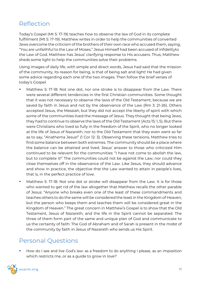# Reflection

Today's Gospel (Mt 5: 17-19) teaches how to observe the law of God in its complete fulfillment (Mt 5: 17-19). Matthew writes in order to help the communities of converted Jews overcome the criticism of the brothers of their own race who accused them, saying, "You are unfaithful to the Law of Moses." Jesus Himself had been accused of infidelityto the Law of God. Matthew has Jesus' clarifying response to His accusers. Thus, Matthew sheds some light to help the communities solve their problems.

Using images of daily life, with simple and direct words, Jesus had said that the mission of the community, its reason for being, is that of being salt and light! He had given some advice regarding each one of the two images. Then follow the brief verses of today's Gospel.

- Matthew 5: 17-18: Not one dot, nor one stroke is to disappear from the Law. There were several different tendencies in the first Christian communities. Some thought that it was not necessary to observe the laws of the Old Testament, because we are saved by faith in Jesus and not by the observance of the Law (Rm 3: 21-26). Others accepted Jesus, the Messiah, but they did not accept the liberty of spirit with which some of the communities lived the message of Jesus. They thought that being Jews, they had to continue to observe the laws of the Old Testament (Acts 15: 1, 5). But there were Christians who lived so fully in the freedom of the Spirit, who no longer looked at the life of Jesus of Nazareth, nor to the Old Testament that they even went so far as to say, "Anathema Jesus!" (1 Cor 12: 3). Observing these tensions, Matthew tries to find some balance between both extremes. The community should be a place where the balance can be attained and lived. Jesus' answer to those who criticized Him continued to be relevant for the communities: "I have not come to abolish the law, but to complete it!" The communities could not be against the Law, nor could they close themselves off in the observance of the Law. Like Jesus, they should advance and show in practice, the objective thst the Law wanted to attain in people's lives, that is, in the perfect practice of love.
- Matthew 5: 17-18: Not one dot or stroke will disappear from the Law. It is for those who wanted to get rid of the law altogether that Matthew recalls the other parable of Jesus: "Anyone who breaks even one of the least of these commandments and teaches others to do the same will be considered the least in the Kingdom of Heaven; but the person who keeps them and teaches them will be considered great in the Kingdom of Heaven." The great concern in Matthew's Gospel is to show that the Old Testament, Jesus of Nazareth, and the life in the Spirit cannot be separated. The three of them form part of the same and unique plan of God and communicate to us the certainty of faith: The God of Abraham and of Sarah is present in the midst of the community by faith in Jesus of Nazareth who sends us His Spirit.

### Personal Questions

• How do I see and live God's law: as a freedom to do anything I please, as an imposition which restricts me, or as a guide to grow in love?

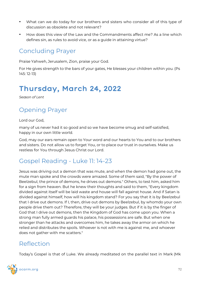- What can we do today for our brothers and sisters who consider all of this type of discussion as obsolete and not relevant?
- How does this view of the Law and the Commandments affect me? As a line which defines sin, as rules to avoid vice, or as a guide in attaining virtue?

## Concluding Prayer

Praise Yahweh, Jerusalem, Zion, praise your God.

For He gives strength to the bars of your gates, He blesses your children within you. (Ps 145: 12-13)

# Thursday, March 24, 2022

*Season of Lent*

# Opening Prayer

Lord our God,

many of us never had it so good and so we have become smug and self-satisfied, happy in our own little world.

God, may our ears remain open to Your word and our hearts to You and to our brothers and sisters. Do not allow us to forget You, or to place our trust in ourselves. Make us restless for You through Jesus Christ our Lord.

## Gospel Reading - Luke 11: 14-23

Jesus was driving out a demon that was mute, and when the demon had gone out, the mute man spoke and the crowds were amazed. Some of them said, "By the power of Beelzebul, the prince of demons, he drives out demons." Others, to test him, asked him for a sign from heaven. But he knew their thoughts and said to them, "Every kingdom divided against itself will be laid waste and house will fall against house. And if Satan is divided against himself, how will his kingdom stand? For you say that it is by Beelzebul that I drive out demons. If I, then, drive out demons by Beelzebul, by whomdo your own people drive them out? Therefore, they will be your judges. But if it is by the finger of God that I drive out demons, then the Kingdom of God has come upon you. When a strong man fully armed guards his palace, his possessions are safe. But when one stronger than he attacks and overcomes him, he takes away the armor on which he relied and distributes the spoils. Whoever is not with me is against me, and whoever does not gather with me scatters."

### Reflection

Today's Gospel is that of Luke. We already meditated on the parallel text in Mark (Mk

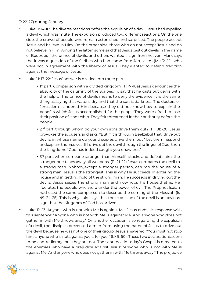#### 3: 22-27) during January.

- Luke 11: 14-16: The diverse reactions before the expulsion of a devil. Jesus had expelled a devil which was mute. The expulsion produced two different reactions. On the one side, the crowd of people who remain astonished and surprised. The people accept Jesus and believe in Him. On the other side, those who do not accept Jesus and do not believe in Him. Among the latter, some said that Jesus cast out devils in the name of Beelzebul, the prince of devils, and others wanted a sign from heaven. Mark says thatit was a question of the Scribes who had come from Jerusalem (Mk 3: 22), who were not in agreement with the liberty of Jesus. They wanted to defend tradition against the message of Jesus.
- Luke 11: 17-22: Jesus' answer is divided into three parts:
	- $\bullet$  1 $^{\rm st}$  part: Comparison with a divided kingdom. (11: 17-18a) Jesus denounces the absurdity of the calumny of the Scribes. To say that he casts out devils with the help of the prince of devils means to deny the evidence. It is the same thing as saying that wateris dry and that the sun is darkness. The doctors of Jerusalem slandered Him because they did not know how to explain the benefits which Jesus accomplished for the people.They were afraid to lose their position of leadership. They felt threatened in their authority before the people.
	- 2<sup>nd</sup> part: through whom do your own sons drive them out? (11: 18b-20) Jesus provokes the accusers and asks, "But if it is through Beelzebul that Idrive out devils, in whose name do your disciples drive them out? Let them respond andexplain themselves! If I drive out the devil through the finger of God, then the Kingdomof God has indeed caught you unawares."
	- 3<sup>rd</sup> part: when someone stronger than himself attacks and defeats him, the stronger one takes away all weapons. (11: 21-22) Jesus compares the devil to a strong man. Nobody,except a stronger person, can rob the house of a strong man: Jesus is the strongest. This is why He succeeds in entering the house and in getting hold of the strong man. He succeeds in driving out the devils. Jesus seizes the strong man and now robs his house, that is, He liberates the people who were under the power of evil. The Prophet Isaiah had used the same comparison to describe the coming of the Messiah (Is 49: 24-25). This is why Luke says that the expulsion of the devil is an obvious sign that the Kingdom of God has arrived.
- Luke 11: 23: Anyone who is not with Me is against Me. Jesus ends His response with this sentence: "Anyone who is not with Me is against Me. And anyone who does not gather in with Me throws away." On another occasion, also regarding the expulsion ofa devil, the disciples prevented a man from using the name of Jesus to drive out the devil because he was not one of their group. Jesus answered, "You must not stop him: anyone who is not against you is for you!" (Lk 9: 50). These two declarations seem to be contradictory, but they are not. The sentence in today's Gospel is directed to the enemies who have a prejudice against Jesus: "Anyone who is not with Me is against Me. And anyone who does not gather in with Me throws away." The prejudice

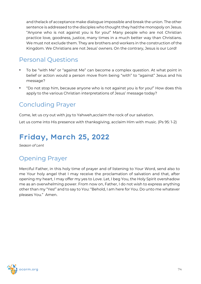and thelack of acceptance make dialogue impossible and break the union. The other sentence is addressed to the disciples who thought they had the monopoly on Jesus. "Anyone who is not against you is for you!" Many people who are not Christian practice love, goodness, justice, many times in a much better way than Christians. We must not exclude them. They are brothers and workers in the construction of the Kingdom. We Christians are not Jesus' owners. On the contrary, Jesus is our Lord!

# Personal Questions

- To be "with Me" or "against Me" can become a complex question. At what point in belief or action would a person move from being "with" to "against" Jesus and his message?
- "Do not stop him, because anyone who is not against you is for you!" How does this apply to the various Christian interpretations of Jesus' message today?

### Concluding Prayer

Come, let us cry out with joy to Yahweh,acclaim the rock of our salvation.

Let us come into His presence with thanksgiving, acclaim Him with music. (Ps 95: 1-2)

# Friday, March 25, 2022

*Season of Lent*

# Opening Prayer

Merciful Father, in this holy time of prayer and of listening to Your Word, send also to me Your holy angel that I may receive the proclamation of salvation and that, after opening my heart, I may offer my yes to Love. Let, I beg You, the Holy Spirit overshadow me as an overwhelming power. From now on, Father, I do not wish to express anything other than my "Yes!" and to say to You: "Behold, I am here for You. Do unto me whatever pleases You." Amen.

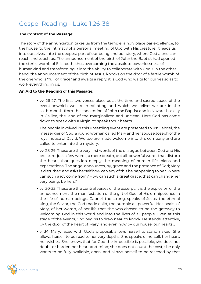# Gospel Reading - Luke 1:26-38

#### **The Context of the Passage:**

The story of the annunciation takes us from the temple, a holy place par excellence, to the house, to the intimacy of a personal meeting of God with His creature; it leads us into ourselves, into the deepest part of our being and our story, where God alone can reach and touch us. The announcement of the birth of John the Baptist had opened the sterile womb of Elizabeth, thus overcoming the absolute powerlessness of humankind and transforming it into the ability to collaborate with God. On the other hand, the announcement of the birth of Jesus, knocks on the door of a fertile womb of the one who is "full of grace" and awaits a reply: it is God who waits for our yes so as to work everything in us.

#### **An Aid to the Reading of this Passage:**

• vv. 26-27: The first two verses place us at the time and sacred space of the event onwhich we are meditating and which we relive: we are in the sixth month from the conception of John the Baptist and in Nazareth, a city in Galilee, the land of the marginalized and unclean. Here God has come down to speak with a virgin, to speak toour hearts.

The people involved in this unsettling event are presented to us: Gabriel, the messenger of God, a young woman called Mary and her spouse Joseph of the royal house of David. We too are made welcome into this company and are called to enter into the mystery.

- vv. 28-29: These are the very first words of the dialogue between God and His creature: just a few words, a mere breath, but all-powerful words that disturb the heart, that question deeply the meaning of human life, plans and expectations. The angel announces joy, grace and the presence of God; Mary is disturbed and asks herself how can any of this be happening to her. Where can such a joy come from? How can such a great grace, that can change her very being, be hers?
- vv. 30-33: These are the central verses of the excerpt: it is the explosion of the announcement, the manifestation of the gift of God, of His omnipotence in the life of human beings. Gabriel, the strong, speaks of Jesus: the eternal king, the Savior, the God made child, the humble all-powerful. He speaks of Mary, of her womb, of her life that she was chosen to be the gateway to welcoming God in this world and into the lives of all people. Even at this stage of the events, God begins to draw near, to knock. He stands, attentive, by the door of the heart of Mary, and even now by our house, our hearts…
- v. 34: Mary, faced with God's proposal, allows herself to stand naked. She allows herself to be read to her very depths. She speaks of herself, her heart, her wishes. She knows that for God the impossible is possible; she does not doubt or harden her heart and mind; she does not count the cost; she only wants to be fully available, open, and allows herself to be reached by that

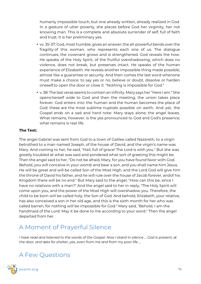humanly impossible touch, but one already written, already realized in God. In a gesture of utter poverty, she places before God her virginity, her not knowing man. This is a complete and absolute surrender of self, full of faith and trust. It is her preliminary yes.

- vv. 35-37: God, most humble, gives an answer; the all-powerful bends over the fragility of this woman, who represents each one of us. The dialogue continues; the covenant grows and is strengthened. God reveals the how. He speaks of the Holy Spirit, of the fruitful overshadowing, which does no violence, does not break, but preserves intact. He speaks of the human experience of Elizabeth. He reveals another impossible thing made possible; almost like a guarantee or security. And then comes the last word whenone must make a choice: to say yes or no, believe or doubt, dissolve or harden oneself,to open the door or close it. "Nothing is impossible for God."
- v. 38: The last verse seems to contain an infinity. Mary says her "Here I am." She opensherself wide to God and then the meeting, the union takes place forever. God enters into the human and the human becomes the place of God: these are the most sublime nuptials possible on earth. And yet, the Gospel ends on a sad and hard note: Mary stays alone; the angel leaves. What remains, however, is the yes pronounced to God and God's presence; what remains is real life.

#### **The Text:**

The angel Gabriel was sent from God to a town of Galilee called Nazareth, to a virgin betrothed to a man named Joseph, of the house of David, and the virgin's name was Mary. And coming to her, he said, "Hail, full of grace! The Lord is with you." But she was greatly troubled at what was said and pondered what sort of greeting this might be. Then the angel said to her, "Do not be afraid, Mary, for you have found favor with God. Behold, you will conceive in your womb and bear a son, and you shall name him Jesus. He will be great and will be called Son of the Most High, and the Lord God will give him the throne of David his father, and he will rule over the house of Jacob forever, andof his Kingdom there will be no end." But Mary said to the angel, "How can this be, since I have no relations with a man?" And the angel said to her in reply, "The Holy Spirit will come upon you, and the power of the Most High will overshadow you. Therefore, the child to be born will be called holy, the Son of God. And behold, Elizabeth, your relative, has also conceived a son in her old age, and this is the sixth month for her who was called barren; for nothing will be impossible for God." Mary said, "Behold, I am the handmaid of the Lord. May it be done to me according to your word." Then the angel departed from her.

### A Moment of Prayerful Silence

*I* have read and listened to the words of the Gospel. Now I stand in silence ... God is present, at *the door, and asks for shelter, yes, even from me and from my poor life …*

### A Few Questions

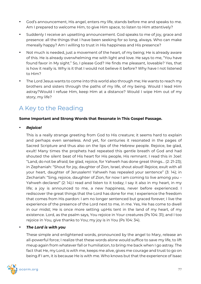- God's announcement, His angel, enters my life, stands before me and speaks to me. Am I prepared to welcome Him, to give Him space, to listen to Him attentively?
- Suddenly I receive an upsetting announcement. God speaks to me of joy, grace and presence: all the things that I have been seeking for so long, always. Who can make mereally happy? Am I willing to trust in His happiness and His presence?
- Not much is needed, just a movement of the heart, of my being; He is already aware of this. He is already overwhelming me with light and love. He says to me, "You have found favor in My sight." So, I please God? He finds me pleasant, loveable? Yes, that is how it really is. Why is it that I would not believe it before? Why have I not listened to Him?
- The Lord Jesus wants to come into this world also through me; He wants to reach my brothers and sisters through the paths of my life, of my being. Would I lead Him astray?Would I refuse Him, keep Him at a distance? Would I wipe Him out of my story, my life?

# A Key to the Reading

#### **Some Important and Strong Words that Resonate in This Gospel Passage.**

• *Rejoice!*

This is a really strange greeting from God to His creature; it seems hard to explain and perhaps even senseless. And yet, for centuries it resonated in the pages of Sacred Scripture and thus also on the lips of the Hebrew people. Rejoice, be glad, exult! Many times the prophets had repeated this gentle breath of God and had shouted the silent beat of His heart for His people, His remnant. I read this in Joel: "Land, do not be afraid; be glad, rejoice, for Yahweh has done great things… (2: 21-23); in Zephaniah: "Shout for joy, daughter of Zion, Israel, shout aloud! Rejoice, exult with all your heart, daughter of Jerusalem! Yahweh has repealed your sentence" (3: 14); in Zechariah: "Sing, rejoice, daughter of Zion, for now I am coming to live among you – Yahweh declares!" (2: 14).I read and listen to it today; I say it also in my heart, in my life; a joy is announced to me, a new happiness, never before experienced. I rediscover the great things that the Lord has done for me; I experience the freedom that comes from His pardon: I am no longer sentenced but graced forever; I live the experience of the presence of the Lord next to me, in me. Yes, He has come to dwell in our midst; He is once more setting upHis tent in the land of my heart, of my existence. Lord, as the psalm says, You rejoice in Your creatures (Ps 104: 31); and I too rejoice in You, give thanks to You; my joy is in You (Ps 104: 34).

#### • *The Lord is with you*

These simple and enlightened words, pronounced by the angel to Mary, release an all-powerful force; I realize that these words alone would suffice to save my life, to lift meup again from whatever fall or humiliation, to bring me back when I go astray. The fact that He, my Lord, is with me, keeps me alive, gives me courage and trust to go on being.If I am, it is because He is with me. Who knows but that the experience of Isaac

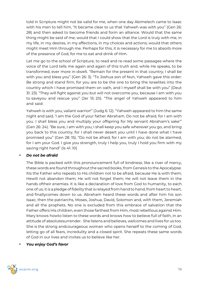told in Scripture might not be valid for me, when one day Abimelech came to Isaac with his men to tell him, "It became clear to us that Yahweh was with you" (Gen 26: 28) and then asked to become friends and form an alliance. Would that the same thing might be said of me; would that I could show that the Lord is truly with me, in my life, in my desires, in my affections, in my choices and actions; would that others might meet Him through me. Perhaps for this, it is necessary for me to absorb more of the presence of God, for me to eat and drink of Him.

Let me go to the school of Scripture, to read and re-read some passages where the voice of the Lord tells me again and again of this truth and, while He speaks, to be transformed, ever more in-dwelt. "Remain for the present in that country; I shall be with you and bless you" (Gen 26: 3). "To Joshua son of Nun, Yahweh gave this order: Be strong and stand firm, for you are to be the one to bring the Israelites into the country which I have promised them on oath, and I myself shall be with you" (Deut 31: 23). "They will fight against you but will not overcome you, because I am with you to saveyou and rescue you" (Jer 15: 20). "The angel of Yahweh appeared to him and said:

Yahweh is with you, valiant warrior!" (Judg 6: 12). "Yahweh appeared to him the same night and said, 'I am the God of your father Abraham. Do not be afraid, for I am with you. I shall bless you and multiply your offspring for My servant Abraham's sake'" (Gen 26: 24). "Be sure, I am with you; I shall keep you safe wherever you go, and bring you back to this country, for I shall never desert you until I have done what I have promised you" (Gen 28: 15). "Do not be afraid, for I am with you; do not be alarmed, for I am your God. I give you strength, truly I help you, truly I hold you firm with my saving right hand" (Is 41: 10)

#### • *Do not be afraid*

The Bible is packed with this pronouncement full of kindness; like a river of mercy, these words are found throughout the sacred books, from Genesis to the Apocalypse. Itis the Father who repeats to His children not to be afraid, because He is with them; Hewill not abandon them; He will not forget them; He will not leave them in the hands oftheir enemies. It is like a declaration of love from God to humanity, to each one of us; it is apledge offidelity that is relayedfromhandtohand, fromheart to heart, and finallycomes down to us. Abraham heard these words and after him his son Isaac, then the patriarchs, Moses, Joshua, David, Solomon and, with them, Jeremiah and all the prophets. No one is excluded from this embrace of salvation that the Father offers His children, even those farthest from Him, most rebellious against Him. Mary knows howto listen to these words and knows how to believe full of faith, in an attitude of absolutesurrender. She listens and believes, welcomes and lives for us too. She is the strong andcourageous woman who opens herself to the coming of God, letting go of all fears, incredulity and a closed spirit. She repeats these same words of God in our lives and invites us to believe like her.

#### • *You enjoy God's favor*

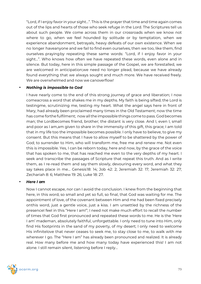"Lord, if I enjoy favor in your sight…". This is the prayer that time and time again comes out of the lips and hearts of those who seek refuge in the Lord. The Scriptures tell us about such people. We come across them in our crossroads when we know not where to go, when we feel hounded by solitude or by temptation, when we experience abandonment, betrayals, heavy defeats of our own existence. When we no longer haveanyone and we fail to find even ourselves, then we too, like them, find ourselves prayingby repeating these same words: "Lord, if I enjoy favor in your sight…". Who knows how often we have repeated these words, even alone and in silence. But today, here in this simple passage of the Gospel, we are forestalled, we are welcomed in anticipation;we need no longer plead, because we have already found everything that we always sought and much more. We have received freely. We are overwhelmed and now we canoverflow!

#### • *Nothing is impossible to God*

I have nearly come to the end of this strong journey of grace and liberation; I now comeacross a word that shakes me in my depths. My faith is being sifted; the Lord is testingme, scrutinizing me, testing my heart. What the angel says here in front of Mary, had already been proclaimed many times in the Old Testament; now the time has come forthe fulfilment; now all the impossible things come to pass. God becomes man; the Lordbecomes friend, brother; the distant is very close. And I, even I, small and poor as I am,am given to share in the immensity of this gift, this grace; I am told that in my life too the impossible becomes possible. I only have to believe, to give my consent. But this means that I have to allow myself to be shattered by the power of God; to surrender to Him, who will transform me, free me and renew me. Not even this is impossible. Yes, I can be reborn today, here and now, by the grace of the voice that has spoken to me, that has reached me even to the very depths of my heart. I seek and transcribe the passages of Scripture that repeat this truth. And as I write them, as I re-read them and say them slowly, devouring every word, and what they say takes place in me… Genesis18: 14; Job 42: 2; Jeremiah 32: 17; Jeremiah 32: 27; Zechariah 8: 6; Matthew 19: 26; Luke 18: 27.

#### • *Here I am*

Now I cannot escape, nor can I avoid the conclusion. I knew from the beginning that here, in this word, so small and yet so full, so final, that God was waiting for me. The appointment of love, of the covenant between Him and me had been fixed precisely onthis word, just a gentle voice, just a kiss. I am unsettled by the richness of the presenceI feel in this "Here I am!"; I need not make much effort to recall the number of times that God first pronounced and repeated these words to me. He is the 'Here I am' mademan, absolutely faithful, unforgettable. I only need to tune into Him, only find His footprints in the sand of my poverty, of my desert; I only need to welcome His infinitelove that never ceases to seek me, to stay close to me, to walk with me wherever I go. The "Here I am" has already been pronounced and realized. It is already real. How many before me and how many today have experienced this! I am not alone. I still remain silent, listening before I reply…

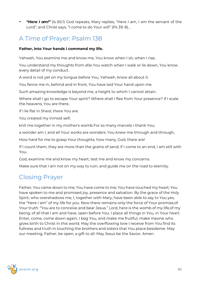• *"Here I am!"* (Is 65:1) God repeats; Mary replies, "Here I am, I am the servant of the Lord"; and Christ says, "I come to do Your will" (Ps 39: 8)...

## A Time of Prayer: Psalm 138

#### **Father, into Your hands I commend my life.**

Yahweh, You examine me and know me, You know when I sit, when I rise,

You understand my thoughts from afar.You watch when I walk or lie down, You know every detail of my conduct.

A word is not yet on my tongue before You, Yahweh, know all about it.

You fence me in, behind and in front, You have laid Your hand upon me.

Such amazing knowledge is beyond me, a height to which I cannot attain.

Where shall I go to escape Your spirit? Where shall I flee from Your presence? If I scale the heavens, You are there,

if I lie flat in Sheol, there You are.

You created my inmost self,

knit me together in my mother's womb.For so many marvels I thank You;

a wonder am I, and all Your works are wonders. You knew me through and through,

How hard for me to grasp Your thoughts, how many, God, there are!

If I count them, they are more than the grains of sand; if I come to an end, I am still with You.

God, examine me and know my heart, test me and know my concerns.

Make sure that I am not on my way to ruin, and quide me on the road to eternity.

# Closing Prayer

Father, You came down to me; You have come to me; You have touched my heart; You have spoken to me and promised joy, presence and salvation. By the grace of the Holy Spirit, who overshadows me, I, together with Mary, have been able to say to You yes, the "Here I am" of my life for you. Now there remains only the force of Your promise,of Your truth: "You are to conceive and bear Jesus." Lord, here is the womb of my life,of my being, of all that I am and have, open before You. I place all things in You, in Your heart. Enter, come, come down again, I beg You, and make me fruitful, make meone who gives birth to Christ in this world. May the overflowing love I receive from You find its fullness and truth in touching the brothers and sisters that You place besideme. May our meeting, Father, be open, a gift to all. May Jesus be the Savior. Amen.

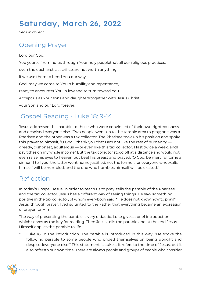# Saturday, March 26, 2022

*Season of Lent*

# Opening Prayer

Lord our God, You yourself remind us through Your holy peoplethat all our religious practices, even the eucharistic sacrifice,are not worth anything if we use them to bend You our way. God, may we come to Youin humility and repentance, ready to encounter You in loveand to turn toward You. Accept us as Your sons and daughters,together with Jesus Christ, your Son and our Lord forever.

### Gospel Reading - Luke 18: 9-14

Jesus addressed this parable to those who were convinced of their own righteousness and despised everyone else. "Two people went up to the temple area to pray; one was a Pharisee and the other was a tax collector. The Pharisee took up his position and spoke this prayer to himself, 'O God, I thank you that I am not like the rest of humanity greedy, dishonest, adulterous — or even like this tax collector. I fast twice a week, andI pay tithes on my whole income.' But the tax collector stood off at a distance and would not even raise his eyes to heaven but beat his breast and prayed, 'O God, be merciful tome a sinner.' I tell you, the latter went home justified, not the former; for everyone whoexalts himself will be humbled, and the one who humbles himself will be exalted."

### Reflection

In today's Gospel, Jesus, in order to teach us to pray, tells the parable of the Pharisee and the tax collector. Jesus has a different way of seeing things. He saw something positive in the tax collector, of whom everybody said, "He does not know how to pray!" Jesus, through prayer, lived so united to the Father that everything became an expression of prayer for Him.

The way of presenting the parable is very didactic. Luke gives a brief introduction which serves as the key for reading. Then Jesus tells the parable and at the end Jesus Himself applies the parable to life.

Luke 18: 9: The introduction. The parable is introduced in this way: "He spoke the following parable to some people who prided themselves on being upright and despisedeveryone else!" This statement is Luke's. It refers to the time of Jesus, but it also refersto our own time. There are always people and groups of people who consider

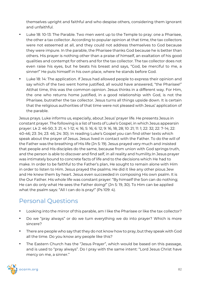themselves upright and faithful and who despise others, considering them ignorant and unfaithful.

- Luke 18: 10-13: The Parable. Two men went up to the Temple to pray: one a Pharisee, the other a tax collector. According to popular opinion at that time, the tax collectors were not esteemed at all, and they could not address themselves to God because they were impure. In the parable, the Pharisee thanks God because he is better than others. His prayer is nothing other than a praise of himself, an exaltation of his good qualities and contempt for others and for the tax collector. The tax collector does not even raise his eyes, but he beats his breast and says, "God, be merciful to me, a sinner!" He puts himself in his own place, where he stands before God.
- Luke 18: 14: The application. If Jesus had allowed people to express their opinion and say which of the two went home justified, all would have answered, "the Pharisee!" Atthat time, this was the common opinion. Jesus thinks in a different way. For Him, the one who returns home justified, in a good relationship with God, is not the Pharisee, butrather the tax collector. Jesus turns all things upside down. It is certain that the religious authorities of that time were not pleased with Jesus' application of the parable.

Jesus prays. Luke informs us, especially, about Jesus' prayer life. He presents Jesus in constant prayer. The following is a list of texts of Luke's Gospel, in which Jesus appearsin prayer: Lk 2: 46-50; 3: 21; 4: 1-12; 4: 16; 5: 16; 6: 12; 9: 16, 18, 28; 10: 21; 11: 1; 22: 32; 22: 7-14; 22: 40-46; 23: 34; 23: 46; 24: 30). In reading Luke's Gospel you can find other texts which speak about the prayer of Jesus. Jesus lived in contact with the Father. To do the will of the Father was the breathing of His life (Jn 5: 19). Jesus prayed very much and insisted that people and His disciples do the same, because from union with God springs truth, and the person is able to discover and find self, in all reality and humility.In Jesus prayer was intimately bound to concrete facts of life and to the decisions which He had to make. In order to be faithful to the Father's plan, He sought to remain alone with Him in order to listen to Him. Jesus prayed the psalms. He did it like any other pious Jew and He knew them by heart. Jesus even succeeded in composing His own psalm. It is the Our Father. His whole life was constant prayer: "By himself the Son can do nothing; He can do only what He sees the Father doing!" (Jn 5: 19, 30). To Him can be applied what the psalm says: "All I can do is pray!" (Ps 109: 4).

### Personal Questions

- Looking into the mirror of this parable, am I like the Pharisee or like the tax collector?
- Do we "pray always" or do we turn everything we do into prayer? Which is more sincere?
- There are people who say that theydo not know how to pray, but they speak with God all the time. Do you know any people like this?
- The Eastern Church has the "Jesus Prayer", which would be based on this passage, and is used to "pray always". Do I pray with the same intent: "Lord Jesus Christ have mercy on me, a sinner."

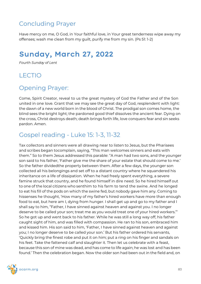# Concluding Prayer

Have mercy on me, O God, in Your faithful love, in Your great tenderness wipe away my offenses; wash me clean from my guilt, purify me from my sin. (Ps 51: 1-2)

# Sunday, March 27, 2022

*Fourth Sunday of Lent*

### LECTIO

### Opening Prayer:

Come, Spirit Creator, reveal to us the great mystery of God the Father and of the Son united in one love. Grant that we may see the great day of God, resplendent with light: the dawn of a new world born in the blood of Christ. The prodigal son comes home, the blind sees the bright light; the pardoned good thief dissolves the ancient fear. Dying on the cross, Christ destroys death; death brings forth life, love conquers fear and sin seeks pardon. Amen.

### Gospel reading - Luke 15: 1-3, 11-32

Tax collectors and sinners were all drawing near to listen to Jesus, but the Pharisees and scribes began tocomplain, saying, "This man welcomes sinners and eats with them." So to them Jesus addressed this parable: "A man had two sons, and the younger son said to his father, 'Father give me the share of your estate that should come to me.' So the father dividedthe property between them. After a few days, the younger son collected all his belongings and set off to a distant country where he squandered his inheritance on a life of dissipation. When he had freely spent everything, a severe famine struck that country, and he found himself in dire need. So he hired himself out to one of the local citizens who senthim to his farm to tend the swine. And he longed to eat his fill of the pods on which the swine fed, but nobody gave him any. Coming to hissenses he thought, 'How many of my father's hired workers have more than enough food to eat, but here am I, dying from hunger. I shall get up and go to my father and I shall say to him, "Father, I have sinned against heaven and against you. I no longer deserve to be called your son; treat me as you would treat one of your hired workers."' So he got up and went back to his father. While he was still a long way off, his father caught sight of him, and was filled with compassion. He ran to his son, embraced him and kissed him. His son said to him, 'Father, I have sinned against heaven and against you; I no longer deserve to be called your son.' But his father ordered his servants, 'Quickly bring the finest robe and put it on him; put a ring on his finger and sandals on his feet. Take the fattened calf and slaughter it. Then let us celebrate with a feast, because this son of mine was dead, and has come to life again; he was lost and has been found.' Then the celebration began. Now the older son had been out in the field and, on

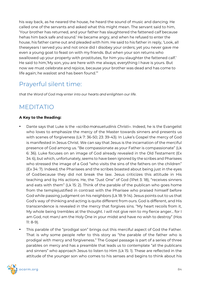his way back, as he neared the house, he heard the sound of music and dancing. He called one of the servants and asked what this might mean. The servant said to him, 'Your brother has returned, and your father has slaughtered the fattened calf because hehas him back safe and sound.' He became angry, and when he refused to enter the house, his father came out and pleaded with him. He said to his father in reply, 'Look, all theseyears I served you and not once did I disobey your orders; yet you never gave me even a young goat to feast on with my friends. But when your son returns who swallowed up your property with prostitutes, for him you slaughter the fattened calf.' He said to him,'My son, you are here with me always; everything I have is yours. But now we must celebrate and rejoice, because your brother was dead and has come to life again; he waslost and has been found.'"

### Prayerful silent time:

*that the Word of God may enter into our hearts and enlighten our life.*

### MEDITATIO

#### **A Key to the Reading:**

- Dante says that Luke is the *‹‹scriba mansuetudinis Christi››*. Indeed, he is the Evangelist who loves to emphasize the mercy of the Master towards sinners and presents us with scenes of forgiveness (Lk 7: 36-50; 23: 39-43). In Luke's Gospel the mercy of God is manifested in Jesus Christ. We can say that Jesus is the incarnation of the merciful presence of God among us. "Be compassionate as your Father is compassionate" (Lk 6: 36). Luke focuses on an image of God already revealed in the Old Testament (Ex 34: 6), but which, unfortunately, seems to have been ignored by the scribes and Pharisees who stressed the image of a God "who visits the sins of the fathers on the children" (Ex 34: 7). Indeed, the Pharisees and the scribes boasted about being just in the eyes of Godbecause they did not break the law. Jesus criticizes this attitude in His teaching and by His actions. He, the "Just One" of God (1Pet 3: 18), "receives sinners and eats with them" (Lk 15: 2). Think of the parable of the publican who goes home from the templejustified in contrast with the Pharisee who praised himself before God while passing judgment on his neighbors (Lk 18: 9-14). Jesus points out to us that God's way of thinking and acting is quite different from ours. God is different, and His transcendence is revealed in the mercy that forgives sins. "My heart recoils from it, My whole being trembles at the thought. I will not give rein to my fierce anger… for I am God, not man;I am the Holy One in your midst and have no wish to destroy" (Hos 11: 8-9).
- This parable of the "prodigal son" brings out this merciful aspect of God the Father. That is why some people refer to this story as "the parable of the father who is prodigal with mercy and forgiveness." The Gospel passage is part of a series of three parables on mercy and has a preamble that leads us to contemplate "all the publicans and sinners" who approach Jesus to listen to Him (Lk 15: 1). These are reflected in the attitude of the younger son who comes to his senses and begins to think about his

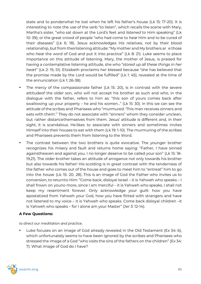state and to ponderwhat he lost when he left his father's house (Lk 15: 17-20). It is interesting to note the use of the verb "to listen", which recalls the scene with Mary, Martha's sister, "who sat down at the Lord's feet and *listened* to Him speaking" (Lk 10: 39); or the great crowd of people "who had come to *hear* Him and to be cured of their diseases" (Lk 6: 18). Jesus acknowledges His relatives, not by their blood relationship, but from theirlistening attitude: "My mother and My brothers ar e those who *hear* the word of God and put it into practice" (Lk 8: 21). Luke seems to place importance on this attitude of listening. Mary, the mother of Jesus, is praised for having a contemplative listening attitude, she who "*stored up all these things in her heart*" (Lk 2: 19, 51). Elizabeth proclaims her blessed because "she has believed that the promise made by the Lord would be fulfilled" (Lk 1: 45), revealed at the time of the annunciation (Lk 1: 26-38).

- The mercy of the compassionate father (Lk 15: 20), is in contrast with the severe attitudeof the older son, who will not accept his brother as such and who, in the dialogue with the father, refers to him as: "this son of yours comes back after swallowing up your property – he and his women…" (Lk 15: 30). In this we can see the attitude of the scribes and Pharisees who "murmured: 'This man receives sinners and eats with them'." They do not associate with "sinners" whom they consider unclean, but rather distancethemselves from them. Jesus' attitude is different and, in their sight, it is scandalous. He likes to associate with sinners and sometimes invites Himself into their houses to eat with them (Lk 19: 1-10). The murmuring of the scribes and Pharisees prevents them from listening to the Word.
- The contrast between the two brothers is quite evocative. The younger brother recognizes his misery and fault and returns home saying: "Father, I have sinned againstheaven and against you. I no longer deserve to be called your son" (Lk 15: 18- 19,21). The older brother takes an attitude of arrogance not only towards his brother but also towards his father! His scolding is in great contrast with the tenderness of the father who comes out of the house and goes to meet him to "entreat" him to go into the house (Lk 15: 20, 28). This is an image of God the Father who invites us to conversion, to returnto Him: "Come back, disloyal Israel – it is Yahweh who speaks – I shall frown on youno more, since I am merciful – it is Yahweh who speaks. I shall not keep my resentment forever. Only acknowledge your guilt: how you have apostatized from Yahweh your God, how you have flirted with strangers and have not listened to my voice – it is Yahweh who speaks. Come back disloyal children –it is Yahweh who speaks – for I alone am your Master" (Jer 3: 12-14).

#### **A Few Questions:**

*to direct our meditation and practice*.

• Luke focuses on an image of God already revealed in the Old Testament (Ex 34: 6), which unfortunately seems to have been ignored by the scribes and Pharisees who stressed the image of a God "who visits the sins of the fathers on the children" (Ex 34: 7). What image of God do I have?

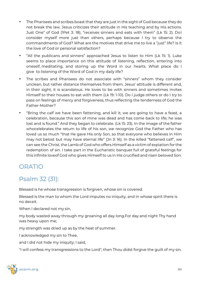- The Pharisees and scribes boast that they are just in the sight of God because they do not break the law. Jesus criticizes their attitude in His teaching and by His actions. Just One" of God (1Pet 3: 18), "receives sinners and eats with them" (Lk 15: 2). DoI consider myself more just than others, perhaps because I try to observe the commandments of God? What are the motives that drive me to live a "just" life? Is it the love of God or personal satisfaction?
- "All the publicans and sinners" approached Jesus to listen to Him (Lk 15: 1). Luke seems to place importance on this attitude of listening, reflection, entering into oneself, meditating, and storing up the Word in our hearts. What place do I give to listening of the Word of God in my daily life?
- The scribes and Pharisees do not associate with "sinners" whom they consider unclean, but rather distance themselves from them. Jesus' attitude is different and, in their sight, it is scandalous. He loves to be with sinners and sometimes invites Himself to their houses to eat with them (Lk 19: 1-10). Do I judge others or do I try to pass on feelings of mercy and forgiveness, thus reflecting the tenderness of God the Father-Mother?
- "Bring the calf we have been fattening, and kill it; we are going to have a feast, a celebration, because this son of mine was dead and has come back to life; he was lost and is found." And they began to celebrate. (Lk 15: 23). In the image of the father whocelebrates the return to life of his son, we recognize God the Father who has loved us so much "that He gave His only Son, so that everyone who believes in Him may not belost but may have eternal life" (Jn 3: 16). In the killed "fattened calf", we can see the Christ, the Lamb of God who offers Himself as a victim of expiation for the redemption of sin. I take part in the Eucharistic banquet full of grateful feelings for this infinite loveof God who gives Himself to us in His crucified and risen beloved Son.

### ORATIO

# Psalm 32 (31):

Blessed is he whose transgression is forgiven, whose sin is covered.

Blessed is the man to whom the Lord imputes no iniquity, and in whose spirit there is no deceit.

When I declared not my sin,

my body wasted away through my groaning all day long.For day and night Thy hand was heavy upon me;

my strength was dried up as by the heat of summer.

I acknowledged my sin to Thee,

and I did not hide my iniquity; I said,

"I will confess my transgressions to the Lord"; then Thou didst forgive the guilt of my sin.

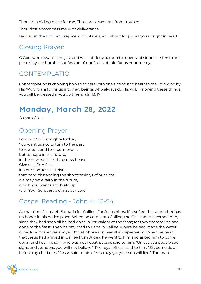Thou art a hiding place for me, Thou preservest me from trouble;

Thou dost encompass me with deliverance.

Be glad in the Lord, and rejoice, O righteous, and shout for joy, all you upright in heart!

### Closing Prayer:

O God, who rewards the just and will not deny pardon to repentant sinners, listen to our plea: may the humble confession of our faults obtain for us Your mercy.

## CONTEMPLATIO

Contemplation is knowing how to adhere with one's mind and heart to the Lord who by His Word transforms us into new beings who always do His will. "Knowing these things, you will be blessed if you do them." (Jn 13: 17)

# Monday, March 28, 2022

*Season of Lent*

# Opening Prayer

Lord our God, almighty Father, You want us not to turn to the past to regret it and to mourn over it but to hope in the future, in the new earth and the new heaven. Give us a firm faith in Your Son Jesus Christ, that notwithstanding the shortcomings of our time we may have faith in the future, which You want us to build up with Your Son, Jesus Christ our Lord

# Gospel Reading - John 4: 43-54.

At that time Jesus left Samaria for Galilee. For Jesus himself testified that a prophet has no honor in his native place. When he came into Galilee, the Galileans welcomed him, since they had seen all he had done in Jerusalem at the feast; for they themselves had gone to the feast. Then he returned to Cana in Galilee, where he had made the water wine. Now there was a royal official whose son was ill in Capernaum. When he heard that Jesus had arrived in Galilee from Judea, he went to him and asked him to come down and heal his son, who was near death. Jesus said to him, "Unless you people see signs and wonders, you will not believe." The royal official said to him, "Sir, come down before my child dies." Jesus said to him, "You may go; your son will live." The man

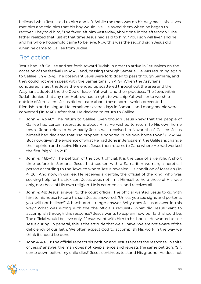believed what Jesus said to him and left. While the man was on his way back, his slaves met him and told him that his boy would live. He asked them when he began to recover. They told him, "The fever left him yesterday, about one in the afternoon." The father realized that just at that time Jesus had said to him, "Your son will live," and he and his whole household came to believe. Now this was the second sign Jesus did when he came to Galilee from Judea.

## Reflection

Jesus had left Galilee and set forth toward Judah in order to arrive in Jerusalem on the occasion of the festival (Jn 4: 45) and, passing through Samaria, He was returning again to Galilee (Jn 4: 3-4). The observant Jews were forbidden to pass through Samaria, and they could not even speak with the Samaritans (Jn 4: 9). When the Assyrians conquered Israel, the Jews there ended up scattered throughout the area and the Assyrians adopted the the God of Israel, Yahweh, and their practices. The Jews within Judah denied that any non-Hebrew had a right to worship Yahweh, or to worship outside of Jerusalem. Jesus did not care about these norms which prevented friendship and dialogue. He remained several days in Samaria and many people were converted (Jn 4: 40). After that, He decided to return to Galilee.

- John 4: 43-46<sup>a</sup>: The return to Galilee. Even though Jesus knew that the people of Galilee had certain reservations about Him, He wished to return to His own home town. John refers to how badly Jesus was received in Nazareth of Galilee. Jesus himself had declared that "No prophet is honored in his own home town" (Lk 4:24). But now, given the evidence of what He had done in Jerusalem, the Galileans change their opinion and receive Him well. Jesus then returns to Cana where He had worked the first "sign" (Jn 2: 11).
- John 4: 46b-47: The petition of the court official. It is the case of a gentile. A short time before, in Samaria, Jesus had spoken with a Samaritan woman, a heretical person according to the Jews, to whom Jesus revealed His condition of Messiah (Jn 4: 26). And now, in Galilee, He receives a gentile, the official of the king, who was seeking help for his sick son. Jesus does not limit Himself to help those of His race only, nor those of His own religion. He is ecumenical and receives all.
- John 4: 48: Jesus' answer to the court official. The official wanted Jesus to go with him to his house to cure his son. Jesus answered, "Unless you see signs and portents you will not believe!" A harsh and strange answer. Why does Jesus answer in this way? What was wrong with the the official's request? What did Jesus want to accomplish through this response? Jesus wants to explain how our faith should be. The official would believe only if Jesus went with him to his house. He wanted to see Jesus curing. In general, this is the attitude that we all have. We are not aware of the deficiency of our faith. We often expect God to accomplish His work in the way we think it should be done.
- John 4: 49-50: The official repeats his petition and Jesus repeats the response. In spite of Jesus' answer, the man does not keep silence and repeats the same petition: "Sir, come down before my child dies!" Jesus continues to stand His ground. He does not

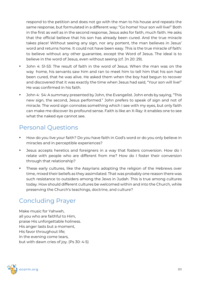respond to the petition and does not go with the man to his house and repeats the same response, but formulated in a different way: "Go home! Your son will live!" Both in the first as well as in the second response, Jesus asks for faith, much faith. He asks that the official believe that his son has already been cured. And the true miracle takes place! Without seeing any sign, nor any portent, the man believes in Jesus' word and returns home. It could not have been easy. This is the true miracle of faith: to believe without any other guarantee, except the Word of Jesus. The ideal is to believe in the word of Jesus, even without seeing (cf. Jn 20: 29).

- John 4: 51-53: The result of faith in the word of Jesus. When the man was on the way home, his servants saw him and ran to meet him to tell him that his son had been cured, that he was alive. He asked them when the boy had begun to recover and discovered that it was exactly the time when Jesus had said, "Your son will live!" He was confirmed in his faith.
- John 4: 54: A summary presented by John, the Evangelist. John ends by saying, "This new sign, the second, Jesus performed." John prefers to speak of sign and not of miracle. The word sign connotes something which I see with my eyes, but only faith can make me discover its profound sense. Faith is like an X-Ray: it enables one to see what the naked eye cannot see.

### Personal Questions

- How do you live your faith? Do you have faith in God's word or do you only believe in miracles and in perceptible experiences?
- Jesus accepts heretics and foreigners in a way that fosters conversion. How do I relate with people who are different from me? How do I foster their conversion through that relationship?
- These early cultures, like the Assyrians adopting the religion of the Hebrews over time, mixed their beliefs as they assimilated. That was probably one reason there was such resistance to outsiders among the Jews in Judah. This is true among cultures today. How should different cultures be welcomed within and into the Church, while preserving the Church's teachings, doctrine, and culture?

### Concluding Prayer

Make music for Yahweh, all you who are faithful to Him, praise His unforgettable holiness. His anger lasts but a moment, His favor throughout life; In the evening come tears, but with dawn cries of joy. (Ps 30: 4-5)

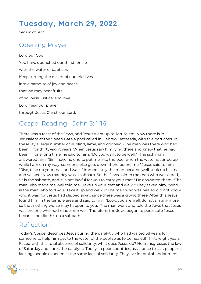# Tuesday, March 29, 2022

*Season of Lent*

## Opening Prayer

Lord our God, You have quenched our thirst for life with the water of baptism. Keep turning the desert of our arid lives into a paradise of joy and peace, that we may bear fruits of holiness, justice, and love. Lord, hear our prayer through Jesus Christ, our Lord.

### Gospel Reading - John 5: 1-16

There was a feast of the Jews, and Jesus went up to Jerusalem. Now there is in Jerusalem at the Sheep Gate a pool called in Hebrew Bethesda, with five porticoes. In these lay a large number of ill, blind, lame, and crippled. One man was there who had been ill for thirty-eight years. When Jesus saw him lying there and knew that he had been ill for a long time, he said to him, "Do you want to be well?" The sick man answered him, "Sir, I have no one to put me into the pool when the water is stirred up; while I am on my way, someone else gets down there before me." Jesus said to him, "Rise, take up your mat, and walk." Immediately the man became well, took up his mat, and walked. Now that day was a sabbath. So the Jews said to the man who was cured, "It is the sabbath, and it is not lawful for you to carry your mat." He answered them, "The man who made me well told me, 'Take up your mat and walk.'" They asked him, "Who is the man who told you, 'Take it up and walk'?" The man who was healed did not know who it was, for Jesus had slipped away, since there was a crowd there. After this Jesus found him in the temple area and said to him, "Look, you are well; do not sin any more, so that nothing worse may happen to you." The man went and told the Jews that Jesus was the one who had made him well. Therefore, the Jews began to persecute Jesus because he did this on a sabbath.

### Reflection

Today's Gospel describes Jesus curing the paralytic who had waited 38 years for someone to help him get to the water of the pool so as to be healed! Thirty-eight years! Faced with this total absence of solidarity, what does Jesus do? He transgresses the law of Saturday and cures the paralytic. Today, in poor countries, assistance to sick people is lacking; people experience the same lack of solidarity. They live in total abandonment,

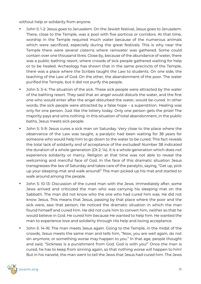without help or solidarity from anyone.

- John 5: 1-2: Jesus goes to Jerusalem. On the Jewish festival, Jesus goes to Jerusalem. There, close to the Temple, was a pool with five porticos or corridors. At that time, worship in the Temple required much water because of the numerous animals which were sacrificed, especially during the great festivals. This is why near the Temple there were several cisterns where rainwater was gathered. Some could contain over one thousand litres. Close by, because of the abundance of water, there was a public bathing resort, where crowds of sick people gathered waiting for help or to be healed. Archeology has shown that in the same precincts of the Temple, there was a place where the Scribes taught the Law to students. On one side, the teaching of the Law of God. On the other, the abandonment of the poor. The water purified the Temple, but it did not purify the people.
- John 5: 3-4: The situation of the sick. These sick people were attracted by the water of the bathing resort. They said that an angel would disturb the water, and the first one who would enter after the angel disturbed the water, would be cured. In other words, the sick people were attracted by a false hope – a superstition. Healing was only for one person. Just like the lottery today. Only one person gets the prize! The majority pays and wins nothing. In this situation of total abandonment, in the public baths, Jesus meets sick people.
- John 5: 5-9: Jesus cures a sick man on Saturday. Very close to the place where the observance of the Law was taught, a paralytic had been waiting for 38 years for someone who would help him to go down to the water to be cured. This fact reveals the total lack of solidarity and of acceptance of the excluded! Number 38 indicated the duration of a whole generation (Dt 2: 14). It is a whole generation which does not experience solidarity or mercy. Religion at that time was not able to reveal the welcoming and merciful face of God. In the face of this dramatic situation Jesus transgresses the law of Saturday and takes care of the paralytic, saying, "Get up, pick up your sleeping-mat and walk around!" The man picked up his mat and started to walk around among the people.
- John 5: 10-13: Discussion of the cured man with the Jews. Immediately after, some Jews arrived and criticized the man who was carrying his sleeping mat on the Sabbath. The man did not know who the one who had cured him was. He did not know Jesus. This means that Jesus, passing by that place where the poor and the sick were, saw that person; He noticed the dramatic situation in which the man found himself and cured him. He did not cure him to convert him, neither so that he would believe in God. He cured him because He wanted to help him. He wanted the man to experience love and solidarity through His help and loving acceptance.
- John 5: 14-16: The man meets Jesus again. Going to the Temple, in the midst of the crowds, Jesus meets the same man and tells him, "Now, you are well again, do not sin anymore, or something worse may happen to you." In that age, people thought and said, "Sickness is a punishment from God. God is with you!" Once the man is cured, he has to keep from sinning again, so that nothing worse will happen to him! But in his naiveté, the man went to tell the Jews that Jesus had cured him. The Jews

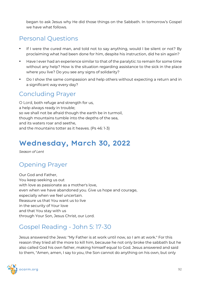began to ask Jesus why He did those things on the Sabbath. In tomorrow's Gospel we have what follows.

## Personal Questions

- If I were the cured man, and told not to say anything, would I be silent or not? By proclaiming what had been done for him, despite his instruction, did he sin again?
- Have I ever had an experience similar to that of the paralytic: to remain for some time without any help? How is the situation regarding assistance to the sick in the place where you live? Do you see any signs of solidarity?
- Do I show the same compassion and help others without expecting a return and in a significant way every day?

### Concluding Prayer

O Lord, both refuge and strength for us, a help always ready in trouble; so we shall not be afraid though the earth be in turmoil, though mountains tumble into the depths of the sea, and its waters roar and seethe, and the mountains totter as it heaves. (Ps 46: 1-3)

# Wednesday, March 30, 2022

*Season of Lent*

# Opening Prayer

Our God and Father, You keep seeking us out with love as passionate as a mother's love, even when we have abandoned you. Give us hope and courage, especially when we feel uncertain. Reassure us that You want us to live in the security of Your love and that You stay with us through Your Son, Jesus Christ, our Lord.

### Gospel Reading - John 5: 17-30

Jesus answered the Jews: "My Father is at work until now, so I am at work." For this reason they tried all the more to kill him, because he not only broke the sabbath but he also called God his own father, making himself equal to God. Jesus answered and said to them, "Amen, amen, I say to you, the Son cannot do anything on his own, but only

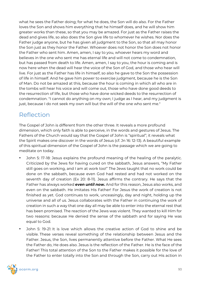what he sees the Father doing; for what he does, the Son will do also. For the Father loves the Son and shows him everything that he himself does, and he will show him greater works than these, so that you may be amazed. For just as the Father raises the dead and gives life, so also does the Son give life to whomever he wishes. Nor does the Father judge anyone, but he has given all judgment to the Son, so that all may honor the Son just as they honor the Father. Whoever does not honor the Son does not honor the Father who sent him. Amen, amen, I say to you, whoever hears my word and believes in the one who sent me has eternal life and will not come to condemnation, but has passed from death to life. Amen, amen, I say to you, the hour is coming and is now here when the dead will hear the voice of the Son of God, and those who hear will live. For just as the Father has life in himself, so also he gave to the Son the possession of life in himself. And he gave him power to exercise judgment, because he is the Son of Man. Do not be amazed at this, because the hour is coming in which all who are in the tombs will hear his voice and will come out, those who have done good deeds to the resurrection of life, but those who have done wicked deeds to the resurrection of condemnation. "I cannot do anything on my own; I judge as I hear, and my judgment is just, because I do not seek my own will but the will of the one who sent me."

### Reflection

The Gospel of John is different from the other three. It reveals a more profound dimension, which only faith is able to perceive, in the words and gestures of Jesus. The Fathers of the Church would say that the Gospel of John is "spiritual"; it reveals what the Spirit makes one discover in the words of Jesus (cf. Jn 16: 12-13). A beautiful example of this spiritual dimension of the Gospel of John is the passage which we are going to meditate on today.

- John 5: 17-18: Jesus explains the profound meaning of the healing of the paralytic. Criticized by the Jews for having cured on the sabbath, Jesus answers, "My Father still goes on working, and I am at work too!" The Jews taught that no work could be done on the sabbath, because even God had rested and had not worked on the seventh day of creation (Ex 20: 8-11). Jesus affirms the contrary. He says that the Father has always worked *even until now.* And for this reason, Jesus also works, and even on the sabbath. He imitates His Father! For Jesus the work of creation is not finished as yet. God continues to work, unceasingly, day and night, holding up the universe and all of us. Jesus collaborates with the Father in continuing the work of creation in such a way that one day all may be able to enter into the eternal rest that has been promised. The reaction of the Jews was violent. They wanted to kill Him for two reasons: because He denied the sense of the sabbath and for saying He was equal to God.
- John 5: 19-21: It is love which allows the creative action of God to shine and be visible. These verses reveal something of the relationship between Jesus and the Father. Jesus, the Son, lives permanently attentive before the Father. What He sees the Father do, He does also. Jesus is the reflection of the Father. He is the face of the Father! This total attention of the Son to the Father makes it possible for the love of the Father to enter totally into the Son and through the Son, carry out His action in

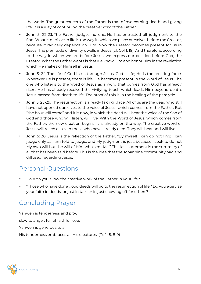the world. The great concern of the Father is that of overcoming death and giving life. It is a way of continuing the creative work of the Father.

- John 5: 22-23: The Father judges no one; He has entrusted all judgment to the Son. What is decisive in life is the way in which we place ourselves before the Creator, because it radically depends on Him. Now the Creator becomes present for us in Jesus. The plenitude of divinity dwells in Jesus (cf. Col 1: 19). And therefore, according to the way in which we are before Jesus, we express our position before God, the Creator. What the Father wants is that we know Him and honor Him in the revelation which He makes of Himself in Jesus.
- John 5: 24: The life of God in us through Jesus. God is life; He is the creating force. Wherever He is present, there is life. He becomes present in the Word of Jesus. The one who listens to the word of Jesus as a word that comes from God has already risen. He has already received the vivifying touch which leads Him beyond death. Jesus passed from death to life. The proof of this is in the healing of the paralytic.
- John 5: 25-29: The resurrection is already taking place. All of us are the dead who still have not opened ourselves to the voice of Jesus, which comes from the Father. But "the hour will come" and it is now, in which the dead will hear the voice of the Son of God and those who will listen, will live. With the Word of Jesus, which comes from the Father, the new creation begins; it is already on the way. The creative word of Jesus will reach all, even those who have already died. They will hear and will live.
- John 5: 30: Jesus is the reflection of the Father. "By myself I can do nothing; I can judge only as I am told to judge, and My judgment is just, because I seek to do not My own will but the will of Him who sent Me." This last statement is the summary of all that has been said before. This is the idea that the Johannine community had and diffused regarding Jesus.

### Personal Questions

- How do you allow the creative work of the Father in your life?
- "Those who have done good deeds will go to the resurrection of life." Do you exercise your faith in deeds, or just in talk, or in just showing off for others?

# Concluding Prayer

Yahweh is tenderness and pity, slow to anger, full of faithful love. Yahweh is generous to all; His tenderness embraces all His creatures. (Ps 145: 8-9)

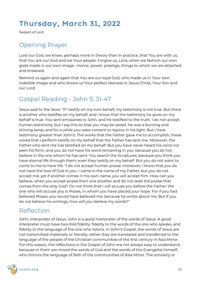# Thursday, March 31, 2022

*Season of Lent*

## Opening Prayer

Lord our God, we know, perhaps more in theory than in practice, that You are with us, that You are our God and we Your people. Forgive us, Lord, when we fashion our own gods made in our own image—honor, power, prestige, things to which we are attached and enslaved.

Remind us again and again that You are our loyal God, who made us in Your own indelible image and who shows us Your perfect likeness in Jesus Christ, Your Son and our Lord.

### Gospel Reading - John 5: 31-47

Jesus said to the Jews: "If I testify on my own behalf, my testimony is not true. But there is another who testifies on my behalf, and I know that the testimony he gives on my behalf is true. You sent emissaries to John, and he testified to the truth. I do not accept human testimony, but I say this so that you may be saved. He was a burning and shining lamp, and for a while you were content to rejoice in his light. But I have testimony greater than John's. The works that the Father gave me to accomplish, these works that I perform testify on my behalf that the Father has sent me. Moreover, the Father who sent me has testified on my behalf. But you have never heard his voice nor seen his form, and you do not have his word remaining in you, because you do not believe in the one whom he has sent. You search the Scriptures, because you think you have eternal life through them; even they testify on my behalf. But you do not want to come to me to have life. "I do not accept human praise; moreover, I know that you do not have the love of God in you. I came in the name of my Father, but you do not accept me; yet if another comes in his own name, you will accept him. How can you believe, when you accept praise from one another and do not seek the praise that comes from the only God? Do not think that I will accuse you before the Father: the one who will accuse you is Moses, in whom you have placed your hope. For if you had believed Moses, you would have believed me, because he wrote about me. But if you do not believe his writings, how will you believe my words?"

### Reflection

John, interpreter of Jesus. John is a good interpreter of the words of Jesus. A good interpreter must have two-fold fidelity: fidelity to the words of the one who speaks, and fidelity to the language of the one who listens. In John's Gospel, the words of Jesus are not transmitted materially or literally; rather they are translated and transferred to the language of the people of the Christian communities of the first century in Asia Minor. For this reason, the reflections in the Gospel of John are not always easy to understand, because in them are mixed the words of God and the words of the Evangelist himself, who mirrors the language of faith of the communities of Asia Minor. The scholarly or

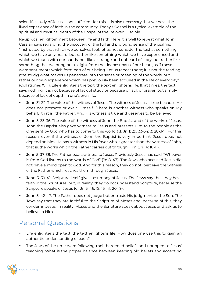scientific study of Jesus is not sufficient for this. It is also necessary that we have the lived experience of faith in the community. Today's Gospel is a typical example of the spiritual and mystical depth of the Gospel of the Beloved Disciple.

Reciprocal enlightenment between life and faith. Here it is well to repeat what John Cassian says regarding the discovery of the full and profound sense of the psalms: "Instructed by that which we ourselves feel, let us not consider the text as something which we have only heard, but rather like something which we have experienced and which we touch with our hands; not like a strange and unheard of story, but rather like something that we bring out to light from the deepest part of our heart, as if these were sentiments which form part of our being. Let us repeat them; it is not the reading (the study) what makes us penetrate into the sense or meaning of the words, but rather our own experience which has previously been acquired in the life of every day." (Collationes X, 11). Life enlightens the text; the text enlightens life. If, at times, the text says nothing, it is not because of lack of study or because of lack of prayer, but simply because of lack of depth in one's own life.

- John 31-32: The value of the witness of Jesus. The witness of Jesus is true because He does not promote or exalt Himself. "There is another witness who speaks on My behalf," that is, the Father. And His witness is true and deserves to be believed.
- John 5: 33-36: The value of the witness of John the Baptist and of the works of Jesus. John the Baptist also gave witness to Jesus and presents Him to the people as the One sent by God who has to come to this world (cf. Jn 1: 29, 33-34; 3: 28-34). For this reason, even if the witness of John the Baptist is very important, Jesus does not depend on him. He has a witness in His favor who is greater than the witness of John, that is, the works which the Father carries out through Him (Jn 14: 10-11).
- John 5: 37-38: The Father bears witness to Jesus. Previously, Jesus had said, "Whoever is from God listens to the words of God" (Jn 8: 47). The Jews who accused Jesus did not have a mind open to God. And for this reason, they do not perceive the witness of the Father which reaches them through Jesus.
- John 5: 39-41: Scripture itself gives testimony of Jesus. The Jews say that they have faith in the Scriptures, but, in reality, they do not understand Scripture, because the Scripture speaks of Jesus (cf. Jn 5: 46; 12: 16, 41; 20: 9).
- John 5: 42-47: The Father does not judge but entrusts His judgment to the Son. The Jews say that they are faithful to the Scripture of Moses and, because of this, they condemn Jesus. In reality, Moses and the Scripture speak about Jesus and ask us to believe in Him.

# Personal Questions

- Life enlightens the text; the text enlightens life. How does one use this to gain an authentic understanding of each?
- The Jews of the time were following their hardened beliefs and not open to Jesus' teaching. What is the proper balance between keeping old beliefs and accepting